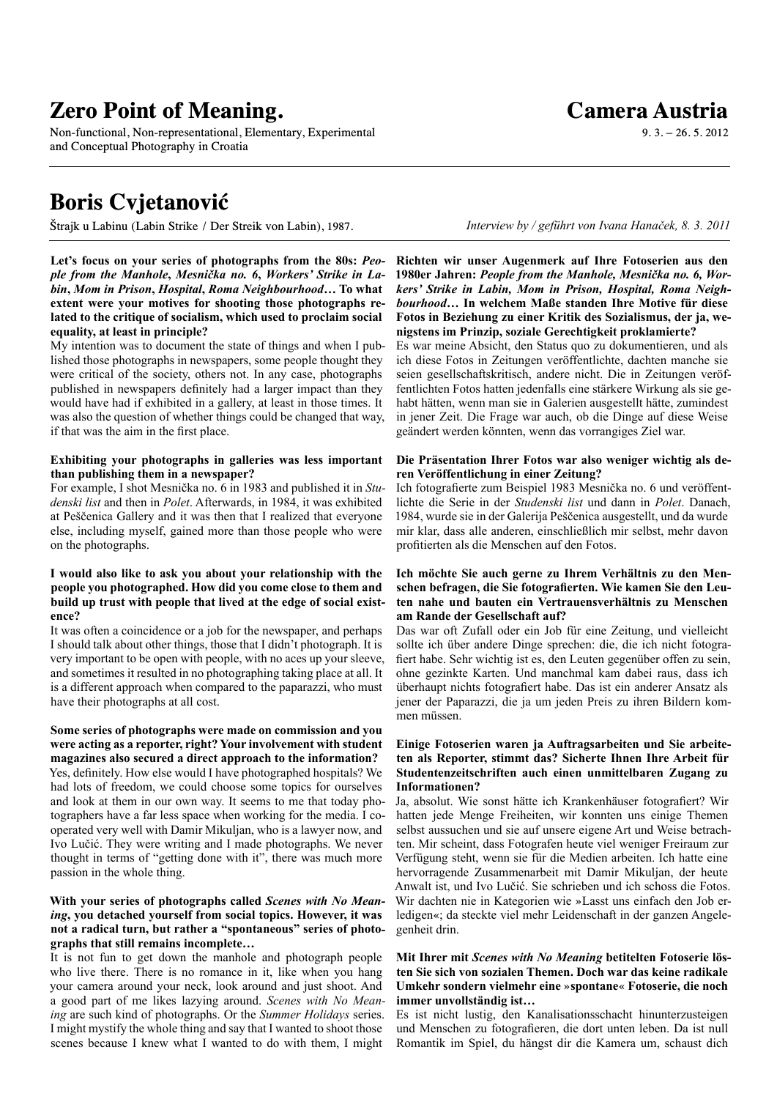Non-functional, Non-representational, Elementary, Experimental and Conceptual Photography in Croatia

### **Camera Austria**

 $9.3 - 26.5$ , 2012

### **Boris Cvjetanović**

Štrajk u Labinu (Labin Strike / Der Streik von Labin), 1987.

**Let's focus on your series of photographs from the 80s:** *People from the Manhole***,** *Mesnička no. 6***,** *Workers' Strike in Labin***,** *Mom in Prison***,** *Hospital***,** *Roma Neighbourhood***… To what extent were your motives for shooting those photographs related to the critique of socialism, which used to proclaim social equality, at least in principle?**

My intention was to document the state of things and when I published those photographs in newspapers, some people thought they were critical of the society, others not. In any case, photographs published in newspapers definitely had a larger impact than they would have had if exhibited in a gallery, at least in those times. It was also the question of whether things could be changed that way, if that was the aim in the first place.

#### **Exhibiting your photographs in galleries was less important than publishing them in a newspaper?**

For example, I shot Mesnička no. 6 in 1983 and published it in *Studenski list* and then in *Polet*. Afterwards, in 1984, it was exhibited at Peščenica Gallery and it was then that I realized that everyone else, including myself, gained more than those people who were on the photographs.

#### **I would also like to ask you about your relationship with the people you photographed. How did you come close to them and build up trust with people that lived at the edge of social existence?**

It was often a coincidence or a job for the newspaper, and perhaps I should talk about other things, those that I didn't photograph. It is very important to be open with people, with no aces up your sleeve, and sometimes it resulted in no photographing taking place at all. It is a different approach when compared to the paparazzi, who must have their photographs at all cost.

**Some series of photographs were made on commission and you were acting as a reporter, right? Your involvement with student magazines also secured a direct approach to the information?** Yes, definitely. How else would I have photographed hospitals? We had lots of freedom, we could choose some topics for ourselves and look at them in our own way. It seems to me that today photographers have a far less space when working for the media. I cooperated very well with Damir Mikuljan, who is a lawyer now, and Ivo Lučić. They were writing and I made photographs. We never thought in terms of "getting done with it", there was much more passion in the whole thing.

#### **With your series of photographs called** *Scenes with No Meaning***, you detached yourself from social topics. However, it was not a radical turn, but rather a "spontaneous" series of photographs that still remains incomplete…**

It is not fun to get down the manhole and photograph people who live there. There is no romance in it, like when you hang your camera around your neck, look around and just shoot. And a good part of me likes lazying around. *Scenes with No Meaning* are such kind of photographs. Or the *Summer Holidays* series. I might mystify the whole thing and say that I wanted to shoot those scenes because I knew what I wanted to do with them, I might

**Richten wir unser Augenmerk auf Ihre Fotoserien aus den 1980er Jahren:** *People from the Manhole, Mesnička no. 6, Workers' Strike in Labin, Mom in Prison, Hospital, Roma Neighbourhood…* **In welchem Maße standen Ihre Motive für diese Fotos in Beziehung zu einer Kritik des Sozialismus, der ja, wenigstens im Prinzip, soziale Gerechtigkeit proklamierte?**

*Interview by / geführt von Ivana Hanaček, 8. 3. 2011*

Es war meine Absicht, den Status quo zu dokumentieren, und als ich diese Fotos in Zeitungen veröffentlichte, dachten manche sie seien gesellschaftskritisch, andere nicht. Die in Zeitungen veröffentlichten Fotos hatten jedenfalls eine stärkere Wirkung als sie gehabt hätten, wenn man sie in Galerien ausgestellt hätte, zumindest in jener Zeit. Die Frage war auch, ob die Dinge auf diese Weise geändert werden könnten, wenn das vorrangiges Ziel war.

#### **Die Präsentation Ihrer Fotos war also weniger wichtig als deren Veröffentlichung in einer Zeitung?**

Ich fotografierte zum Beispiel 1983 Mesnička no. 6 und veröffentlichte die Serie in der *Studenski list* und dann in *Polet*. Danach, 1984, wurde sie in der Galerija Peščenica ausgestellt, und da wurde mir klar, dass alle anderen, einschließlich mir selbst, mehr davon profitierten als die Menschen auf den Fotos.

#### **Ich möchte Sie auch gerne zu Ihrem Verhältnis zu den Menschen befragen, die Sie fotografierten. Wie kamen Sie den Leuten nahe und bauten ein Vertrauensverhältnis zu Menschen am Rande der Gesellschaft auf?**

Das war oft Zufall oder ein Job für eine Zeitung, und vielleicht sollte ich über andere Dinge sprechen: die, die ich nicht fotografiert habe. Sehr wichtig ist es, den Leuten gegenüber offen zu sein, ohne gezinkte Karten. Und manchmal kam dabei raus, dass ich überhaupt nichts fotografiert habe. Das ist ein anderer Ansatz als jener der Paparazzi, die ja um jeden Preis zu ihren Bildern kommen müssen.

#### **Einige Fotoserien waren ja Auftragsarbeiten und Sie arbeiteten als Reporter, stimmt das? Sicherte Ihnen Ihre Arbeit für Studentenzeitschriften auch einen unmittelbaren Zugang zu Informationen?**

Ja, absolut. Wie sonst hätte ich Krankenhäuser fotografiert? Wir hatten jede Menge Freiheiten, wir konnten uns einige Themen selbst aussuchen und sie auf unsere eigene Art und Weise betrachten. Mir scheint, dass Fotografen heute viel weniger Freiraum zur Verfügung steht, wenn sie für die Medien arbeiten. Ich hatte eine hervorragende Zusammenarbeit mit Damir Mikuljan, der heute Anwalt ist, und Ivo Lučić. Sie schrieben und ich schoss die Fotos. Wir dachten nie in Kategorien wie »Lasst uns einfach den Job erledigen«; da steckte viel mehr Leidenschaft in der ganzen Angelegenheit drin.

#### **Mit Ihrer mit** *Scenes with No Meaning* **betitelten Fotoserie lösten Sie sich von sozialen Themen. Doch war das keine radikale Umkehr sondern vielmehr eine** »**spontane**« **Fotoserie, die noch immer unvollständig ist…**

Es ist nicht lustig, den Kanalisationsschacht hinunterzusteigen und Menschen zu fotografieren, die dort unten leben. Da ist null Romantik im Spiel, du hängst dir die Kamera um, schaust dich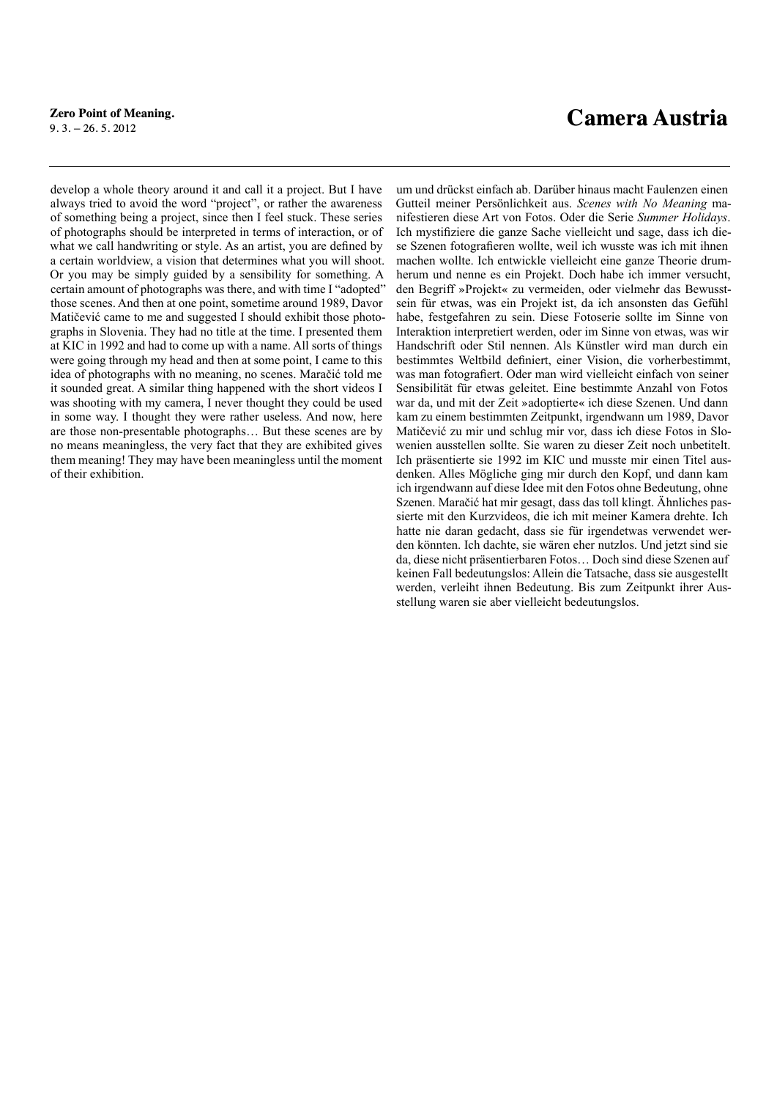develop a whole theory around it and call it a project. But I have always tried to avoid the word "project", or rather the awareness of something being a project, since then I feel stuck. These series of photographs should be interpreted in terms of interaction, or of what we call handwriting or style. As an artist, you are defined by a certain worldview, a vision that determines what you will shoot. Or you may be simply guided by a sensibility for something. A certain amount of photographs was there, and with time I "adopted" those scenes. And then at one point, sometime around 1989, Davor Matičević came to me and suggested I should exhibit those photographs in Slovenia. They had no title at the time. I presented them at KIC in 1992 and had to come up with a name. All sorts of things were going through my head and then at some point, I came to this idea of photographs with no meaning, no scenes. Maračić told me it sounded great. A similar thing happened with the short videos I was shooting with my camera, I never thought they could be used in some way. I thought they were rather useless. And now, here are those non-presentable photographs… But these scenes are by no means meaningless, the very fact that they are exhibited gives them meaning! They may have been meaningless until the moment of their exhibition.

um und drückst einfach ab. Darüber hinaus macht Faulenzen einen Gutteil meiner Persönlichkeit aus. *Scenes with No Meaning* manifestieren diese Art von Fotos. Oder die Serie *Summer Holidays*. Ich mystifiziere die ganze Sache vielleicht und sage, dass ich diese Szenen fotografieren wollte, weil ich wusste was ich mit ihnen machen wollte. Ich entwickle vielleicht eine ganze Theorie drumherum und nenne es ein Projekt. Doch habe ich immer versucht, den Begriff »Projekt« zu vermeiden, oder vielmehr das Bewusstsein für etwas, was ein Projekt ist, da ich ansonsten das Gefühl habe, festgefahren zu sein. Diese Fotoserie sollte im Sinne von Interaktion interpretiert werden, oder im Sinne von etwas, was wir Handschrift oder Stil nennen. Als Künstler wird man durch ein bestimmtes Weltbild definiert, einer Vision, die vorherbestimmt, was man fotografiert. Oder man wird vielleicht einfach von seiner Sensibilität für etwas geleitet. Eine bestimmte Anzahl von Fotos war da, und mit der Zeit »adoptierte« ich diese Szenen. Und dann kam zu einem bestimmten Zeitpunkt, irgendwann um 1989, Davor Matičević zu mir und schlug mir vor, dass ich diese Fotos in Slowenien ausstellen sollte. Sie waren zu dieser Zeit noch unbetitelt. Ich präsentierte sie 1992 im KIC und musste mir einen Titel ausdenken. Alles Mögliche ging mir durch den Kopf, und dann kam ich irgendwann auf diese Idee mit den Fotos ohne Bedeutung, ohne Szenen. Maračić hat mir gesagt, dass das toll klingt. Ähnliches passierte mit den Kurzvideos, die ich mit meiner Kamera drehte. Ich hatte nie daran gedacht, dass sie für irgendetwas verwendet werden könnten. Ich dachte, sie wären eher nutzlos. Und jetzt sind sie da, diese nicht präsentierbaren Fotos… Doch sind diese Szenen auf keinen Fall bedeutungslos: Allein die Tatsache, dass sie ausgestellt werden, verleiht ihnen Bedeutung. Bis zum Zeitpunkt ihrer Ausstellung waren sie aber vielleicht bedeutungslos.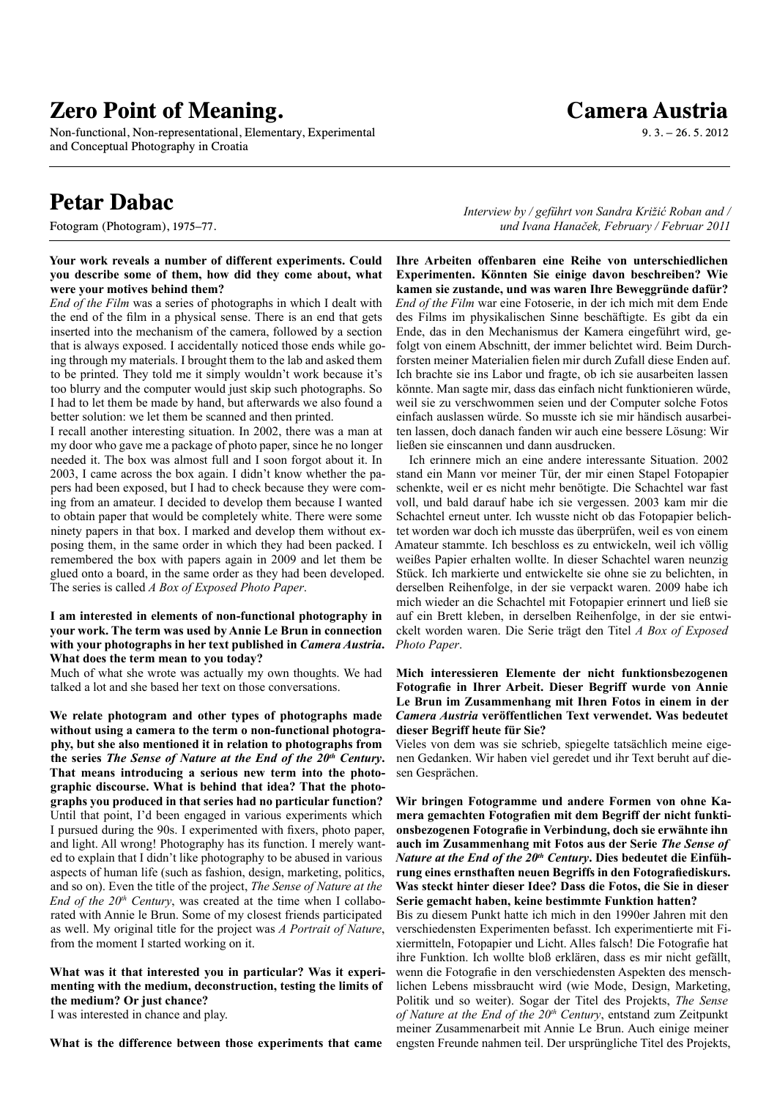Non-functional, Non-representational, Elementary, Experimental and Conceptual Photography in Croatia

### **Petar Dabac**

Fotogram (Photogram), 1975–77.

#### **Your work reveals a number of different experiments. Could you describe some of them, how did they come about, what were your motives behind them?**

*End of the Film* was a series of photographs in which I dealt with the end of the film in a physical sense. There is an end that gets inserted into the mechanism of the camera, followed by a section that is always exposed. I accidentally noticed those ends while going through my materials. I brought them to the lab and asked them to be printed. They told me it simply wouldn't work because it's too blurry and the computer would just skip such photographs. So I had to let them be made by hand, but afterwards we also found a better solution: we let them be scanned and then printed.

I recall another interesting situation. In 2002, there was a man at my door who gave me a package of photo paper, since he no longer needed it. The box was almost full and I soon forgot about it. In 2003, I came across the box again. I didn't know whether the papers had been exposed, but I had to check because they were coming from an amateur. I decided to develop them because I wanted to obtain paper that would be completely white. There were some ninety papers in that box. I marked and develop them without exposing them, in the same order in which they had been packed. I remembered the box with papers again in 2009 and let them be glued onto a board, in the same order as they had been developed. The series is called *A Box of Exposed Photo Paper*.

#### **I am interested in elements of non-functional photography in your work. The term was used by Annie Le Brun in connection with your photographs in her text published in** *Camera Austria***. What does the term mean to you today?**

Much of what she wrote was actually my own thoughts. We had talked a lot and she based her text on those conversations.

**We relate photogram and other types of photographs made without using a camera to the term o non-functional photography, but she also mentioned it in relation to photographs from the series** *The Sense of Nature at the End of the 20th Century***. That means introducing a serious new term into the photographic discourse. What is behind that idea? That the photographs you produced in that series had no particular function?** Until that point, I'd been engaged in various experiments which I pursued during the 90s. I experimented with fixers, photo paper, and light. All wrong! Photography has its function. I merely wanted to explain that I didn't like photography to be abused in various aspects of human life (such as fashion, design, marketing, politics, and so on). Even the title of the project, *The Sense of Nature at the End of the*  $20<sup>th</sup>$  *Century*, was created at the time when I collaborated with Annie le Brun. Some of my closest friends participated as well. My original title for the project was *A Portrait of Nature*, from the moment I started working on it.

#### **What was it that interested you in particular? Was it experimenting with the medium, deconstruction, testing the limits of the medium? Or just chance?**

I was interested in chance and play.

**What is the difference between those experiments that came** 

*Interview by / geführt von Sandra Križić Roban and / und Ivana Hanaček, February / Februar 2011*

**Ihre Arbeiten offenbaren eine Reihe von unterschiedlichen Experimenten. Könnten Sie einige davon beschreiben? Wie kamen sie zustande, und was waren Ihre Beweggründe dafür?** *End of the Film* war eine Fotoserie, in der ich mich mit dem Ende des Films im physikalischen Sinne beschäftigte. Es gibt da ein Ende, das in den Mechanismus der Kamera eingeführt wird, gefolgt von einem Abschnitt, der immer belichtet wird. Beim Durchforsten meiner Materialien fielen mir durch Zufall diese Enden auf. Ich brachte sie ins Labor und fragte, ob ich sie ausarbeiten lassen könnte. Man sagte mir, dass das einfach nicht funktionieren würde, weil sie zu verschwommen seien und der Computer solche Fotos einfach auslassen würde. So musste ich sie mir händisch ausarbeiten lassen, doch danach fanden wir auch eine bessere Lösung: Wir ließen sie einscannen und dann ausdrucken.

Ich erinnere mich an eine andere interessante Situation. 2002 stand ein Mann vor meiner Tür, der mir einen Stapel Fotopapier schenkte, weil er es nicht mehr benötigte. Die Schachtel war fast voll, und bald darauf habe ich sie vergessen. 2003 kam mir die Schachtel erneut unter. Ich wusste nicht ob das Fotopapier belichtet worden war doch ich musste das überprüfen, weil es von einem Amateur stammte. Ich beschloss es zu entwickeln, weil ich völlig weißes Papier erhalten wollte. In dieser Schachtel waren neunzig Stück. Ich markierte und entwickelte sie ohne sie zu belichten, in derselben Reihenfolge, in der sie verpackt waren. 2009 habe ich mich wieder an die Schachtel mit Fotopapier erinnert und ließ sie auf ein Brett kleben, in derselben Reihenfolge, in der sie entwickelt worden waren. Die Serie trägt den Titel *A Box of Exposed Photo Paper*.

#### **Mich interessieren Elemente der nicht funktionsbezogenen Fotografie in Ihrer Arbeit. Dieser Begriff wurde von Annie Le Brun im Zusammenhang mit Ihren Fotos in einem in der**  *Camera Austria* **veröffentlichen Text verwendet. Was bedeutet dieser Begriff heute für Sie?**

Vieles von dem was sie schrieb, spiegelte tatsächlich meine eigenen Gedanken. Wir haben viel geredet und ihr Text beruht auf diesen Gesprächen.

**Wir bringen Fotogramme und andere Formen von ohne Kamera gemachten Fotografien mit dem Begriff der nicht funktionsbezogenen Fotografie in Verbindung, doch sie erwähnte ihn auch im Zusammenhang mit Fotos aus der Serie** *The Sense of Nature at the End of the 20th Century***. Dies bedeutet die Einführung eines ernsthaften neuen Begriffs in den Fotografiediskurs. Was steckt hinter dieser Idee? Dass die Fotos, die Sie in dieser Serie gemacht haben, keine bestimmte Funktion hatten?**

Bis zu diesem Punkt hatte ich mich in den 1990er Jahren mit den verschiedensten Experimenten befasst. Ich experimentierte mit Fixiermitteln, Fotopapier und Licht. Alles falsch! Die Fotografie hat ihre Funktion. Ich wollte bloß erklären, dass es mir nicht gefällt, wenn die Fotografie in den verschiedensten Aspekten des menschlichen Lebens missbraucht wird (wie Mode, Design, Marketing, Politik und so weiter). Sogar der Titel des Projekts, *The Sense of Nature at the End of the 20th Century*, entstand zum Zeitpunkt meiner Zusammenarbeit mit Annie Le Brun. Auch einige meiner engsten Freunde nahmen teil. Der ursprüngliche Titel des Projekts,

### **Camera Austria**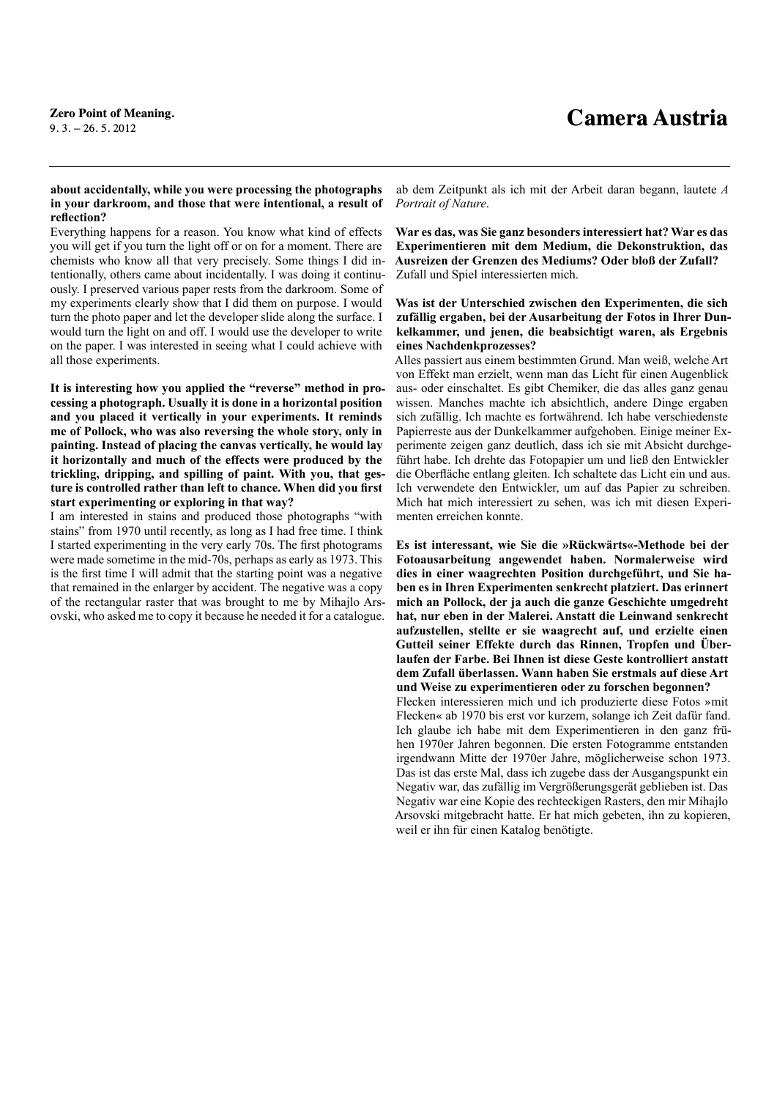#### **about accidentally, while you were processing the photographs in your darkroom, and those that were intentional, a result of reflection?**

Everything happens for a reason. You know what kind of effects you will get if you turn the light off or on for a moment. There are chemists who know all that very precisely. Some things I did intentionally, others came about incidentally. I was doing it continuously. I preserved various paper rests from the darkroom. Some of my experiments clearly show that I did them on purpose. I would turn the photo paper and let the developer slide along the surface. I would turn the light on and off. I would use the developer to write on the paper. I was interested in seeing what I could achieve with all those experiments.

**It is interesting how you applied the "reverse" method in processing a photograph. Usually it is done in a horizontal position and you placed it vertically in your experiments. It reminds me of Pollock, who was also reversing the whole story, only in painting. Instead of placing the canvas vertically, he would lay it horizontally and much of the effects were produced by the trickling, dripping, and spilling of paint. With you, that gesture is controlled rather than left to chance. When did you first start experimenting or exploring in that way?**

I am interested in stains and produced those photographs "with stains" from 1970 until recently, as long as I had free time. I think I started experimenting in the very early 70s. The first photograms were made sometime in the mid-70s, perhaps as early as 1973. This is the first time I will admit that the starting point was a negative that remained in the enlarger by accident. The negative was a copy of the rectangular raster that was brought to me by Mihajlo Arsovski, who asked me to copy it because he needed it for a catalogue.

ab dem Zeitpunkt als ich mit der Arbeit daran begann, lautete *A Portrait of Nature*.

**War es das, was Sie ganz besonders interessiert hat? War es das Experimentieren mit dem Medium, die Dekonstruktion, das Ausreizen der Grenzen des Mediums? Oder bloß der Zufall?** Zufall und Spiel interessierten mich.

**Was ist der Unterschied zwischen den Experimenten, die sich zufällig ergaben, bei der Ausarbeitung der Fotos in Ihrer Dunkelkammer, und jenen, die beabsichtigt waren, als Ergebnis eines Nachdenkprozesses?**

Alles passiert aus einem bestimmten Grund. Man weiß, welche Art von Effekt man erzielt, wenn man das Licht für einen Augenblick aus- oder einschaltet. Es gibt Chemiker, die das alles ganz genau wissen. Manches machte ich absichtlich, andere Dinge ergaben sich zufällig. Ich machte es fortwährend. Ich habe verschiedenste Papierreste aus der Dunkelkammer aufgehoben. Einige meiner Experimente zeigen ganz deutlich, dass ich sie mit Absicht durchgeführt habe. Ich drehte das Fotopapier um und ließ den Entwickler die Oberfläche entlang gleiten. Ich schaltete das Licht ein und aus. Ich verwendete den Entwickler, um auf das Papier zu schreiben. Mich hat mich interessiert zu sehen, was ich mit diesen Experimenten erreichen konnte.

**Es ist interessant, wie Sie die »Rückwärts«-Methode bei der Fotoausarbeitung angewendet haben. Normalerweise wird dies in einer waagrechten Position durchgeführt, und Sie haben es in Ihren Experimenten senkrecht platziert. Das erinnert mich an Pollock, der ja auch die ganze Geschichte umgedreht hat, nur eben in der Malerei. Anstatt die Leinwand senkrecht aufzustellen, stellte er sie waagrecht auf, und erzielte einen Gutteil seiner Effekte durch das Rinnen, Tropfen und Überlaufen der Farbe. Bei Ihnen ist diese Geste kontrolliert anstatt dem Zufall überlassen. Wann haben Sie erstmals auf diese Art und Weise zu experimentieren oder zu forschen begonnen?** Flecken interessieren mich und ich produzierte diese Fotos »mit Flecken« ab 1970 bis erst vor kurzem, solange ich Zeit dafür fand. Ich glaube ich habe mit dem Experimentieren in den ganz frühen 1970er Jahren begonnen. Die ersten Fotogramme entstanden

irgendwann Mitte der 1970er Jahre, möglicherweise schon 1973. Das ist das erste Mal, dass ich zugebe dass der Ausgangspunkt ein Negativ war, das zufällig im Vergrößerungsgerät geblieben ist. Das Negativ war eine Kopie des rechteckigen Rasters, den mir Mihajlo Arsovski mitgebracht hatte. Er hat mich gebeten, ihn zu kopieren, weil er ihn für einen Katalog benötigte.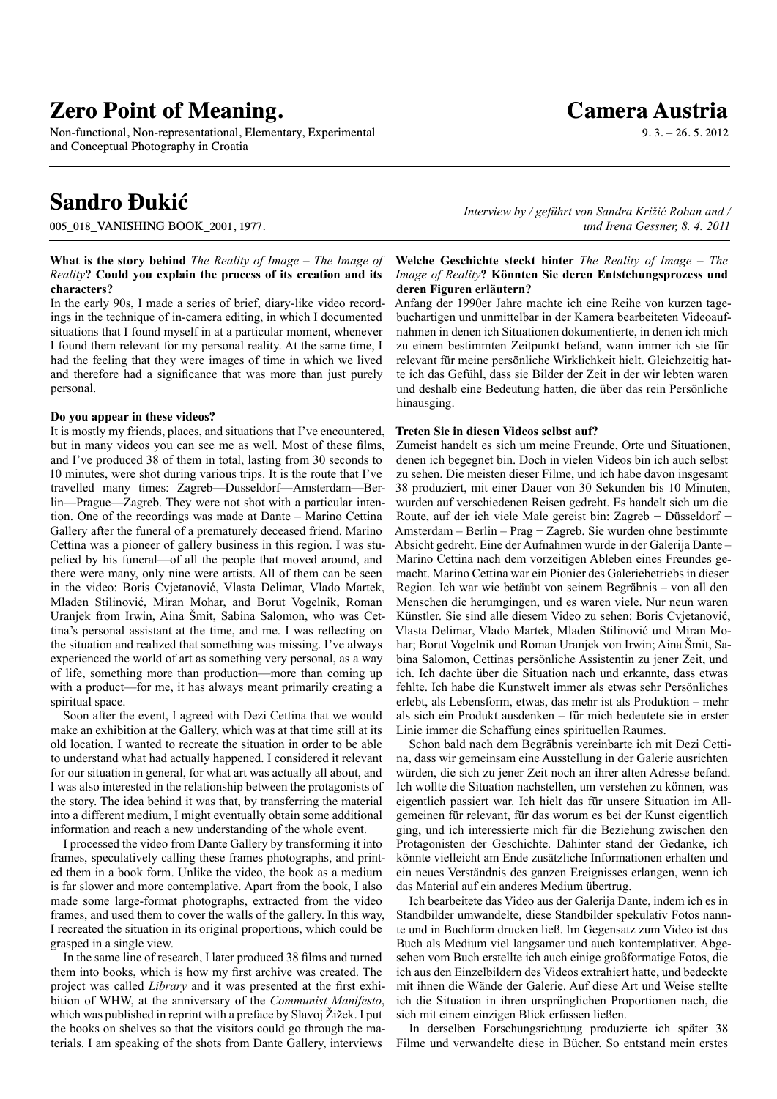Non-functional, Non-representational, Elementary, Experimental and Conceptual Photography in Croatia

### **Sandro Đukić**

005\_018\_VANISHING BOOK\_2001, 1977.

#### **What is the story behind** *The Reality of Image – The Image of Reality***? Could you explain the process of its creation and its characters?**

In the early 90s, I made a series of brief, diary-like video recordings in the technique of in-camera editing, in which I documented situations that I found myself in at a particular moment, whenever I found them relevant for my personal reality. At the same time, I had the feeling that they were images of time in which we lived and therefore had a significance that was more than just purely personal.

#### **Do you appear in these videos?**

It is mostly my friends, places, and situations that I've encountered, but in many videos you can see me as well. Most of these films, and I've produced 38 of them in total, lasting from 30 seconds to 10 minutes, were shot during various trips. It is the route that I've travelled many times: Zagreb—Dusseldorf—Amsterdam—Berlin—Prague—Zagreb. They were not shot with a particular intention. One of the recordings was made at Dante – Marino Cettina Gallery after the funeral of a prematurely deceased friend. Marino Cettina was a pioneer of gallery business in this region. I was stupefied by his funeral—of all the people that moved around, and there were many, only nine were artists. All of them can be seen in the video: Boris Cvjetanović, Vlasta Delimar, Vlado Martek, Mladen Stilinović, Miran Mohar, and Borut Vogelnik, Roman Uranjek from Irwin, Aina Šmit, Sabina Salomon, who was Cettina's personal assistant at the time, and me. I was reflecting on the situation and realized that something was missing. I've always experienced the world of art as something very personal, as a way of life, something more than production—more than coming up with a product—for me, it has always meant primarily creating a spiritual space.

Soon after the event, I agreed with Dezi Cettina that we would make an exhibition at the Gallery, which was at that time still at its old location. I wanted to recreate the situation in order to be able to understand what had actually happened. I considered it relevant for our situation in general, for what art was actually all about, and I was also interested in the relationship between the protagonists of the story. The idea behind it was that, by transferring the material into a different medium, I might eventually obtain some additional information and reach a new understanding of the whole event.

I processed the video from Dante Gallery by transforming it into frames, speculatively calling these frames photographs, and printed them in a book form. Unlike the video, the book as a medium is far slower and more contemplative. Apart from the book, I also made some large-format photographs, extracted from the video frames, and used them to cover the walls of the gallery. In this way, I recreated the situation in its original proportions, which could be grasped in a single view.

In the same line of research, I later produced 38 films and turned them into books, which is how my first archive was created. The project was called *Library* and it was presented at the first exhibition of WHW, at the anniversary of the *Communist Manifesto*, which was published in reprint with a preface by Slavoj Žižek. I put the books on shelves so that the visitors could go through the materials. I am speaking of the shots from Dante Gallery, interviews

*Interview by / geführt von Sandra Križić Roban and / und Irena Gessner, 8. 4. 2011*

#### **Welche Geschichte steckt hinter** *The Reality of Image – The Image of Reality***? Könnten Sie deren Entstehungsprozess und deren Figuren erläutern?**

Anfang der 1990er Jahre machte ich eine Reihe von kurzen tagebuchartigen und unmittelbar in der Kamera bearbeiteten Videoaufnahmen in denen ich Situationen dokumentierte, in denen ich mich zu einem bestimmten Zeitpunkt befand, wann immer ich sie für relevant für meine persönliche Wirklichkeit hielt. Gleichzeitig hatte ich das Gefühl, dass sie Bilder der Zeit in der wir lebten waren und deshalb eine Bedeutung hatten, die über das rein Persönliche hinausging.

#### **Treten Sie in diesen Videos selbst auf?**

Zumeist handelt es sich um meine Freunde, Orte und Situationen, denen ich begegnet bin. Doch in vielen Videos bin ich auch selbst zu sehen. Die meisten dieser Filme, und ich habe davon insgesamt 38 produziert, mit einer Dauer von 30 Sekunden bis 10 Minuten, wurden auf verschiedenen Reisen gedreht. Es handelt sich um die Route, auf der ich viele Male gereist bin: Zagreb − Düsseldorf − Amsterdam – Berlin – Prag − Zagreb. Sie wurden ohne bestimmte Absicht gedreht. Eine der Aufnahmen wurde in der Galerija Dante – Marino Cettina nach dem vorzeitigen Ableben eines Freundes gemacht. Marino Cettina war ein Pionier des Galeriebetriebs in dieser Region. Ich war wie betäubt von seinem Begräbnis – von all den Menschen die herumgingen, und es waren viele. Nur neun waren Künstler. Sie sind alle diesem Video zu sehen: Boris Cvjetanović, Vlasta Delimar, Vlado Martek, Mladen Stilinović und Miran Mohar; Borut Vogelnik und Roman Uranjek von Irwin; Aina Šmit, Sabina Salomon, Cettinas persönliche Assistentin zu jener Zeit, und ich. Ich dachte über die Situation nach und erkannte, dass etwas fehlte. Ich habe die Kunstwelt immer als etwas sehr Persönliches erlebt, als Lebensform, etwas, das mehr ist als Produktion – mehr als sich ein Produkt ausdenken – für mich bedeutete sie in erster Linie immer die Schaffung eines spirituellen Raumes.

Schon bald nach dem Begräbnis vereinbarte ich mit Dezi Cettina, dass wir gemeinsam eine Ausstellung in der Galerie ausrichten würden, die sich zu jener Zeit noch an ihrer alten Adresse befand. Ich wollte die Situation nachstellen, um verstehen zu können, was eigentlich passiert war. Ich hielt das für unsere Situation im Allgemeinen für relevant, für das worum es bei der Kunst eigentlich ging, und ich interessierte mich für die Beziehung zwischen den Protagonisten der Geschichte. Dahinter stand der Gedanke, ich könnte vielleicht am Ende zusätzliche Informationen erhalten und ein neues Verständnis des ganzen Ereignisses erlangen, wenn ich das Material auf ein anderes Medium übertrug.

Ich bearbeitete das Video aus der Galerija Dante, indem ich es in Standbilder umwandelte, diese Standbilder spekulativ Fotos nannte und in Buchform drucken ließ. Im Gegensatz zum Video ist das Buch als Medium viel langsamer und auch kontemplativer. Abgesehen vom Buch erstellte ich auch einige großformatige Fotos, die ich aus den Einzelbildern des Videos extrahiert hatte, und bedeckte mit ihnen die Wände der Galerie. Auf diese Art und Weise stellte ich die Situation in ihren ursprünglichen Proportionen nach, die sich mit einem einzigen Blick erfassen ließen.

In derselben Forschungsrichtung produzierte ich später 38 Filme und verwandelte diese in Bücher. So entstand mein erstes

### **Camera Austria**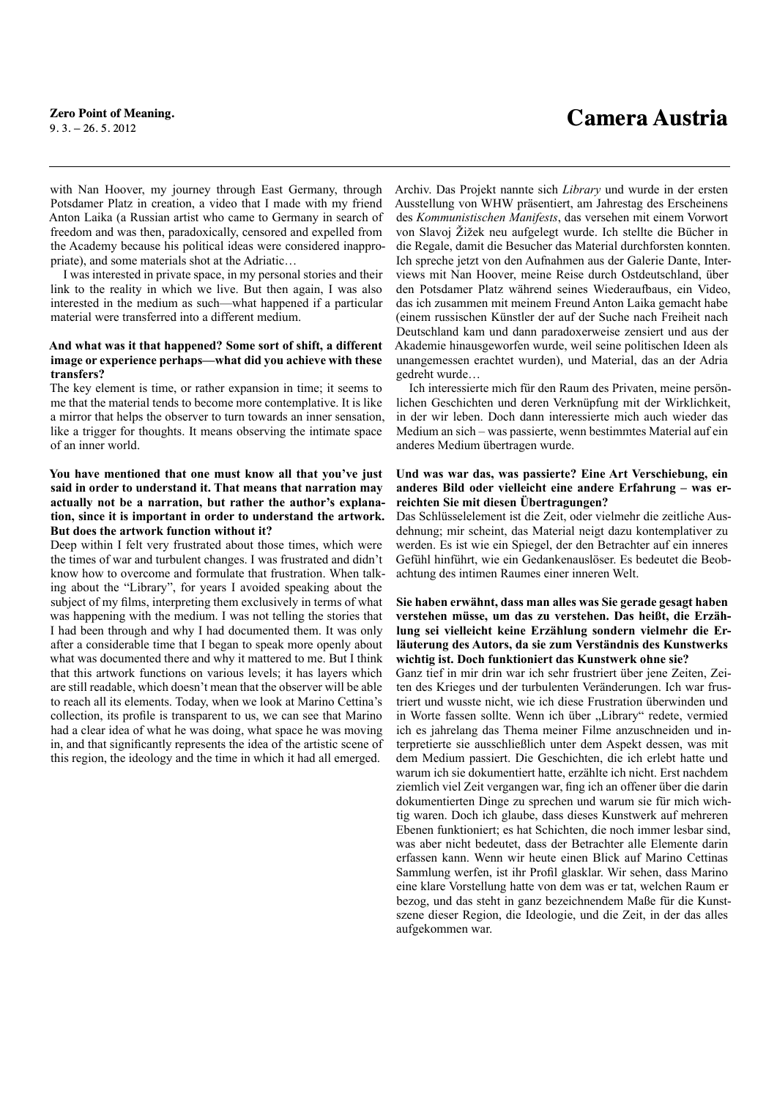with Nan Hoover, my journey through East Germany, through Potsdamer Platz in creation, a video that I made with my friend Anton Laika (a Russian artist who came to Germany in search of freedom and was then, paradoxically, censored and expelled from the Academy because his political ideas were considered inappropriate), and some materials shot at the Adriatic…

I was interested in private space, in my personal stories and their link to the reality in which we live. But then again, I was also interested in the medium as such—what happened if a particular material were transferred into a different medium.

#### **And what was it that happened? Some sort of shift, a different image or experience perhaps—what did you achieve with these transfers?**

The key element is time, or rather expansion in time; it seems to me that the material tends to become more contemplative. It is like a mirror that helps the observer to turn towards an inner sensation, like a trigger for thoughts. It means observing the intimate space of an inner world.

#### **You have mentioned that one must know all that you've just said in order to understand it. That means that narration may actually not be a narration, but rather the author's explanation, since it is important in order to understand the artwork. But does the artwork function without it?**

Deep within I felt very frustrated about those times, which were the times of war and turbulent changes. I was frustrated and didn't know how to overcome and formulate that frustration. When talking about the "Library", for years I avoided speaking about the subject of my films, interpreting them exclusively in terms of what was happening with the medium. I was not telling the stories that I had been through and why I had documented them. It was only after a considerable time that I began to speak more openly about what was documented there and why it mattered to me. But I think that this artwork functions on various levels; it has layers which are still readable, which doesn't mean that the observer will be able to reach all its elements. Today, when we look at Marino Cettina's collection, its profile is transparent to us, we can see that Marino had a clear idea of what he was doing, what space he was moving in, and that significantly represents the idea of the artistic scene of this region, the ideology and the time in which it had all emerged.

Archiv. Das Projekt nannte sich *Library* und wurde in der ersten Ausstellung von WHW präsentiert, am Jahrestag des Erscheinens des *Kommunistischen Manifests*, das versehen mit einem Vorwort von Slavoj Žižek neu aufgelegt wurde. Ich stellte die Bücher in die Regale, damit die Besucher das Material durchforsten konnten. Ich spreche jetzt von den Aufnahmen aus der Galerie Dante, Interviews mit Nan Hoover, meine Reise durch Ostdeutschland, über den Potsdamer Platz während seines Wiederaufbaus, ein Video, das ich zusammen mit meinem Freund Anton Laika gemacht habe (einem russischen Künstler der auf der Suche nach Freiheit nach Deutschland kam und dann paradoxerweise zensiert und aus der Akademie hinausgeworfen wurde, weil seine politischen Ideen als unangemessen erachtet wurden), und Material, das an der Adria gedreht wurde…

Ich interessierte mich für den Raum des Privaten, meine persönlichen Geschichten und deren Verknüpfung mit der Wirklichkeit, in der wir leben. Doch dann interessierte mich auch wieder das Medium an sich – was passierte, wenn bestimmtes Material auf ein anderes Medium übertragen wurde.

#### **Und was war das, was passierte? Eine Art Verschiebung, ein anderes Bild oder vielleicht eine andere Erfahrung – was erreichten Sie mit diesen Übertragungen?**

Das Schlüsselelement ist die Zeit, oder vielmehr die zeitliche Ausdehnung; mir scheint, das Material neigt dazu kontemplativer zu werden. Es ist wie ein Spiegel, der den Betrachter auf ein inneres Gefühl hinführt, wie ein Gedankenauslöser. Es bedeutet die Beobachtung des intimen Raumes einer inneren Welt.

#### **Sie haben erwähnt, dass man alles was Sie gerade gesagt haben verstehen müsse, um das zu verstehen. Das heißt, die Erzählung sei vielleicht keine Erzählung sondern vielmehr die Erläuterung des Autors, da sie zum Verständnis des Kunstwerks wichtig ist. Doch funktioniert das Kunstwerk ohne sie?**

Ganz tief in mir drin war ich sehr frustriert über jene Zeiten, Zeiten des Krieges und der turbulenten Veränderungen. Ich war frustriert und wusste nicht, wie ich diese Frustration überwinden und in Worte fassen sollte. Wenn ich über "Library" redete, vermied ich es jahrelang das Thema meiner Filme anzuschneiden und interpretierte sie ausschließlich unter dem Aspekt dessen, was mit dem Medium passiert. Die Geschichten, die ich erlebt hatte und warum ich sie dokumentiert hatte, erzählte ich nicht. Erst nachdem ziemlich viel Zeit vergangen war, fing ich an offener über die darin dokumentierten Dinge zu sprechen und warum sie für mich wichtig waren. Doch ich glaube, dass dieses Kunstwerk auf mehreren Ebenen funktioniert; es hat Schichten, die noch immer lesbar sind, was aber nicht bedeutet, dass der Betrachter alle Elemente darin erfassen kann. Wenn wir heute einen Blick auf Marino Cettinas Sammlung werfen, ist ihr Profil glasklar. Wir sehen, dass Marino eine klare Vorstellung hatte von dem was er tat, welchen Raum er bezog, und das steht in ganz bezeichnendem Maße für die Kunstszene dieser Region, die Ideologie, und die Zeit, in der das alles aufgekommen war.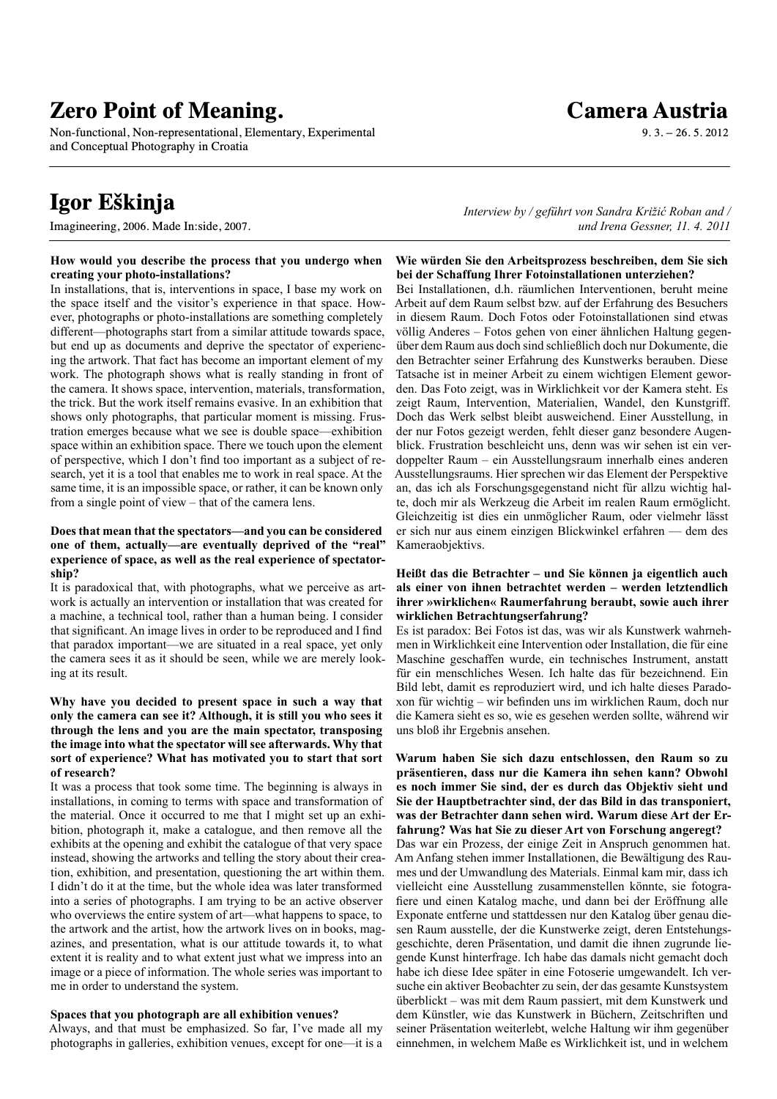Non-functional, Non-representational, Elementary, Experimental and Conceptual Photography in Croatia

### **Igor Eškinja**

Imagineering, 2006. Made In:side, 2007.

#### **How would you describe the process that you undergo when creating your photo-installations?**

In installations, that is, interventions in space, I base my work on the space itself and the visitor's experience in that space. However, photographs or photo-installations are something completely different—photographs start from a similar attitude towards space, but end up as documents and deprive the spectator of experiencing the artwork. That fact has become an important element of my work. The photograph shows what is really standing in front of the camera. It shows space, intervention, materials, transformation, the trick. But the work itself remains evasive. In an exhibition that shows only photographs, that particular moment is missing. Frustration emerges because what we see is double space—exhibition space within an exhibition space. There we touch upon the element of perspective, which I don't find too important as a subject of research, yet it is a tool that enables me to work in real space. At the same time, it is an impossible space, or rather, it can be known only from a single point of view – that of the camera lens.

#### **Does that mean that the spectators—and you can be considered one of them, actually—are eventually deprived of the "real" experience of space, as well as the real experience of spectatorship?**

It is paradoxical that, with photographs, what we perceive as artwork is actually an intervention or installation that was created for a machine, a technical tool, rather than a human being. I consider that significant. An image lives in order to be reproduced and I find that paradox important—we are situated in a real space, yet only the camera sees it as it should be seen, while we are merely looking at its result.

#### **Why have you decided to present space in such a way that only the camera can see it? Although, it is still you who sees it through the lens and you are the main spectator, transposing the image into what the spectator will see afterwards. Why that sort of experience? What has motivated you to start that sort of research?**

It was a process that took some time. The beginning is always in installations, in coming to terms with space and transformation of the material. Once it occurred to me that I might set up an exhibition, photograph it, make a catalogue, and then remove all the exhibits at the opening and exhibit the catalogue of that very space instead, showing the artworks and telling the story about their creation, exhibition, and presentation, questioning the art within them. I didn't do it at the time, but the whole idea was later transformed into a series of photographs. I am trying to be an active observer who overviews the entire system of art—what happens to space, to the artwork and the artist, how the artwork lives on in books, magazines, and presentation, what is our attitude towards it, to what extent it is reality and to what extent just what we impress into an image or a piece of information. The whole series was important to me in order to understand the system.

#### **Spaces that you photograph are all exhibition venues?**

Always, and that must be emphasized. So far, I've made all my photographs in galleries, exhibition venues, except for one—it is a *Interview by / geführt von Sandra Križić Roban and / und Irena Gessner, 11. 4. 2011*

#### **Wie würden Sie den Arbeitsprozess beschreiben, dem Sie sich bei der Schaffung Ihrer Fotoinstallationen unterziehen?**

Bei Installationen, d.h. räumlichen Interventionen, beruht meine Arbeit auf dem Raum selbst bzw. auf der Erfahrung des Besuchers in diesem Raum. Doch Fotos oder Fotoinstallationen sind etwas völlig Anderes – Fotos gehen von einer ähnlichen Haltung gegenüber dem Raum aus doch sind schließlich doch nur Dokumente, die den Betrachter seiner Erfahrung des Kunstwerks berauben. Diese Tatsache ist in meiner Arbeit zu einem wichtigen Element geworden. Das Foto zeigt, was in Wirklichkeit vor der Kamera steht. Es zeigt Raum, Intervention, Materialien, Wandel, den Kunstgriff. Doch das Werk selbst bleibt ausweichend. Einer Ausstellung, in der nur Fotos gezeigt werden, fehlt dieser ganz besondere Augenblick. Frustration beschleicht uns, denn was wir sehen ist ein verdoppelter Raum – ein Ausstellungsraum innerhalb eines anderen Ausstellungsraums. Hier sprechen wir das Element der Perspektive an, das ich als Forschungsgegenstand nicht für allzu wichtig halte, doch mir als Werkzeug die Arbeit im realen Raum ermöglicht. Gleichzeitig ist dies ein unmöglicher Raum, oder vielmehr lässt er sich nur aus einem einzigen Blickwinkel erfahren — dem des Kameraobjektivs.

#### **Heißt das die Betrachter – und Sie können ja eigentlich auch als einer von ihnen betrachtet werden – werden letztendlich ihrer »wirklichen« Raumerfahrung beraubt, sowie auch ihrer wirklichen Betrachtungserfahrung?**

Es ist paradox: Bei Fotos ist das, was wir als Kunstwerk wahrnehmen in Wirklichkeit eine Intervention oder Installation, die für eine Maschine geschaffen wurde, ein technisches Instrument, anstatt für ein menschliches Wesen. Ich halte das für bezeichnend. Ein Bild lebt, damit es reproduziert wird, und ich halte dieses Paradoxon für wichtig – wir befinden uns im wirklichen Raum, doch nur die Kamera sieht es so, wie es gesehen werden sollte, während wir uns bloß ihr Ergebnis ansehen.

**Warum haben Sie sich dazu entschlossen, den Raum so zu präsentieren, dass nur die Kamera ihn sehen kann? Obwohl es noch immer Sie sind, der es durch das Objektiv sieht und Sie der Hauptbetrachter sind, der das Bild in das transponiert, was der Betrachter dann sehen wird. Warum diese Art der Erfahrung? Was hat Sie zu dieser Art von Forschung angeregt?**

Das war ein Prozess, der einige Zeit in Anspruch genommen hat. Am Anfang stehen immer Installationen, die Bewältigung des Raumes und der Umwandlung des Materials. Einmal kam mir, dass ich vielleicht eine Ausstellung zusammenstellen könnte, sie fotografiere und einen Katalog mache, und dann bei der Eröffnung alle Exponate entferne und stattdessen nur den Katalog über genau diesen Raum ausstelle, der die Kunstwerke zeigt, deren Entstehungsgeschichte, deren Präsentation, und damit die ihnen zugrunde liegende Kunst hinterfrage. Ich habe das damals nicht gemacht doch habe ich diese Idee später in eine Fotoserie umgewandelt. Ich versuche ein aktiver Beobachter zu sein, der das gesamte Kunstsystem überblickt – was mit dem Raum passiert, mit dem Kunstwerk und dem Künstler, wie das Kunstwerk in Büchern, Zeitschriften und seiner Präsentation weiterlebt, welche Haltung wir ihm gegenüber einnehmen, in welchem Maße es Wirklichkeit ist, und in welchem

### **Camera Austria**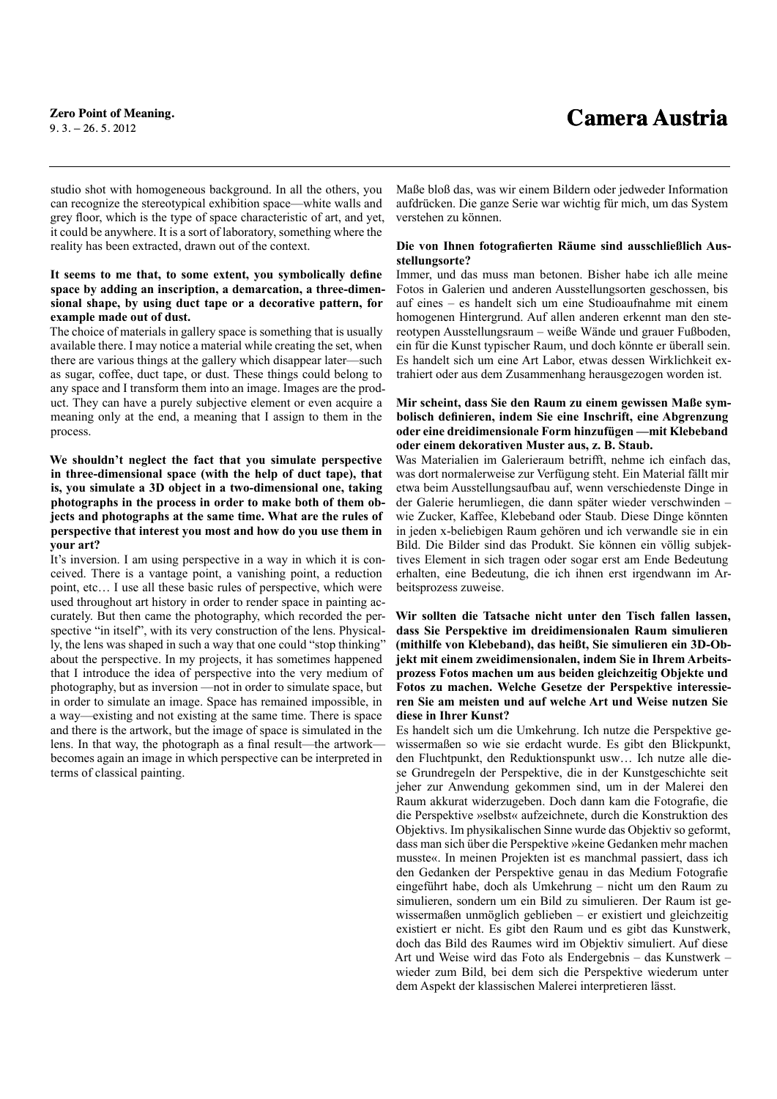studio shot with homogeneous background. In all the others, you can recognize the stereotypical exhibition space—white walls and grey floor, which is the type of space characteristic of art, and yet, it could be anywhere. It is a sort of laboratory, something where the reality has been extracted, drawn out of the context.

#### **It seems to me that, to some extent, you symbolically define space by adding an inscription, a demarcation, a three-dimensional shape, by using duct tape or a decorative pattern, for example made out of dust.**

The choice of materials in gallery space is something that is usually available there. I may notice a material while creating the set, when there are various things at the gallery which disappear later—such as sugar, coffee, duct tape, or dust. These things could belong to any space and I transform them into an image. Images are the product. They can have a purely subjective element or even acquire a meaning only at the end, a meaning that I assign to them in the process.

#### **We shouldn't neglect the fact that you simulate perspective in three-dimensional space (with the help of duct tape), that is, you simulate a 3D object in a two-dimensional one, taking photographs in the process in order to make both of them objects and photographs at the same time. What are the rules of perspective that interest you most and how do you use them in your art?**

It's inversion. I am using perspective in a way in which it is conceived. There is a vantage point, a vanishing point, a reduction point, etc… I use all these basic rules of perspective, which were used throughout art history in order to render space in painting accurately. But then came the photography, which recorded the perspective "in itself", with its very construction of the lens. Physically, the lens was shaped in such a way that one could "stop thinking" about the perspective. In my projects, it has sometimes happened that I introduce the idea of perspective into the very medium of photography, but as inversion —not in order to simulate space, but in order to simulate an image. Space has remained impossible, in a way—existing and not existing at the same time. There is space and there is the artwork, but the image of space is simulated in the lens. In that way, the photograph as a final result—the artwork becomes again an image in which perspective can be interpreted in terms of classical painting.

Maße bloß das, was wir einem Bildern oder jedweder Information aufdrücken. Die ganze Serie war wichtig für mich, um das System verstehen zu können.

#### **Die von Ihnen fotografierten Räume sind ausschließlich Ausstellungsorte?**

Immer, und das muss man betonen. Bisher habe ich alle meine Fotos in Galerien und anderen Ausstellungsorten geschossen, bis auf eines – es handelt sich um eine Studioaufnahme mit einem homogenen Hintergrund. Auf allen anderen erkennt man den stereotypen Ausstellungsraum – weiße Wände und grauer Fußboden, ein für die Kunst typischer Raum, und doch könnte er überall sein. Es handelt sich um eine Art Labor, etwas dessen Wirklichkeit extrahiert oder aus dem Zusammenhang herausgezogen worden ist.

#### **Mir scheint, dass Sie den Raum zu einem gewissen Maße symbolisch definieren, indem Sie eine Inschrift, eine Abgrenzung oder eine dreidimensionale Form hinzufügen —mit Klebeband oder einem dekorativen Muster aus, z. B. Staub.**

Was Materialien im Galerieraum betrifft, nehme ich einfach das, was dort normalerweise zur Verfügung steht. Ein Material fällt mir etwa beim Ausstellungsaufbau auf, wenn verschiedenste Dinge in der Galerie herumliegen, die dann später wieder verschwinden – wie Zucker, Kaffee, Klebeband oder Staub. Diese Dinge könnten in jeden x-beliebigen Raum gehören und ich verwandle sie in ein Bild. Die Bilder sind das Produkt. Sie können ein völlig subjektives Element in sich tragen oder sogar erst am Ende Bedeutung erhalten, eine Bedeutung, die ich ihnen erst irgendwann im Arbeitsprozess zuweise.

#### **Wir sollten die Tatsache nicht unter den Tisch fallen lassen, dass Sie Perspektive im dreidimensionalen Raum simulieren (mithilfe von Klebeband), das heißt, Sie simulieren ein 3D-Objekt mit einem zweidimensionalen, indem Sie in Ihrem Arbeitsprozess Fotos machen um aus beiden gleichzeitig Objekte und Fotos zu machen. Welche Gesetze der Perspektive interessieren Sie am meisten und auf welche Art und Weise nutzen Sie diese in Ihrer Kunst?**

Es handelt sich um die Umkehrung. Ich nutze die Perspektive gewissermaßen so wie sie erdacht wurde. Es gibt den Blickpunkt, den Fluchtpunkt, den Reduktionspunkt usw… Ich nutze alle diese Grundregeln der Perspektive, die in der Kunstgeschichte seit jeher zur Anwendung gekommen sind, um in der Malerei den Raum akkurat widerzugeben. Doch dann kam die Fotografie, die die Perspektive »selbst« aufzeichnete, durch die Konstruktion des Objektivs. Im physikalischen Sinne wurde das Objektiv so geformt, dass man sich über die Perspektive »keine Gedanken mehr machen musste«. In meinen Projekten ist es manchmal passiert, dass ich den Gedanken der Perspektive genau in das Medium Fotografie eingeführt habe, doch als Umkehrung – nicht um den Raum zu simulieren, sondern um ein Bild zu simulieren. Der Raum ist gewissermaßen unmöglich geblieben – er existiert und gleichzeitig existiert er nicht. Es gibt den Raum und es gibt das Kunstwerk, doch das Bild des Raumes wird im Objektiv simuliert. Auf diese Art und Weise wird das Foto als Endergebnis – das Kunstwerk – wieder zum Bild, bei dem sich die Perspektive wiederum unter dem Aspekt der klassischen Malerei interpretieren lässt.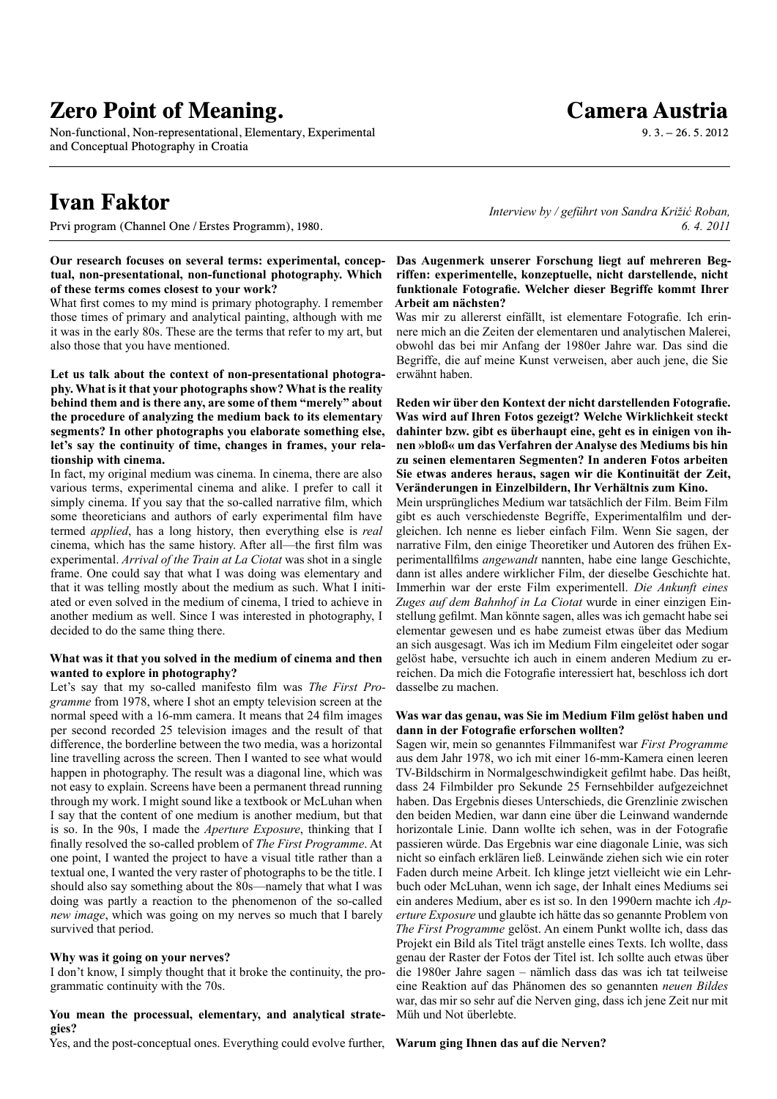Non-functional, Non-representational, Elementary, Experimental and Conceptual Photography in Croatia

### **Camera Austria**

 $9.3 - 26.5$ , 2012

### **Ivan Faktor**

Prvi program (Channel One /Erstes Programm), 1980.

#### **Our research focuses on several terms: experimental, conceptual, non-presentational, non-functional photography. Which of these terms comes closest to your work?**

What first comes to my mind is primary photography. I remember those times of primary and analytical painting, although with me it was in the early 80s. These are the terms that refer to my art, but also those that you have mentioned.

**Let us talk about the context of non-presentational photography. What is it that your photographs show? What is the reality behind them and is there any, are some of them "merely" about the procedure of analyzing the medium back to its elementary segments? In other photographs you elaborate something else, let's say the continuity of time, changes in frames, your relationship with cinema.** 

In fact, my original medium was cinema. In cinema, there are also various terms, experimental cinema and alike. I prefer to call it simply cinema. If you say that the so-called narrative film, which some theoreticians and authors of early experimental film have termed *applied*, has a long history, then everything else is *real* cinema, which has the same history. After all—the first film was experimental. *Arrival of the Train at La Ciotat* was shot in a single frame. One could say that what I was doing was elementary and that it was telling mostly about the medium as such. What I initiated or even solved in the medium of cinema, I tried to achieve in another medium as well. Since I was interested in photography, I decided to do the same thing there.

#### **What was it that you solved in the medium of cinema and then wanted to explore in photography?**

Let's say that my so-called manifesto film was *The First Programme* from 1978, where I shot an empty television screen at the normal speed with a 16-mm camera. It means that 24 film images per second recorded 25 television images and the result of that difference, the borderline between the two media, was a horizontal line travelling across the screen. Then I wanted to see what would happen in photography. The result was a diagonal line, which was not easy to explain. Screens have been a permanent thread running through my work. I might sound like a textbook or McLuhan when I say that the content of one medium is another medium, but that is so. In the 90s, I made the *Aperture Exposure*, thinking that I finally resolved the so-called problem of *The First Programme*. At one point, I wanted the project to have a visual title rather than a textual one, I wanted the very raster of photographs to be the title. I should also say something about the 80s—namely that what I was doing was partly a reaction to the phenomenon of the so-called *new image*, which was going on my nerves so much that I barely survived that period.

#### **Why was it going on your nerves?**

I don't know, I simply thought that it broke the continuity, the programmatic continuity with the 70s.

#### **You mean the processual, elementary, and analytical strategies?**

Yes, and the post-conceptual ones. Everything could evolve further, **Warum ging Ihnen das auf die Nerven?**

*Interview by / geführt von Sandra Križić Roban, 6. 4. 2011*

#### **Das Augenmerk unserer Forschung liegt auf mehreren Begriffen: experimentelle, konzeptuelle, nicht darstellende, nicht funktionale Fotografie. Welcher dieser Begriffe kommt Ihrer Arbeit am nächsten?**

Was mir zu allererst einfällt, ist elementare Fotografie. Ich erinnere mich an die Zeiten der elementaren und analytischen Malerei, obwohl das bei mir Anfang der 1980er Jahre war. Das sind die Begriffe, die auf meine Kunst verweisen, aber auch jene, die Sie erwähnt haben.

**Reden wir über den Kontext der nicht darstellenden Fotografie. Was wird auf Ihren Fotos gezeigt? Welche Wirklichkeit steckt dahinter bzw. gibt es überhaupt eine, geht es in einigen von ihnen »bloß« um das Verfahren der Analyse des Mediums bis hin zu seinen elementaren Segmenten? In anderen Fotos arbeiten Sie etwas anderes heraus, sagen wir die Kontinuität der Zeit, Veränderungen in Einzelbildern, Ihr Verhältnis zum Kino.**

Mein ursprüngliches Medium war tatsächlich der Film. Beim Film gibt es auch verschiedenste Begriffe, Experimentalfilm und dergleichen. Ich nenne es lieber einfach Film. Wenn Sie sagen, der narrative Film, den einige Theoretiker und Autoren des frühen Experimentallfilms *angewandt* nannten, habe eine lange Geschichte, dann ist alles andere wirklicher Film, der dieselbe Geschichte hat. Immerhin war der erste Film experimentell. *Die Ankunft eines Zuges auf dem Bahnhof in La Ciotat* wurde in einer einzigen Einstellung gefilmt. Man könnte sagen, alles was ich gemacht habe sei elementar gewesen und es habe zumeist etwas über das Medium an sich ausgesagt. Was ich im Medium Film eingeleitet oder sogar gelöst habe, versuchte ich auch in einem anderen Medium zu erreichen. Da mich die Fotografie interessiert hat, beschloss ich dort dasselbe zu machen.

#### **Was war das genau, was Sie im Medium Film gelöst haben und dann in der Fotografie erforschen wollten?**

Sagen wir, mein so genanntes Filmmanifest war *First Programme* aus dem Jahr 1978, wo ich mit einer 16-mm-Kamera einen leeren TV-Bildschirm in Normalgeschwindigkeit gefilmt habe. Das heißt, dass 24 Filmbilder pro Sekunde 25 Fernsehbilder aufgezeichnet haben. Das Ergebnis dieses Unterschieds, die Grenzlinie zwischen den beiden Medien, war dann eine über die Leinwand wandernde horizontale Linie. Dann wollte ich sehen, was in der Fotografie passieren würde. Das Ergebnis war eine diagonale Linie, was sich nicht so einfach erklären ließ. Leinwände ziehen sich wie ein roter Faden durch meine Arbeit. Ich klinge jetzt vielleicht wie ein Lehrbuch oder McLuhan, wenn ich sage, der Inhalt eines Mediums sei ein anderes Medium, aber es ist so. In den 1990ern machte ich *Aperture Exposure* und glaubte ich hätte das so genannte Problem von *The First Programme* gelöst. An einem Punkt wollte ich, dass das Projekt ein Bild als Titel trägt anstelle eines Texts. Ich wollte, dass genau der Raster der Fotos der Titel ist. Ich sollte auch etwas über die 1980er Jahre sagen – nämlich dass das was ich tat teilweise eine Reaktion auf das Phänomen des so genannten *neuen Bildes* war, das mir so sehr auf die Nerven ging, dass ich jene Zeit nur mit Müh und Not überlebte.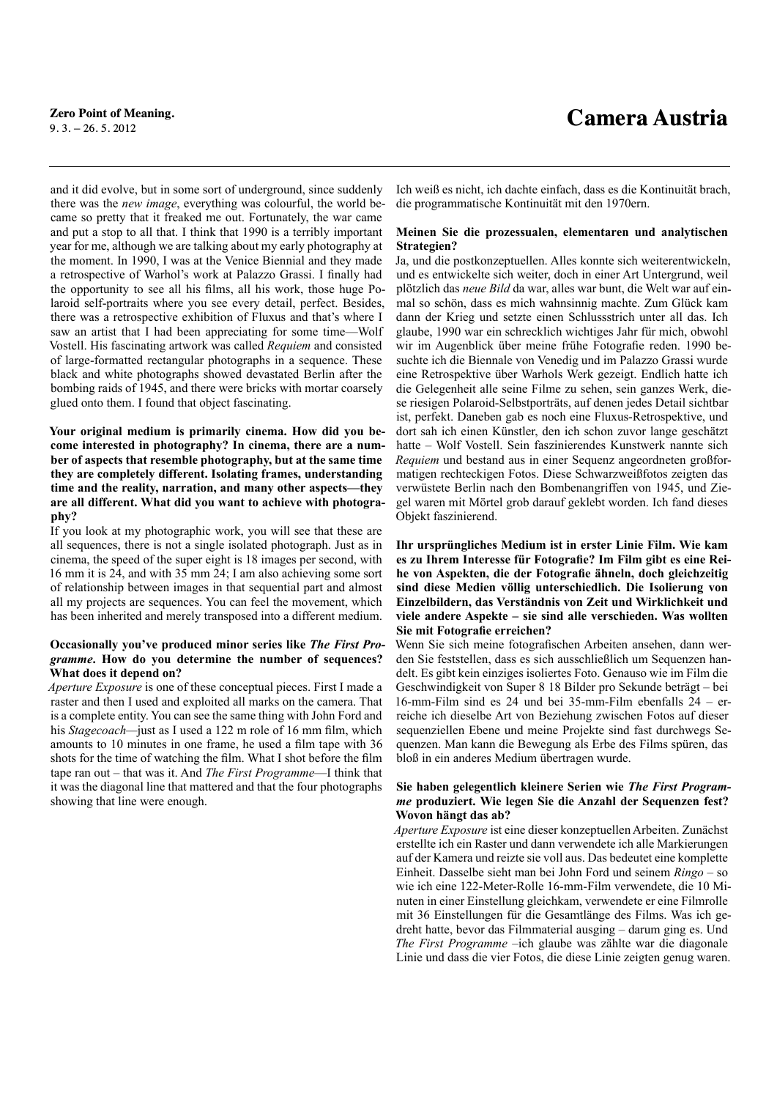9. 3. – 26. 5. 2012

and it did evolve, but in some sort of underground, since suddenly there was the *new image*, everything was colourful, the world became so pretty that it freaked me out. Fortunately, the war came and put a stop to all that. I think that 1990 is a terribly important year for me, although we are talking about my early photography at the moment. In 1990, I was at the Venice Biennial and they made a retrospective of Warhol's work at Palazzo Grassi. I finally had the opportunity to see all his films, all his work, those huge Polaroid self-portraits where you see every detail, perfect. Besides, there was a retrospective exhibition of Fluxus and that's where I saw an artist that I had been appreciating for some time—Wolf Vostell. His fascinating artwork was called *Requiem* and consisted of large-formatted rectangular photographs in a sequence. These black and white photographs showed devastated Berlin after the bombing raids of 1945, and there were bricks with mortar coarsely glued onto them. I found that object fascinating.

**Your original medium is primarily cinema. How did you become interested in photography? In cinema, there are a number of aspects that resemble photography, but at the same time they are completely different. Isolating frames, understanding time and the reality, narration, and many other aspects—they are all different. What did you want to achieve with photography?**

If you look at my photographic work, you will see that these are all sequences, there is not a single isolated photograph. Just as in cinema, the speed of the super eight is 18 images per second, with 16 mm it is 24, and with 35 mm 24; I am also achieving some sort of relationship between images in that sequential part and almost all my projects are sequences. You can feel the movement, which has been inherited and merely transposed into a different medium.

#### **Occasionally you've produced minor series like** *The First Programme***. How do you determine the number of sequences? What does it depend on?**

*Aperture Exposure* is one of these conceptual pieces. First I made a raster and then I used and exploited all marks on the camera. That is a complete entity. You can see the same thing with John Ford and his *Stagecoach—*just as I used a 122 m role of 16 mm film, which amounts to 10 minutes in one frame, he used a film tape with 36 shots for the time of watching the film. What I shot before the film tape ran out – that was it. And *The First Programme*—I think that it was the diagonal line that mattered and that the four photographs showing that line were enough.

Ich weiß es nicht, ich dachte einfach, dass es die Kontinuität brach, die programmatische Kontinuität mit den 1970ern.

#### **Meinen Sie die prozessualen, elementaren und analytischen Strategien?**

Ja, und die postkonzeptuellen. Alles konnte sich weiterentwickeln, und es entwickelte sich weiter, doch in einer Art Untergrund, weil plötzlich das *neue Bild* da war, alles war bunt, die Welt war auf einmal so schön, dass es mich wahnsinnig machte. Zum Glück kam dann der Krieg und setzte einen Schlussstrich unter all das. Ich glaube, 1990 war ein schrecklich wichtiges Jahr für mich, obwohl wir im Augenblick über meine frühe Fotografie reden. 1990 besuchte ich die Biennale von Venedig und im Palazzo Grassi wurde eine Retrospektive über Warhols Werk gezeigt. Endlich hatte ich die Gelegenheit alle seine Filme zu sehen, sein ganzes Werk, diese riesigen Polaroid-Selbstporträts, auf denen jedes Detail sichtbar ist, perfekt. Daneben gab es noch eine Fluxus-Retrospektive, und dort sah ich einen Künstler, den ich schon zuvor lange geschätzt hatte – Wolf Vostell. Sein faszinierendes Kunstwerk nannte sich *Requiem* und bestand aus in einer Sequenz angeordneten großformatigen rechteckigen Fotos. Diese Schwarzweißfotos zeigten das verwüstete Berlin nach den Bombenangriffen von 1945, und Ziegel waren mit Mörtel grob darauf geklebt worden. Ich fand dieses Objekt faszinierend.

#### **Ihr ursprüngliches Medium ist in erster Linie Film. Wie kam es zu Ihrem Interesse für Fotografie? Im Film gibt es eine Reihe von Aspekten, die der Fotografie ähneln, doch gleichzeitig sind diese Medien völlig unterschiedlich. Die Isolierung von Einzelbildern, das Verständnis von Zeit und Wirklichkeit und viele andere Aspekte – sie sind alle verschieden. Was wollten Sie mit Fotografie erreichen?**

Wenn Sie sich meine fotografischen Arbeiten ansehen, dann werden Sie feststellen, dass es sich ausschließlich um Sequenzen handelt. Es gibt kein einziges isoliertes Foto. Genauso wie im Film die Geschwindigkeit von Super 8 18 Bilder pro Sekunde beträgt – bei 16-mm-Film sind es 24 und bei 35-mm-Film ebenfalls 24 – erreiche ich dieselbe Art von Beziehung zwischen Fotos auf dieser sequenziellen Ebene und meine Projekte sind fast durchwegs Sequenzen. Man kann die Bewegung als Erbe des Films spüren, das bloß in ein anderes Medium übertragen wurde.

#### **Sie haben gelegentlich kleinere Serien wie** *The First Programme* **produziert. Wie legen Sie die Anzahl der Sequenzen fest? Wovon hängt das ab?**

*Aperture Exposure* ist eine dieser konzeptuellen Arbeiten. Zunächst erstellte ich ein Raster und dann verwendete ich alle Markierungen auf der Kamera und reizte sie voll aus. Das bedeutet eine komplette Einheit. Dasselbe sieht man bei John Ford und seinem *Ringo* – so wie ich eine 122-Meter-Rolle 16-mm-Film verwendete, die 10 Minuten in einer Einstellung gleichkam, verwendete er eine Filmrolle mit 36 Einstellungen für die Gesamtlänge des Films. Was ich gedreht hatte, bevor das Filmmaterial ausging – darum ging es. Und *The First Programme* –ich glaube was zählte war die diagonale Linie und dass die vier Fotos, die diese Linie zeigten genug waren.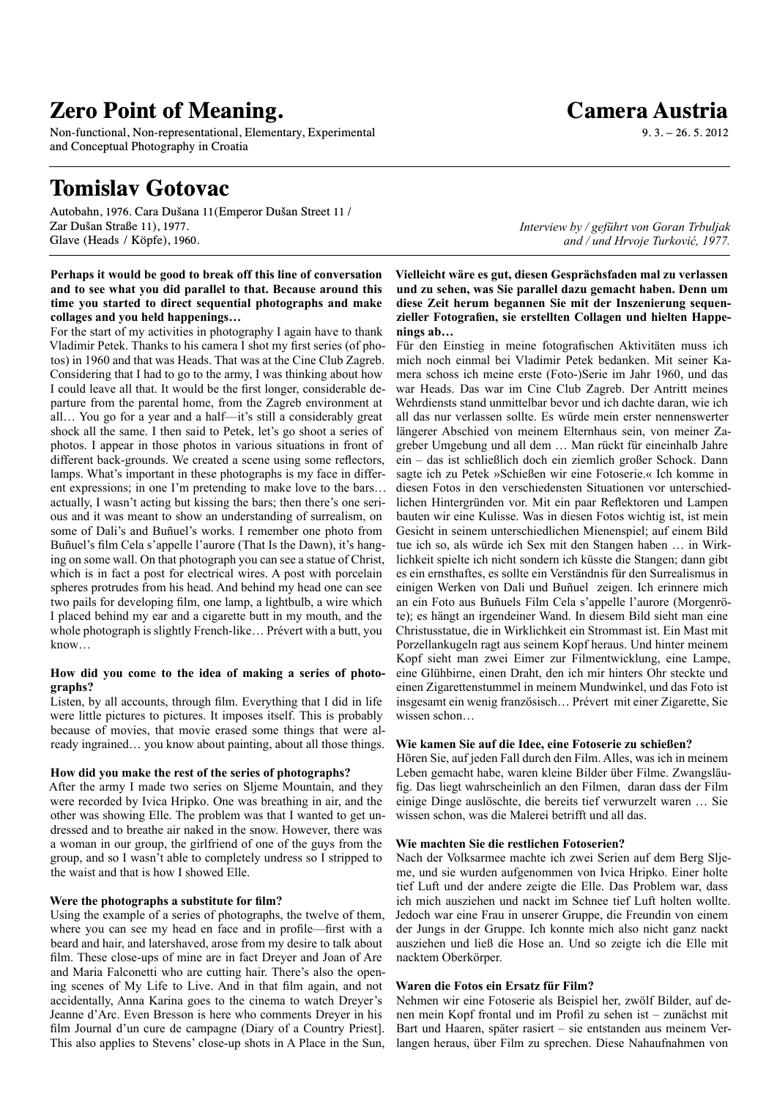Non-functional, Non-representational, Elementary, Experimental and Conceptual Photography in Croatia

### **Tomislav Gotovac**

Autobahn, 1976. Cara Dušana 11(Emperor Dušan Street 11 / Zar Dušan Straße 11), 1977. Glave (Heads / Köpfe), 1960.

#### **Perhaps it would be good to break off this line of conversation and to see what you did parallel to that. Because around this time you started to direct sequential photographs and make collages and you held happenings…**

For the start of my activities in photography I again have to thank Vladimir Petek. Thanks to his camera I shot my first series (of photos) in 1960 and that was Heads. That was at the Cine Club Zagreb. Considering that I had to go to the army, I was thinking about how I could leave all that. It would be the first longer, considerable departure from the parental home, from the Zagreb environment at all… You go for a year and a half—it's still a considerably great shock all the same. I then said to Petek, let's go shoot a series of photos. I appear in those photos in various situations in front of different back-grounds. We created a scene using some reflectors, lamps. What's important in these photographs is my face in different expressions; in one I'm pretending to make love to the bars… actually, I wasn't acting but kissing the bars; then there's one serious and it was meant to show an understanding of surrealism, on some of Dali's and Buñuel's works. I remember one photo from Buñuel's film Cela s'appelle l'aurore (That Is the Dawn), it's hanging on some wall. On that photograph you can see a statue of Christ, which is in fact a post for electrical wires. A post with porcelain spheres protrudes from his head. And behind my head one can see two pails for developing film, one lamp, a lightbulb, a wire which I placed behind my ear and a cigarette butt in my mouth, and the whole photograph is slightly French-like… Prévert with a butt, you know…

#### **How did you come to the idea of making a series of photographs?**

Listen, by all accounts, through film. Everything that I did in life were little pictures to pictures. It imposes itself. This is probably because of movies, that movie erased some things that were already ingrained… you know about painting, about all those things.

#### **How did you make the rest of the series of photographs?**

After the army I made two series on Sljeme Mountain, and they were recorded by Ivica Hripko. One was breathing in air, and the other was showing Elle. The problem was that I wanted to get undressed and to breathe air naked in the snow. However, there was a woman in our group, the girlfriend of one of the guys from the group, and so I wasn't able to completely undress so I stripped to the waist and that is how I showed Elle.

#### **Were the photographs a substitute for film?**

Using the example of a series of photographs, the twelve of them, where you can see my head en face and in profile—first with a beard and hair, and latershaved, arose from my desire to talk about film. These close-ups of mine are in fact Dreyer and Joan of Are and Maria Falconetti who are cutting hair. There's also the opening scenes of My Life to Live. And in that film again, and not accidentally, Anna Karina goes to the cinema to watch Dreyer's Jeanne d'Arc. Even Bresson is here who comments Dreyer in his film Journal d'un cure de campagne (Diary of a Country Priest]. This also applies to Stevens' close-up shots in A Place in the Sun, **Camera Austria**

 $9.3 - 26.5$ , 2012

*Interview by / geführt von Goran Trbuljak and / und Hrvoje Turković, 1977.*

**Vielleicht wäre es gut, diesen Gesprächsfaden mal zu verlassen und zu sehen, was Sie parallel dazu gemacht haben. Denn um diese Zeit herum begannen Sie mit der Inszenierung sequenzieller Fotografien, sie erstellten Collagen und hielten Happenings ab…**

Für den Einstieg in meine fotografischen Aktivitäten muss ich mich noch einmal bei Vladimir Petek bedanken. Mit seiner Kamera schoss ich meine erste (Foto-)Serie im Jahr 1960, und das war Heads. Das war im Cine Club Zagreb. Der Antritt meines Wehrdiensts stand unmittelbar bevor und ich dachte daran, wie ich all das nur verlassen sollte. Es würde mein erster nennenswerter längerer Abschied von meinem Elternhaus sein, von meiner Zagreber Umgebung und all dem … Man rückt für eineinhalb Jahre ein – das ist schließlich doch ein ziemlich großer Schock. Dann sagte ich zu Petek »Schießen wir eine Fotoserie.« Ich komme in diesen Fotos in den verschiedensten Situationen vor unterschiedlichen Hintergründen vor. Mit ein paar Reflektoren und Lampen bauten wir eine Kulisse. Was in diesen Fotos wichtig ist, ist mein Gesicht in seinem unterschiedlichen Mienenspiel; auf einem Bild tue ich so, als würde ich Sex mit den Stangen haben … in Wirklichkeit spielte ich nicht sondern ich küsste die Stangen; dann gibt es ein ernsthaftes, es sollte ein Verständnis für den Surrealismus in einigen Werken von Dali und Buñuel zeigen. Ich erinnere mich an ein Foto aus Buñuels Film Cela s'appelle l'aurore (Morgenröte); es hängt an irgendeiner Wand. In diesem Bild sieht man eine Christusstatue, die in Wirklichkeit ein Strommast ist. Ein Mast mit Porzellankugeln ragt aus seinem Kopf heraus. Und hinter meinem Kopf sieht man zwei Eimer zur Filmentwicklung, eine Lampe, eine Glühbirne, einen Draht, den ich mir hinters Ohr steckte und einen Zigarettenstummel in meinem Mundwinkel, und das Foto ist insgesamt ein wenig französisch… Prévert mit einer Zigarette, Sie wissen schon…

#### **Wie kamen Sie auf die Idee, eine Fotoserie zu schießen?**

Hören Sie, auf jeden Fall durch den Film. Alles, was ich in meinem Leben gemacht habe, waren kleine Bilder über Filme. Zwangsläufig. Das liegt wahrscheinlich an den Filmen, daran dass der Film einige Dinge auslöschte, die bereits tief verwurzelt waren … Sie wissen schon, was die Malerei betrifft und all das.

#### **Wie machten Sie die restlichen Fotoserien?**

Nach der Volksarmee machte ich zwei Serien auf dem Berg Sljeme, und sie wurden aufgenommen von Ivica Hripko. Einer holte tief Luft und der andere zeigte die Elle. Das Problem war, dass ich mich ausziehen und nackt im Schnee tief Luft holten wollte. Jedoch war eine Frau in unserer Gruppe, die Freundin von einem der Jungs in der Gruppe. Ich konnte mich also nicht ganz nackt ausziehen und ließ die Hose an. Und so zeigte ich die Elle mit nacktem Oberkörper.

#### **Waren die Fotos ein Ersatz für Film?**

Nehmen wir eine Fotoserie als Beispiel her, zwölf Bilder, auf denen mein Kopf frontal und im Profil zu sehen ist – zunächst mit Bart und Haaren, später rasiert – sie entstanden aus meinem Verlangen heraus, über Film zu sprechen. Diese Nahaufnahmen von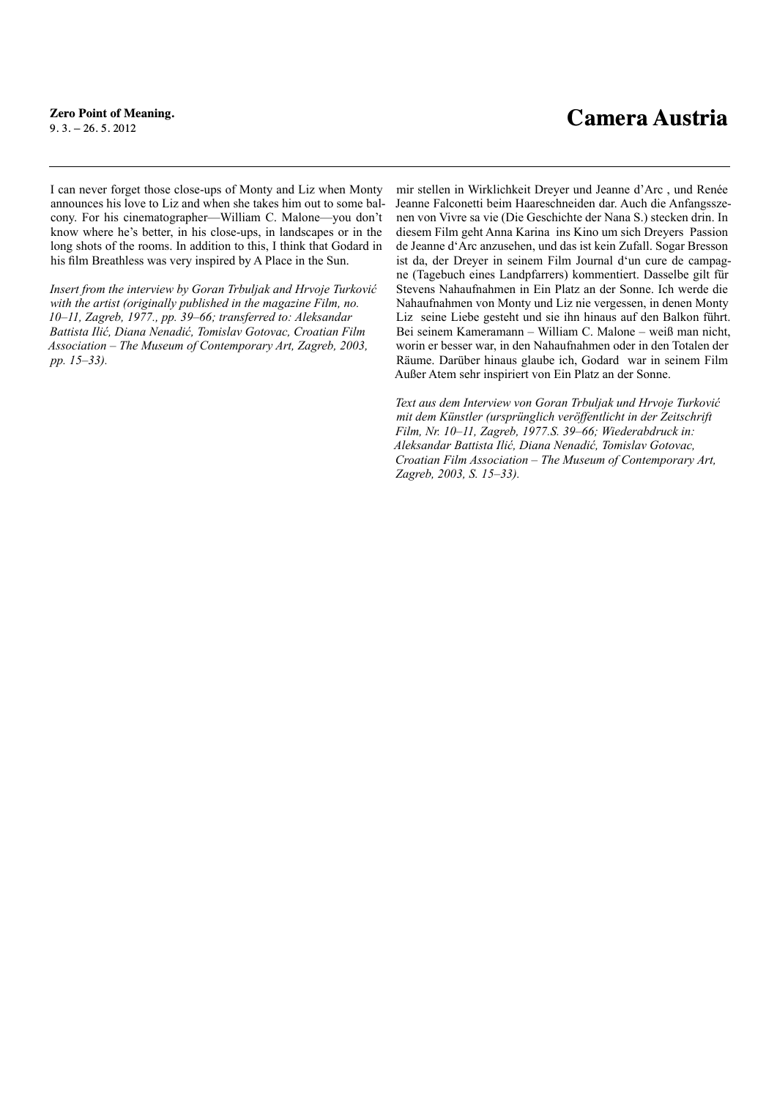I can never forget those close-ups of Monty and Liz when Monty announces his love to Liz and when she takes him out to some balcony. For his cinematographer—William C. Malone—you don't know where he's better, in his close-ups, in landscapes or in the long shots of the rooms. In addition to this, I think that Godard in his film Breathless was very inspired by A Place in the Sun.

*Insert from the interview by Goran Trbuljak and Hrvoje Turković with the artist (originally published in the magazine Film, no. 10–11, Zagreb, 1977., pp. 39–66; transferred to: Aleksandar Battista Ilić, Diana Nenadić, Tomislav Gotovac, Croatian Film Association – The Museum of Contemporary Art, Zagreb, 2003, pp. 15–33).*

mir stellen in Wirklichkeit Dreyer und Jeanne d'Arc , und Renée Jeanne Falconetti beim Haareschneiden dar. Auch die Anfangsszenen von Vivre sa vie (Die Geschichte der Nana S.) stecken drin. In diesem Film geht Anna Karina ins Kino um sich Dreyers Passion de Jeanne d'Arc anzusehen, und das ist kein Zufall. Sogar Bresson ist da, der Dreyer in seinem Film Journal d'un cure de campagne (Tagebuch eines Landpfarrers) kommentiert. Dasselbe gilt für Stevens Nahaufnahmen in Ein Platz an der Sonne. Ich werde die Nahaufnahmen von Monty und Liz nie vergessen, in denen Monty Liz seine Liebe gesteht und sie ihn hinaus auf den Balkon führt. Bei seinem Kameramann – William C. Malone – weiß man nicht, worin er besser war, in den Nahaufnahmen oder in den Totalen der Räume. Darüber hinaus glaube ich, Godard war in seinem Film Außer Atem sehr inspiriert von Ein Platz an der Sonne.

*Text aus dem Interview von Goran Trbuljak und Hrvoje Turković mit dem Künstler (ursprünglich veröffentlicht in der Zeitschrift Film, Nr. 10–11, Zagreb, 1977.S. 39–66; Wiederabdruck in: Aleksandar Battista Ilić, Diana Nenadić, Tomislav Gotovac, Croatian Film Association – The Museum of Contemporary Art, Zagreb, 2003, S. 15–33).*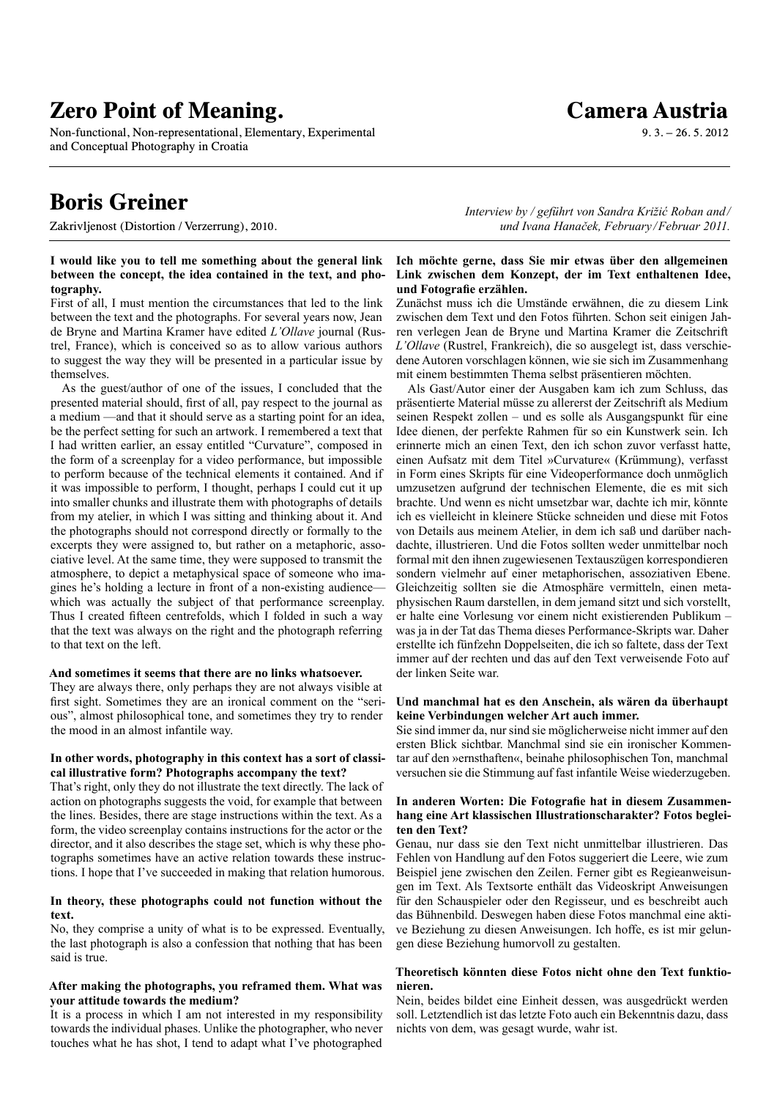Non-functional, Non-representational, Elementary, Experimental and Conceptual Photography in Croatia

### **Boris Greiner**

Zakrivlienost (Distortion / Verzerrung), 2010.

#### **I would like you to tell me something about the general link between the concept, the idea contained in the text, and photography.**

First of all, I must mention the circumstances that led to the link between the text and the photographs. For several years now, Jean de Bryne and Martina Kramer have edited *L'Ollave* journal (Rustrel, France), which is conceived so as to allow various authors to suggest the way they will be presented in a particular issue by themselves.

As the guest/author of one of the issues, I concluded that the presented material should, first of all, pay respect to the journal as a medium —and that it should serve as a starting point for an idea, be the perfect setting for such an artwork. I remembered a text that I had written earlier, an essay entitled "Curvature", composed in the form of a screenplay for a video performance, but impossible to perform because of the technical elements it contained. And if it was impossible to perform, I thought, perhaps I could cut it up into smaller chunks and illustrate them with photographs of details from my atelier, in which I was sitting and thinking about it. And the photographs should not correspond directly or formally to the excerpts they were assigned to, but rather on a metaphoric, associative level. At the same time, they were supposed to transmit the atmosphere, to depict a metaphysical space of someone who imagines he's holding a lecture in front of a non-existing audience which was actually the subject of that performance screenplay. Thus I created fifteen centrefolds, which I folded in such a way that the text was always on the right and the photograph referring to that text on the left.

#### **And sometimes it seems that there are no links whatsoever.**

They are always there, only perhaps they are not always visible at first sight. Sometimes they are an ironical comment on the "serious", almost philosophical tone, and sometimes they try to render the mood in an almost infantile way.

#### **In other words, photography in this context has a sort of classical illustrative form? Photographs accompany the text?**

That's right, only they do not illustrate the text directly. The lack of action on photographs suggests the void, for example that between the lines. Besides, there are stage instructions within the text. As a form, the video screenplay contains instructions for the actor or the director, and it also describes the stage set, which is why these photographs sometimes have an active relation towards these instructions. I hope that I've succeeded in making that relation humorous.

#### **In theory, these photographs could not function without the text.**

No, they comprise a unity of what is to be expressed. Eventually, the last photograph is also a confession that nothing that has been said is true.

#### **After making the photographs, you reframed them. What was your attitude towards the medium?**

It is a process in which I am not interested in my responsibility towards the individual phases. Unlike the photographer, who never touches what he has shot, I tend to adapt what I've photographed *Interview by / geführt von Sandra Križić Roban and/ und Ivana Hanaček, February /Februar 2011.*

#### **Ich möchte gerne, dass Sie mir etwas über den allgemeinen Link zwischen dem Konzept, der im Text enthaltenen Idee, und Fotografie erzählen.**

Zunächst muss ich die Umstände erwähnen, die zu diesem Link zwischen dem Text und den Fotos führten. Schon seit einigen Jahren verlegen Jean de Bryne und Martina Kramer die Zeitschrift *L'Ollave* (Rustrel, Frankreich), die so ausgelegt ist, dass verschiedene Autoren vorschlagen können, wie sie sich im Zusammenhang mit einem bestimmten Thema selbst präsentieren möchten.

Als Gast/Autor einer der Ausgaben kam ich zum Schluss, das präsentierte Material müsse zu allererst der Zeitschrift als Medium seinen Respekt zollen – und es solle als Ausgangspunkt für eine Idee dienen, der perfekte Rahmen für so ein Kunstwerk sein. Ich erinnerte mich an einen Text, den ich schon zuvor verfasst hatte, einen Aufsatz mit dem Titel »Curvature« (Krümmung), verfasst in Form eines Skripts für eine Videoperformance doch unmöglich umzusetzen aufgrund der technischen Elemente, die es mit sich brachte. Und wenn es nicht umsetzbar war, dachte ich mir, könnte ich es vielleicht in kleinere Stücke schneiden und diese mit Fotos von Details aus meinem Atelier, in dem ich saß und darüber nachdachte, illustrieren. Und die Fotos sollten weder unmittelbar noch formal mit den ihnen zugewiesenen Textauszügen korrespondieren sondern vielmehr auf einer metaphorischen, assoziativen Ebene. Gleichzeitig sollten sie die Atmosphäre vermitteln, einen metaphysischen Raum darstellen, in dem jemand sitzt und sich vorstellt, er halte eine Vorlesung vor einem nicht existierenden Publikum – was ja in der Tat das Thema dieses Performance-Skripts war. Daher erstellte ich fünfzehn Doppelseiten, die ich so faltete, dass der Text immer auf der rechten und das auf den Text verweisende Foto auf der linken Seite war.

#### **Und manchmal hat es den Anschein, als wären da überhaupt keine Verbindungen welcher Art auch immer.**

Sie sind immer da, nur sind sie möglicherweise nicht immer auf den ersten Blick sichtbar. Manchmal sind sie ein ironischer Kommentar auf den »ernsthaften«, beinahe philosophischen Ton, manchmal versuchen sie die Stimmung auf fast infantile Weise wiederzugeben.

#### **In anderen Worten: Die Fotografie hat in diesem Zusammenhang eine Art klassischen Illustrationscharakter? Fotos begleiten den Text?**

Genau, nur dass sie den Text nicht unmittelbar illustrieren. Das Fehlen von Handlung auf den Fotos suggeriert die Leere, wie zum Beispiel jene zwischen den Zeilen. Ferner gibt es Regieanweisungen im Text. Als Textsorte enthält das Videoskript Anweisungen für den Schauspieler oder den Regisseur, und es beschreibt auch das Bühnenbild. Deswegen haben diese Fotos manchmal eine aktive Beziehung zu diesen Anweisungen. Ich hoffe, es ist mir gelungen diese Beziehung humorvoll zu gestalten.

#### **Theoretisch könnten diese Fotos nicht ohne den Text funktionieren.**

Nein, beides bildet eine Einheit dessen, was ausgedrückt werden soll. Letztendlich ist das letzte Foto auch ein Bekenntnis dazu, dass nichts von dem, was gesagt wurde, wahr ist.

### **Camera Austria**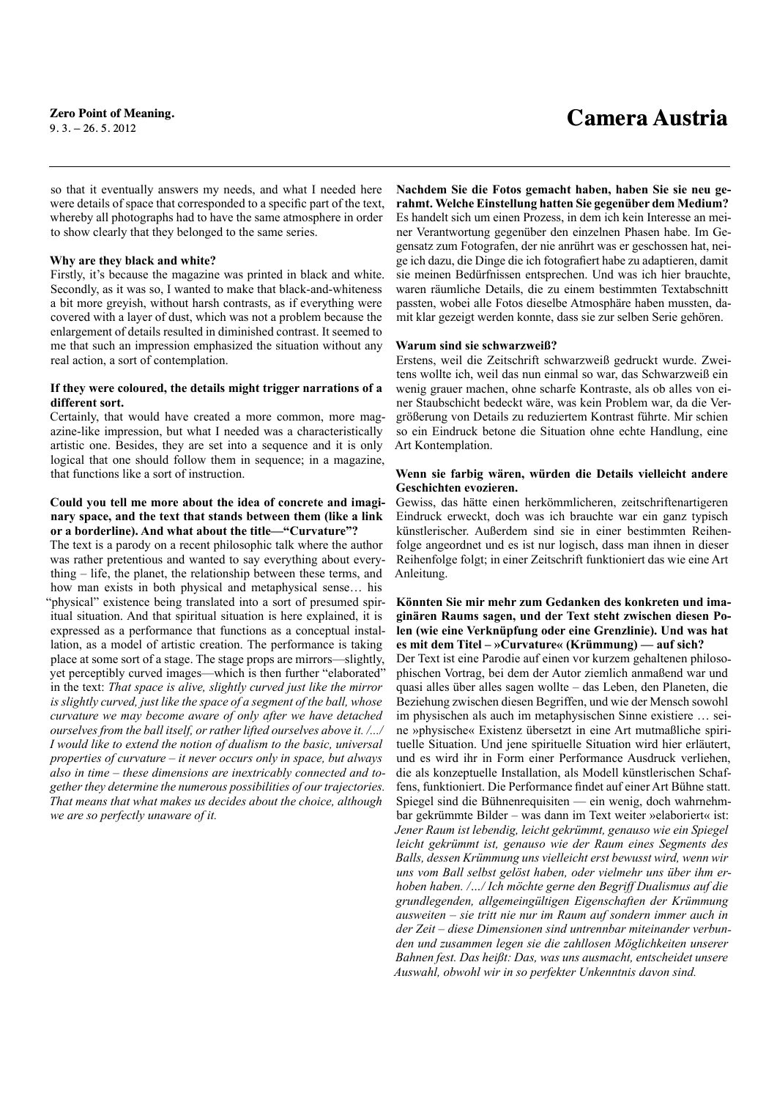so that it eventually answers my needs, and what I needed here were details of space that corresponded to a specific part of the text, whereby all photographs had to have the same atmosphere in order to show clearly that they belonged to the same series.

#### **Why are they black and white?**

Firstly, it's because the magazine was printed in black and white. Secondly, as it was so, I wanted to make that black-and-whiteness a bit more greyish, without harsh contrasts, as if everything were covered with a layer of dust, which was not a problem because the enlargement of details resulted in diminished contrast. It seemed to me that such an impression emphasized the situation without any real action, a sort of contemplation.

#### **If they were coloured, the details might trigger narrations of a different sort.**

Certainly, that would have created a more common, more magazine-like impression, but what I needed was a characteristically artistic one. Besides, they are set into a sequence and it is only logical that one should follow them in sequence; in a magazine, that functions like a sort of instruction.

#### **Could you tell me more about the idea of concrete and imaginary space, and the text that stands between them (like a link or a borderline). And what about the title—"Curvature"?**

The text is a parody on a recent philosophic talk where the author was rather pretentious and wanted to say everything about everything – life, the planet, the relationship between these terms, and how man exists in both physical and metaphysical sense… his "physical" existence being translated into a sort of presumed spiritual situation. And that spiritual situation is here explained, it is expressed as a performance that functions as a conceptual installation, as a model of artistic creation. The performance is taking place at some sort of a stage. The stage props are mirrors—slightly, yet perceptibly curved images—which is then further "elaborated" in the text: *That space is alive, slightly curved just like the mirror is slightly curved, just like the space of a segment of the ball, whose curvature we may become aware of only after we have detached ourselves from the ball itself, or rather lifted ourselves above it. /.../ I would like to extend the notion of dualism to the basic, universal properties of curvature – it never occurs only in space, but always also in time – these dimensions are inextricably connected and together they determine the numerous possibilities of our trajectories. That means that what makes us decides about the choice, although we are so perfectly unaware of it.*

**Nachdem Sie die Fotos gemacht haben, haben Sie sie neu gerahmt. Welche Einstellung hatten Sie gegenüber dem Medium?** Es handelt sich um einen Prozess, in dem ich kein Interesse an meiner Verantwortung gegenüber den einzelnen Phasen habe. Im Gegensatz zum Fotografen, der nie anrührt was er geschossen hat, neige ich dazu, die Dinge die ich fotografiert habe zu adaptieren, damit sie meinen Bedürfnissen entsprechen. Und was ich hier brauchte, waren räumliche Details, die zu einem bestimmten Textabschnitt passten, wobei alle Fotos dieselbe Atmosphäre haben mussten, damit klar gezeigt werden konnte, dass sie zur selben Serie gehören.

#### **Warum sind sie schwarzweiß?**

Erstens, weil die Zeitschrift schwarzweiß gedruckt wurde. Zweitens wollte ich, weil das nun einmal so war, das Schwarzweiß ein wenig grauer machen, ohne scharfe Kontraste, als ob alles von einer Staubschicht bedeckt wäre, was kein Problem war, da die Vergrößerung von Details zu reduziertem Kontrast führte. Mir schien so ein Eindruck betone die Situation ohne echte Handlung, eine Art Kontemplation.

#### **Wenn sie farbig wären, würden die Details vielleicht andere Geschichten evozieren.**

Gewiss, das hätte einen herkömmlicheren, zeitschriftenartigeren Eindruck erweckt, doch was ich brauchte war ein ganz typisch künstlerischer. Außerdem sind sie in einer bestimmten Reihenfolge angeordnet und es ist nur logisch, dass man ihnen in dieser Reihenfolge folgt; in einer Zeitschrift funktioniert das wie eine Art Anleitung.

#### **Könnten Sie mir mehr zum Gedanken des konkreten und imaginären Raums sagen, und der Text steht zwischen diesen Polen (wie eine Verknüpfung oder eine Grenzlinie). Und was hat es mit dem Titel – »Curvature« (Krümmung) — auf sich?**

Der Text ist eine Parodie auf einen vor kurzem gehaltenen philosophischen Vortrag, bei dem der Autor ziemlich anmaßend war und quasi alles über alles sagen wollte – das Leben, den Planeten, die Beziehung zwischen diesen Begriffen, und wie der Mensch sowohl im physischen als auch im metaphysischen Sinne existiere … seine »physische« Existenz übersetzt in eine Art mutmaßliche spirituelle Situation. Und jene spirituelle Situation wird hier erläutert, und es wird ihr in Form einer Performance Ausdruck verliehen, die als konzeptuelle Installation, als Modell künstlerischen Schaffens, funktioniert. Die Performance findet auf einer Art Bühne statt. Spiegel sind die Bühnenrequisiten — ein wenig, doch wahrnehmbar gekrümmte Bilder – was dann im Text weiter »elaboriert« ist: *Jener Raum ist lebendig, leicht gekrümmt, genauso wie ein Spiegel leicht gekrümmt ist, genauso wie der Raum eines Segments des Balls, dessen Krümmung uns vielleicht erst bewusst wird, wenn wir uns vom Ball selbst gelöst haben, oder vielmehr uns über ihm erhoben haben. /…/ Ich möchte gerne den Begriff Dualismus auf die grundlegenden, allgemeingültigen Eigenschaften der Krümmung ausweiten – sie tritt nie nur im Raum auf sondern immer auch in der Zeit – diese Dimensionen sind untrennbar miteinander verbunden und zusammen legen sie die zahllosen Möglichkeiten unserer Bahnen fest. Das heißt: Das, was uns ausmacht, entscheidet unsere Auswahl, obwohl wir in so perfekter Unkenntnis davon sind.*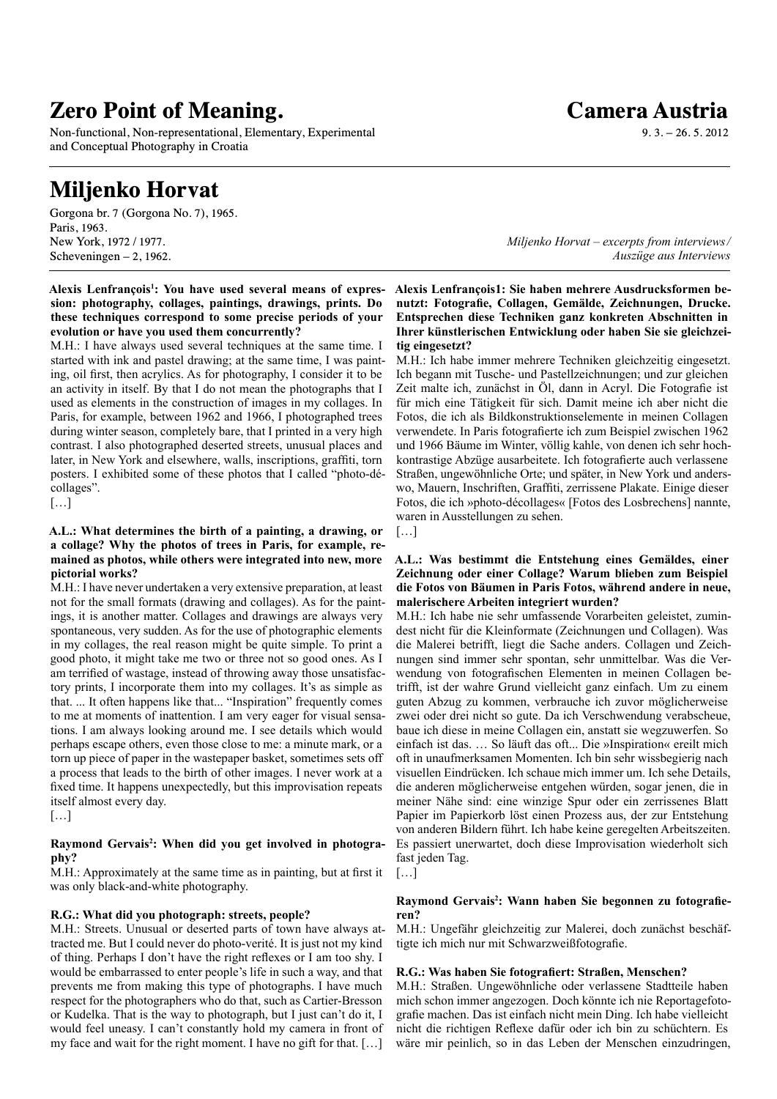Non-functional, Non-representational, Elementary, Experimental and Conceptual Photography in Croatia

### **Miljenko Horvat**

Gorgona br. 7 (Gorgona No. 7), 1965. Paris, 1963. New York, 1972 / 1977. Scheveningen – 2, 1962.

**Alexis Lenfrançois1 : You have used several means of expression: photography, collages, paintings, drawings, prints. Do these techniques correspond to some precise periods of your evolution or have you used them concurrently?**

M.H.: I have always used several techniques at the same time. I started with ink and pastel drawing; at the same time, I was painting, oil first, then acrylics. As for photography, I consider it to be an activity in itself. By that I do not mean the photographs that I used as elements in the construction of images in my collages. In Paris, for example, between 1962 and 1966, I photographed trees during winter season, completely bare, that I printed in a very high contrast. I also photographed deserted streets, unusual places and later, in New York and elsewhere, walls, inscriptions, graffiti, torn posters. I exhibited some of these photos that I called "photo-décollages".

[…]

#### **A.L.: What determines the birth of a painting, a drawing, or a collage? Why the photos of trees in Paris, for example, remained as photos, while others were integrated into new, more pictorial works?**

M.H.: I have never undertaken a very extensive preparation, at least not for the small formats (drawing and collages). As for the paintings, it is another matter. Collages and drawings are always very spontaneous, very sudden. As for the use of photographic elements in my collages, the real reason might be quite simple. To print a good photo, it might take me two or three not so good ones. As I am terrified of wastage, instead of throwing away those unsatisfactory prints, I incorporate them into my collages. It's as simple as that. ... It often happens like that... "Inspiration" frequently comes to me at moments of inattention. I am very eager for visual sensations. I am always looking around me. I see details which would perhaps escape others, even those close to me: a minute mark, or a torn up piece of paper in the wastepaper basket, sometimes sets off a process that leads to the birth of other images. I never work at a fixed time. It happens unexpectedly, but this improvisation repeats itself almost every day.

 $[\ldots]$ 

#### Raymond Gervais<sup>2</sup>: When did you get involved in photogra**phy?**

M.H.: Approximately at the same time as in painting, but at first it was only black-and-white photography.

#### **R.G.: What did you photograph: streets, people?**

M.H.: Streets. Unusual or deserted parts of town have always attracted me. But I could never do photo-verité. It is just not my kind of thing. Perhaps I don't have the right reflexes or I am too shy. I would be embarrassed to enter people's life in such a way, and that prevents me from making this type of photographs. I have much respect for the photographers who do that, such as Cartier-Bresson or Kudelka. That is the way to photograph, but I just can't do it, I would feel uneasy. I can't constantly hold my camera in front of my face and wait for the right moment. I have no gift for that. […]

*Miljenko Horvat – excerpts from interviews/ Auszüge aus Interviews* 

# **Alexis Lenfrançois1: Sie haben mehrere Ausdrucksformen be-**

**nutzt: Fotografie, Collagen, Gemälde, Zeichnungen, Drucke. Entsprechen diese Techniken ganz konkreten Abschnitten in Ihrer künstlerischen Entwicklung oder haben Sie sie gleichzeitig eingesetzt?**

M.H.: Ich habe immer mehrere Techniken gleichzeitig eingesetzt. Ich begann mit Tusche- und Pastellzeichnungen; und zur gleichen Zeit malte ich, zunächst in Öl, dann in Acryl. Die Fotografie ist für mich eine Tätigkeit für sich. Damit meine ich aber nicht die Fotos, die ich als Bildkonstruktionselemente in meinen Collagen verwendete. In Paris fotografierte ich zum Beispiel zwischen 1962 und 1966 Bäume im Winter, völlig kahle, von denen ich sehr hochkontrastige Abzüge ausarbeitete. Ich fotografierte auch verlassene Straßen, ungewöhnliche Orte; und später, in New York und anderswo, Mauern, Inschriften, Graffiti, zerrissene Plakate. Einige dieser Fotos, die ich »photo-décollages« [Fotos des Losbrechens] nannte, waren in Ausstellungen zu sehen.

[…]

#### **A.L.: Was bestimmt die Entstehung eines Gemäldes, einer Zeichnung oder einer Collage? Warum blieben zum Beispiel die Fotos von Bäumen in Paris Fotos, während andere in neue, malerischere Arbeiten integriert wurden?**

M.H.: Ich habe nie sehr umfassende Vorarbeiten geleistet, zumindest nicht für die Kleinformate (Zeichnungen und Collagen). Was die Malerei betrifft, liegt die Sache anders. Collagen und Zeichnungen sind immer sehr spontan, sehr unmittelbar. Was die Verwendung von fotografischen Elementen in meinen Collagen betrifft, ist der wahre Grund vielleicht ganz einfach. Um zu einem guten Abzug zu kommen, verbrauche ich zuvor möglicherweise zwei oder drei nicht so gute. Da ich Verschwendung verabscheue, baue ich diese in meine Collagen ein, anstatt sie wegzuwerfen. So einfach ist das. … So läuft das oft... Die »Inspiration« ereilt mich oft in unaufmerksamen Momenten. Ich bin sehr wissbegierig nach visuellen Eindrücken. Ich schaue mich immer um. Ich sehe Details, die anderen möglicherweise entgehen würden, sogar jenen, die in meiner Nähe sind: eine winzige Spur oder ein zerrissenes Blatt Papier im Papierkorb löst einen Prozess aus, der zur Entstehung von anderen Bildern führt. Ich habe keine geregelten Arbeitszeiten. Es passiert unerwartet, doch diese Improvisation wiederholt sich fast jeden Tag.

[…]

#### Raymond Gervais<sup>2</sup>: Wann haben Sie begonnen zu fotografie**ren?**

M.H.: Ungefähr gleichzeitig zur Malerei, doch zunächst beschäftigte ich mich nur mit Schwarzweißfotografie.

#### **R.G.: Was haben Sie fotografiert: Straßen, Menschen?**

M.H.: Straßen. Ungewöhnliche oder verlassene Stadtteile haben mich schon immer angezogen. Doch könnte ich nie Reportagefotografie machen. Das ist einfach nicht mein Ding. Ich habe vielleicht nicht die richtigen Reflexe dafür oder ich bin zu schüchtern. Es wäre mir peinlich, so in das Leben der Menschen einzudringen,

### **Camera Austria**

 $9.3 - 26.5.2012$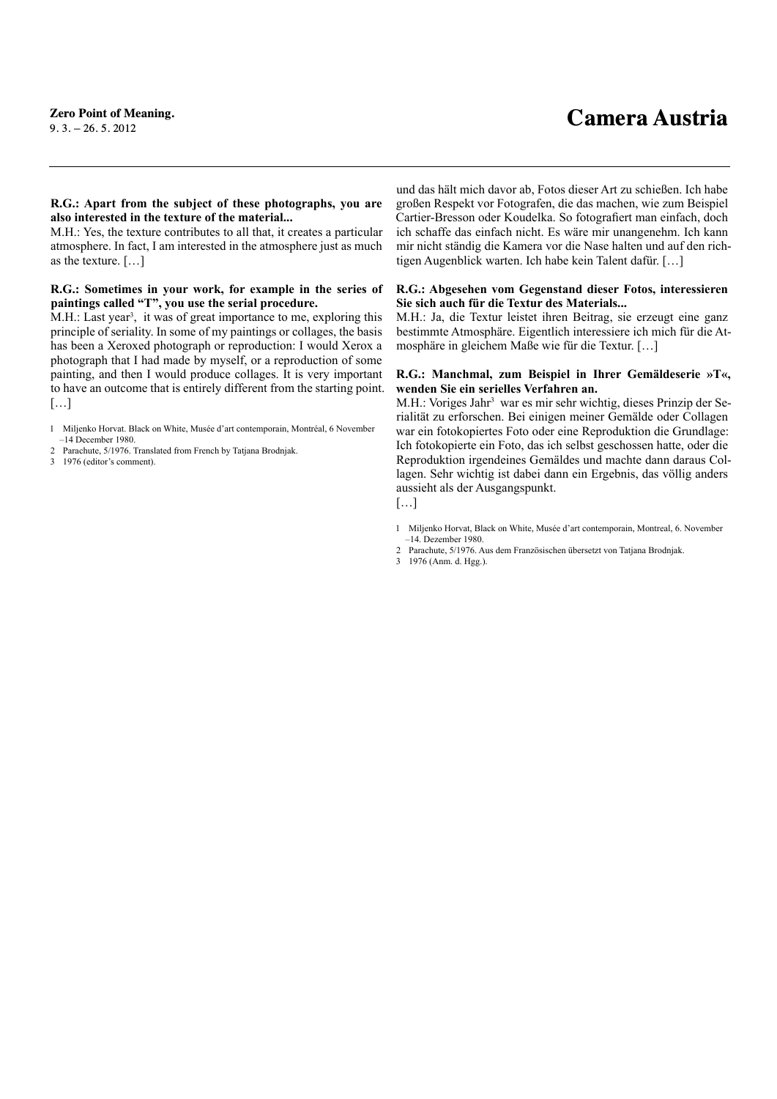#### **R.G.: Apart from the subject of these photographs, you are also interested in the texture of the material...**

M.H.: Yes, the texture contributes to all that, it creates a particular atmosphere. In fact, I am interested in the atmosphere just as much as the texture. […]

#### **R.G.: Sometimes in your work, for example in the series of paintings called "T", you use the serial procedure.**

M.H.: Last year<sup>3</sup>, it was of great importance to me, exploring this principle of seriality. In some of my paintings or collages, the basis has been a Xeroxed photograph or reproduction: I would Xerox a photograph that I had made by myself, or a reproduction of some painting, and then I would produce collages. It is very important to have an outcome that is entirely different from the starting point. […]

- 1 Miljenko Horvat. Black on White, Musée d'art contemporain, Montréal, 6 November –14 December 1980.
- 2 Parachute, 5/1976. Translated from French by Tatjana Brodnjak.
- 3 1976 (editor's comment).

und das hält mich davor ab, Fotos dieser Art zu schießen. Ich habe großen Respekt vor Fotografen, die das machen, wie zum Beispiel Cartier-Bresson oder Koudelka. So fotografiert man einfach, doch ich schaffe das einfach nicht. Es wäre mir unangenehm. Ich kann mir nicht ständig die Kamera vor die Nase halten und auf den richtigen Augenblick warten. Ich habe kein Talent dafür. […]

#### **R.G.: Abgesehen vom Gegenstand dieser Fotos, interessieren Sie sich auch für die Textur des Materials...**

M.H.: Ja, die Textur leistet ihren Beitrag, sie erzeugt eine ganz bestimmte Atmosphäre. Eigentlich interessiere ich mich für die Atmosphäre in gleichem Maße wie für die Textur. […]

#### **R.G.: Manchmal, zum Beispiel in Ihrer Gemäldeserie »T«, wenden Sie ein serielles Verfahren an.**

M.H.: Voriges Jahr<sup>3</sup> war es mir sehr wichtig, dieses Prinzip der Serialität zu erforschen. Bei einigen meiner Gemälde oder Collagen war ein fotokopiertes Foto oder eine Reproduktion die Grundlage: Ich fotokopierte ein Foto, das ich selbst geschossen hatte, oder die Reproduktion irgendeines Gemäldes und machte dann daraus Collagen. Sehr wichtig ist dabei dann ein Ergebnis, das völlig anders aussieht als der Ausgangspunkt.

[…]

- 1 Miljenko Horvat, Black on White, Musée d'art contemporain, Montreal, 6. November –14. Dezember 1980.
- 2 Parachute, 5/1976. Aus dem Französischen übersetzt von Tatjana Brodnjak.
- 3 1976 (Anm. d. Hgg.).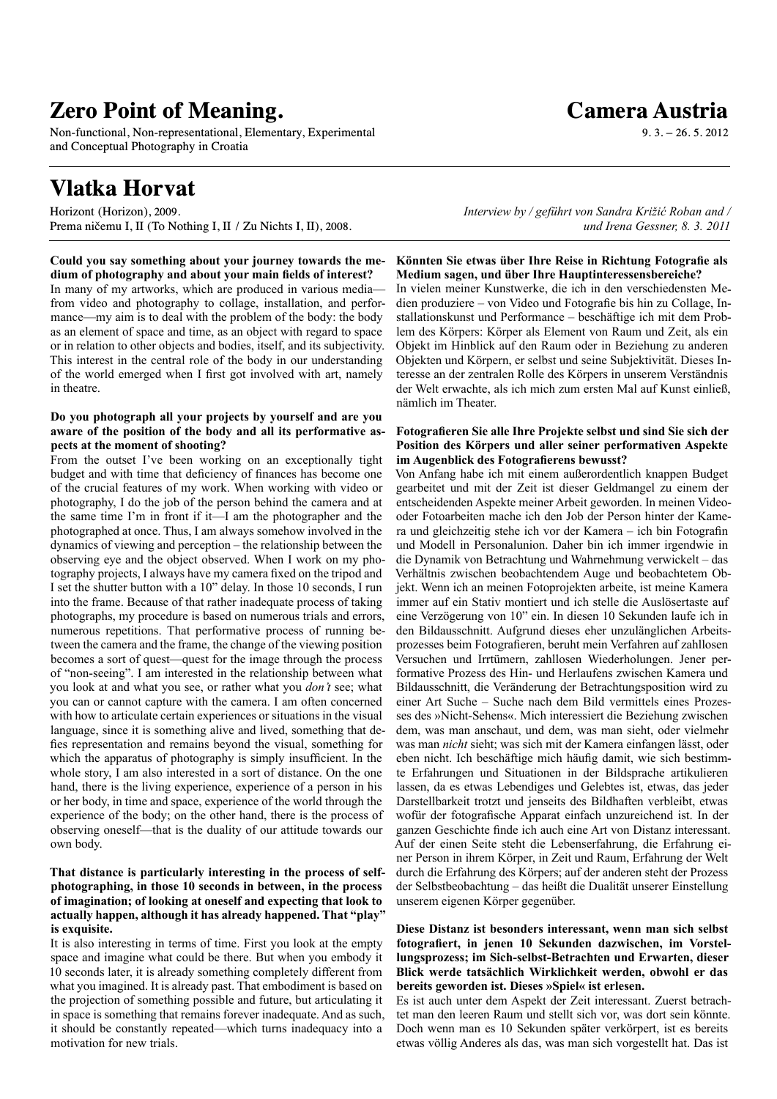Non-functional, Non-representational, Elementary, Experimental and Conceptual Photography in Croatia

### **Vlatka Horvat**

in theatre.

Horizont (Horizon), 2009. Prema ničemu I, II (To Nothing I, II / Zu Nichts I, II), 2008. **Camera Austria**

 $9.3 - 26.5$ , 2012

#### **Could you say something about your journey towards the medium of photography and about your main fields of interest?**  In many of my artworks, which are produced in various media from video and photography to collage, installation, and performance—my aim is to deal with the problem of the body: the body as an element of space and time, as an object with regard to space or in relation to other objects and bodies, itself, and its subjectivity. This interest in the central role of the body in our understanding of the world emerged when I first got involved with art, namely

#### **Do you photograph all your projects by yourself and are you aware of the position of the body and all its performative aspects at the moment of shooting?**

From the outset I've been working on an exceptionally tight budget and with time that deficiency of finances has become one of the crucial features of my work. When working with video or photography, I do the job of the person behind the camera and at the same time I'm in front if it—I am the photographer and the photographed at once. Thus, I am always somehow involved in the dynamics of viewing and perception – the relationship between the observing eye and the object observed. When I work on my photography projects, I always have my camera fixed on the tripod and I set the shutter button with a 10" delay. In those 10 seconds, I run into the frame. Because of that rather inadequate process of taking photographs, my procedure is based on numerous trials and errors, numerous repetitions. That performative process of running between the camera and the frame, the change of the viewing position becomes a sort of quest—quest for the image through the process of "non-seeing". I am interested in the relationship between what you look at and what you see, or rather what you *don't* see; what you can or cannot capture with the camera. I am often concerned with how to articulate certain experiences or situations in the visual language, since it is something alive and lived, something that defies representation and remains beyond the visual, something for which the apparatus of photography is simply insufficient. In the whole story, I am also interested in a sort of distance. On the one hand, there is the living experience, experience of a person in his or her body, in time and space, experience of the world through the experience of the body; on the other hand, there is the process of observing oneself—that is the duality of our attitude towards our own body.

#### **That distance is particularly interesting in the process of selfphotographing, in those 10 seconds in between, in the process of imagination; of looking at oneself and expecting that look to actually happen, although it has already happened. That "play" is exquisite.**

It is also interesting in terms of time. First you look at the empty space and imagine what could be there. But when you embody it 10 seconds later, it is already something completely different from what you imagined. It is already past. That embodiment is based on the projection of something possible and future, but articulating it in space is something that remains forever inadequate. And as such, it should be constantly repeated—which turns inadequacy into a motivation for new trials.

*Interview by / geführt von Sandra Križić Roban and / und Irena Gessner, 8. 3. 2011*

#### **Könnten Sie etwas über Ihre Reise in Richtung Fotografie als Medium sagen, und über Ihre Hauptinteressensbereiche?**

In vielen meiner Kunstwerke, die ich in den verschiedensten Medien produziere – von Video und Fotografie bis hin zu Collage, Installationskunst und Performance – beschäftige ich mit dem Problem des Körpers: Körper als Element von Raum und Zeit, als ein Objekt im Hinblick auf den Raum oder in Beziehung zu anderen Objekten und Körpern, er selbst und seine Subjektivität. Dieses Interesse an der zentralen Rolle des Körpers in unserem Verständnis der Welt erwachte, als ich mich zum ersten Mal auf Kunst einließ, nämlich im Theater.

#### **Fotografieren Sie alle Ihre Projekte selbst und sind Sie sich der Position des Körpers und aller seiner performativen Aspekte im Augenblick des Fotografierens bewusst?**

Von Anfang habe ich mit einem außerordentlich knappen Budget gearbeitet und mit der Zeit ist dieser Geldmangel zu einem der entscheidenden Aspekte meiner Arbeit geworden. In meinen Videooder Fotoarbeiten mache ich den Job der Person hinter der Kamera und gleichzeitig stehe ich vor der Kamera – ich bin Fotografin und Modell in Personalunion. Daher bin ich immer irgendwie in die Dynamik von Betrachtung und Wahrnehmung verwickelt – das Verhältnis zwischen beobachtendem Auge und beobachtetem Objekt. Wenn ich an meinen Fotoprojekten arbeite, ist meine Kamera immer auf ein Stativ montiert und ich stelle die Auslösertaste auf eine Verzögerung von 10" ein. In diesen 10 Sekunden laufe ich in den Bildausschnitt. Aufgrund dieses eher unzulänglichen Arbeitsprozesses beim Fotografieren, beruht mein Verfahren auf zahllosen Versuchen und Irrtümern, zahllosen Wiederholungen. Jener performative Prozess des Hin- und Herlaufens zwischen Kamera und Bildausschnitt, die Veränderung der Betrachtungsposition wird zu einer Art Suche – Suche nach dem Bild vermittels eines Prozesses des »Nicht-Sehens«. Mich interessiert die Beziehung zwischen dem, was man anschaut, und dem, was man sieht, oder vielmehr was man *nicht* sieht; was sich mit der Kamera einfangen lässt, oder eben nicht. Ich beschäftige mich häufig damit, wie sich bestimmte Erfahrungen und Situationen in der Bildsprache artikulieren lassen, da es etwas Lebendiges und Gelebtes ist, etwas, das jeder Darstellbarkeit trotzt und jenseits des Bildhaften verbleibt, etwas wofür der fotografische Apparat einfach unzureichend ist. In der ganzen Geschichte finde ich auch eine Art von Distanz interessant. Auf der einen Seite steht die Lebenserfahrung, die Erfahrung einer Person in ihrem Körper, in Zeit und Raum, Erfahrung der Welt durch die Erfahrung des Körpers; auf der anderen steht der Prozess der Selbstbeobachtung – das heißt die Dualität unserer Einstellung unserem eigenen Körper gegenüber.

#### **Diese Distanz ist besonders interessant, wenn man sich selbst fotografiert, in jenen 10 Sekunden dazwischen, im Vorstellungsprozess; im Sich-selbst-Betrachten und Erwarten, dieser Blick werde tatsächlich Wirklichkeit werden, obwohl er das bereits geworden ist. Dieses »Spiel« ist erlesen.**

Es ist auch unter dem Aspekt der Zeit interessant. Zuerst betrachtet man den leeren Raum und stellt sich vor, was dort sein könnte. Doch wenn man es 10 Sekunden später verkörpert, ist es bereits etwas völlig Anderes als das, was man sich vorgestellt hat. Das ist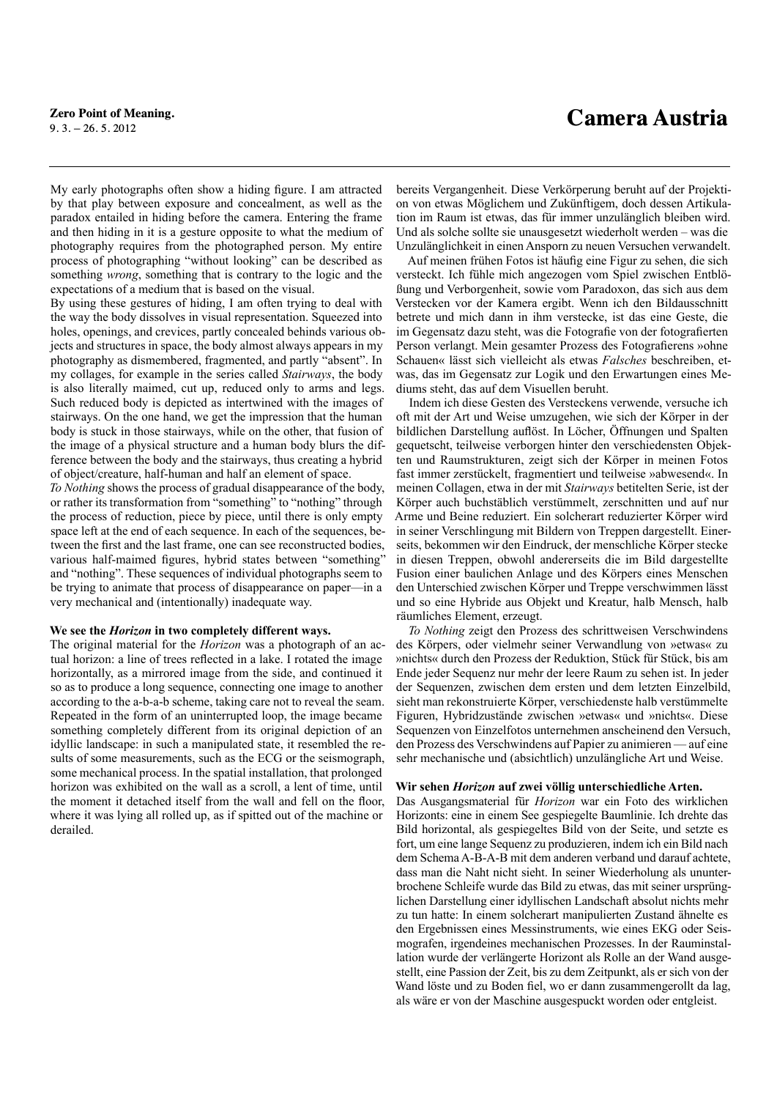My early photographs often show a hiding figure. I am attracted by that play between exposure and concealment, as well as the paradox entailed in hiding before the camera. Entering the frame and then hiding in it is a gesture opposite to what the medium of photography requires from the photographed person. My entire process of photographing "without looking" can be described as something *wrong*, something that is contrary to the logic and the expectations of a medium that is based on the visual.

By using these gestures of hiding, I am often trying to deal with the way the body dissolves in visual representation. Squeezed into holes, openings, and crevices, partly concealed behinds various objects and structures in space, the body almost always appears in my photography as dismembered, fragmented, and partly "absent". In my collages, for example in the series called *Stairways*, the body is also literally maimed, cut up, reduced only to arms and legs. Such reduced body is depicted as intertwined with the images of stairways. On the one hand, we get the impression that the human body is stuck in those stairways, while on the other, that fusion of the image of a physical structure and a human body blurs the difference between the body and the stairways, thus creating a hybrid of object/creature, half-human and half an element of space.

*To Nothing* shows the process of gradual disappearance of the body, or rather its transformation from "something" to "nothing" through the process of reduction, piece by piece, until there is only empty space left at the end of each sequence. In each of the sequences, between the first and the last frame, one can see reconstructed bodies, various half-maimed figures, hybrid states between "something" and "nothing". These sequences of individual photographs seem to be trying to animate that process of disappearance on paper—in a very mechanical and (intentionally) inadequate way.

#### **We see the** *Horizon* **in two completely different ways.**

The original material for the *Horizon* was a photograph of an actual horizon: a line of trees reflected in a lake. I rotated the image horizontally, as a mirrored image from the side, and continued it so as to produce a long sequence, connecting one image to another according to the a-b-a-b scheme, taking care not to reveal the seam. Repeated in the form of an uninterrupted loop, the image became something completely different from its original depiction of an idyllic landscape: in such a manipulated state, it resembled the results of some measurements, such as the ECG or the seismograph, some mechanical process. In the spatial installation, that prolonged horizon was exhibited on the wall as a scroll, a lent of time, until the moment it detached itself from the wall and fell on the floor, where it was lying all rolled up, as if spitted out of the machine or derailed.

bereits Vergangenheit. Diese Verkörperung beruht auf der Projektion von etwas Möglichem und Zukünftigem, doch dessen Artikulation im Raum ist etwas, das für immer unzulänglich bleiben wird. Und als solche sollte sie unausgesetzt wiederholt werden – was die Unzulänglichkeit in einen Ansporn zu neuen Versuchen verwandelt.

Auf meinen frühen Fotos ist häufig eine Figur zu sehen, die sich versteckt. Ich fühle mich angezogen vom Spiel zwischen Entblößung und Verborgenheit, sowie vom Paradoxon, das sich aus dem Verstecken vor der Kamera ergibt. Wenn ich den Bildausschnitt betrete und mich dann in ihm verstecke, ist das eine Geste, die im Gegensatz dazu steht, was die Fotografie von der fotografierten Person verlangt. Mein gesamter Prozess des Fotografierens »ohne Schauen« lässt sich vielleicht als etwas *Falsches* beschreiben, etwas, das im Gegensatz zur Logik und den Erwartungen eines Mediums steht, das auf dem Visuellen beruht.

Indem ich diese Gesten des Versteckens verwende, versuche ich oft mit der Art und Weise umzugehen, wie sich der Körper in der bildlichen Darstellung auflöst. In Löcher, Öffnungen und Spalten gequetscht, teilweise verborgen hinter den verschiedensten Objekten und Raumstrukturen, zeigt sich der Körper in meinen Fotos fast immer zerstückelt, fragmentiert und teilweise »abwesend«. In meinen Collagen, etwa in der mit *Stairways* betitelten Serie, ist der Körper auch buchstäblich verstümmelt, zerschnitten und auf nur Arme und Beine reduziert. Ein solcherart reduzierter Körper wird in seiner Verschlingung mit Bildern von Treppen dargestellt. Einerseits, bekommen wir den Eindruck, der menschliche Körper stecke in diesen Treppen, obwohl andererseits die im Bild dargestellte Fusion einer baulichen Anlage und des Körpers eines Menschen den Unterschied zwischen Körper und Treppe verschwimmen lässt und so eine Hybride aus Objekt und Kreatur, halb Mensch, halb räumliches Element, erzeugt.

*To Nothing* zeigt den Prozess des schrittweisen Verschwindens des Körpers, oder vielmehr seiner Verwandlung von »etwas« zu »nichts« durch den Prozess der Reduktion, Stück für Stück, bis am Ende jeder Sequenz nur mehr der leere Raum zu sehen ist. In jeder der Sequenzen, zwischen dem ersten und dem letzten Einzelbild, sieht man rekonstruierte Körper, verschiedenste halb verstümmelte Figuren, Hybridzustände zwischen »etwas« und »nichts«. Diese Sequenzen von Einzelfotos unternehmen anscheinend den Versuch, den Prozess des Verschwindens auf Papier zu animieren — auf eine sehr mechanische und (absichtlich) unzulängliche Art und Weise.

#### **Wir sehen** *Horizon* **auf zwei völlig unterschiedliche Arten.**

Das Ausgangsmaterial für *Horizon* war ein Foto des wirklichen Horizonts: eine in einem See gespiegelte Baumlinie. Ich drehte das Bild horizontal, als gespiegeltes Bild von der Seite, und setzte es fort, um eine lange Sequenz zu produzieren, indem ich ein Bild nach dem Schema A-B-A-B mit dem anderen verband und darauf achtete, dass man die Naht nicht sieht. In seiner Wiederholung als ununterbrochene Schleife wurde das Bild zu etwas, das mit seiner ursprünglichen Darstellung einer idyllischen Landschaft absolut nichts mehr zu tun hatte: In einem solcherart manipulierten Zustand ähnelte es den Ergebnissen eines Messinstruments, wie eines EKG oder Seismografen, irgendeines mechanischen Prozesses. In der Rauminstallation wurde der verlängerte Horizont als Rolle an der Wand ausgestellt, eine Passion der Zeit, bis zu dem Zeitpunkt, als er sich von der Wand löste und zu Boden fiel, wo er dann zusammengerollt da lag, als wäre er von der Maschine ausgespuckt worden oder entgleist.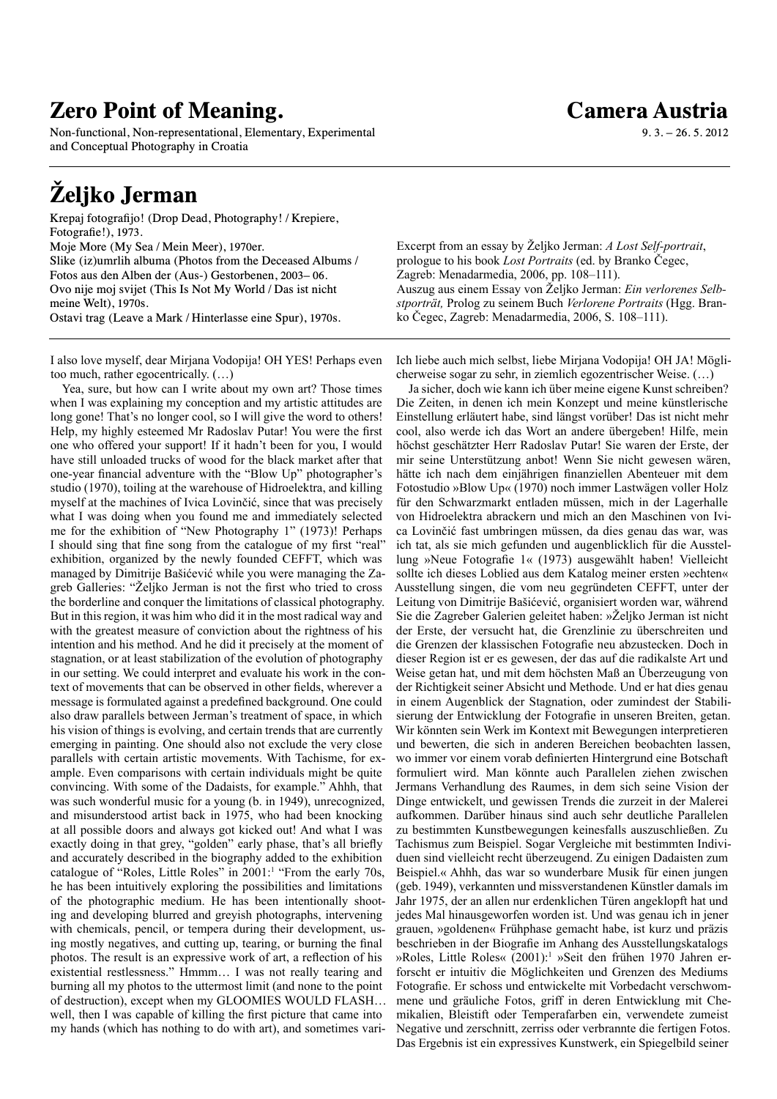Non-functional, Non-representational, Elementary, Experimental and Conceptual Photography in Croatia

### **Željko Jerman**

Krepaj fotografijo! (Drop Dead, Photography! /Krepiere, Fotografie!), 1973. Moje More (My Sea /Mein Meer), 1970er. Slike (iz)umrlih albuma (Photos from the Deceased Albums / Fotos aus den Alben der (Aus-) Gestorbenen, 2003– 06. Ovo nije moj svijet (This Is Not My World/Das ist nicht meine Welt), 1970s. Ostavi trag (Leave a Mark/Hinterlasse eine Spur), 1970s.

I also love myself, dear Mirjana Vodopija! OH YES! Perhaps even too much, rather egocentrically. (…)

Yea, sure, but how can I write about my own art? Those times when I was explaining my conception and my artistic attitudes are long gone! That's no longer cool, so I will give the word to others! Help, my highly esteemed Mr Radoslav Putar! You were the first one who offered your support! If it hadn't been for you, I would have still unloaded trucks of wood for the black market after that one-year financial adventure with the "Blow Up" photographer's studio (1970), toiling at the warehouse of Hidroelektra, and killing myself at the machines of Ivica Lovinčić, since that was precisely what I was doing when you found me and immediately selected me for the exhibition of "New Photography 1" (1973)! Perhaps I should sing that fine song from the catalogue of my first "real" exhibition, organized by the newly founded CEFFT, which was managed by Dimitrije Bašićević while you were managing the Zagreb Galleries: "Željko Jerman is not the first who tried to cross the borderline and conquer the limitations of classical photography. But in this region, it was him who did it in the most radical way and with the greatest measure of conviction about the rightness of his intention and his method. And he did it precisely at the moment of stagnation, or at least stabilization of the evolution of photography in our setting. We could interpret and evaluate his work in the context of movements that can be observed in other fields, wherever a message is formulated against a predefined background. One could also draw parallels between Jerman's treatment of space, in which his vision of things is evolving, and certain trends that are currently emerging in painting. One should also not exclude the very close parallels with certain artistic movements. With Tachisme, for example. Even comparisons with certain individuals might be quite convincing. With some of the Dadaists, for example." Ahhh, that was such wonderful music for a young (b. in 1949), unrecognized, and misunderstood artist back in 1975, who had been knocking at all possible doors and always got kicked out! And what I was exactly doing in that grey, "golden" early phase, that's all briefly and accurately described in the biography added to the exhibition catalogue of "Roles, Little Roles" in 2001:<sup>1</sup> "From the early 70s, he has been intuitively exploring the possibilities and limitations of the photographic medium. He has been intentionally shooting and developing blurred and greyish photographs, intervening with chemicals, pencil, or tempera during their development, using mostly negatives, and cutting up, tearing, or burning the final photos. The result is an expressive work of art, a reflection of his existential restlessness." Hmmm… I was not really tearing and burning all my photos to the uttermost limit (and none to the point of destruction), except when my GLOOMIES WOULD FLASH… well, then I was capable of killing the first picture that came into my hands (which has nothing to do with art), and sometimes variExcerpt from an essay by Željko Jerman: *A Lost Self-portrait*, prologue to his book *Lost Portraits* (ed. by Branko Čegec, Zagreb: Menadarmedia, 2006, pp. 108–111). Auszug aus einem Essay von Željko Jerman: *Ein verlorenes Selbstporträt,* Prolog zu seinem Buch *Verlorene Portraits* (Hgg. Branko Čegec, Zagreb: Menadarmedia, 2006, S. 108–111).

Ich liebe auch mich selbst, liebe Mirjana Vodopija! OH JA! Möglicherweise sogar zu sehr, in ziemlich egozentrischer Weise. (…)

Ja sicher, doch wie kann ich über meine eigene Kunst schreiben? Die Zeiten, in denen ich mein Konzept und meine künstlerische Einstellung erläutert habe, sind längst vorüber! Das ist nicht mehr cool, also werde ich das Wort an andere übergeben! Hilfe, mein höchst geschätzter Herr Radoslav Putar! Sie waren der Erste, der mir seine Unterstützung anbot! Wenn Sie nicht gewesen wären, hätte ich nach dem einjährigen finanziellen Abenteuer mit dem Fotostudio »Blow Up« (1970) noch immer Lastwägen voller Holz für den Schwarzmarkt entladen müssen, mich in der Lagerhalle von Hidroelektra abrackern und mich an den Maschinen von Ivica Lovinčić fast umbringen müssen, da dies genau das war, was ich tat, als sie mich gefunden und augenblicklich für die Ausstellung »Neue Fotografie 1« (1973) ausgewählt haben! Vielleicht sollte ich dieses Loblied aus dem Katalog meiner ersten »echten« Ausstellung singen, die vom neu gegründeten CEFFT, unter der Leitung von Dimitrije Bašićević, organisiert worden war, während Sie die Zagreber Galerien geleitet haben: »Željko Jerman ist nicht der Erste, der versucht hat, die Grenzlinie zu überschreiten und die Grenzen der klassischen Fotografie neu abzustecken. Doch in dieser Region ist er es gewesen, der das auf die radikalste Art und Weise getan hat, und mit dem höchsten Maß an Überzeugung von der Richtigkeit seiner Absicht und Methode. Und er hat dies genau in einem Augenblick der Stagnation, oder zumindest der Stabilisierung der Entwicklung der Fotografie in unseren Breiten, getan. Wir könnten sein Werk im Kontext mit Bewegungen interpretieren und bewerten, die sich in anderen Bereichen beobachten lassen, wo immer vor einem vorab definierten Hintergrund eine Botschaft formuliert wird. Man könnte auch Parallelen ziehen zwischen Jermans Verhandlung des Raumes, in dem sich seine Vision der Dinge entwickelt, und gewissen Trends die zurzeit in der Malerei aufkommen. Darüber hinaus sind auch sehr deutliche Parallelen zu bestimmten Kunstbewegungen keinesfalls auszuschließen. Zu Tachismus zum Beispiel. Sogar Vergleiche mit bestimmten Individuen sind vielleicht recht überzeugend. Zu einigen Dadaisten zum Beispiel.« Ahhh, das war so wunderbare Musik für einen jungen (geb. 1949), verkannten und missverstandenen Künstler damals im Jahr 1975, der an allen nur erdenklichen Türen angeklopft hat und jedes Mal hinausgeworfen worden ist. Und was genau ich in jener grauen, »goldenen« Frühphase gemacht habe, ist kurz und präzis beschrieben in der Biografie im Anhang des Ausstellungskatalogs »Roles, Little Roles« (2001):<sup>1</sup> »Seit den frühen 1970 Jahren erforscht er intuitiv die Möglichkeiten und Grenzen des Mediums Fotografie. Er schoss und entwickelte mit Vorbedacht verschwommene und gräuliche Fotos, griff in deren Entwicklung mit Chemikalien, Bleistift oder Temperafarben ein, verwendete zumeist Negative und zerschnitt, zerriss oder verbrannte die fertigen Fotos. Das Ergebnis ist ein expressives Kunstwerk, ein Spiegelbild seiner

 $9.3 - 26.5.2012$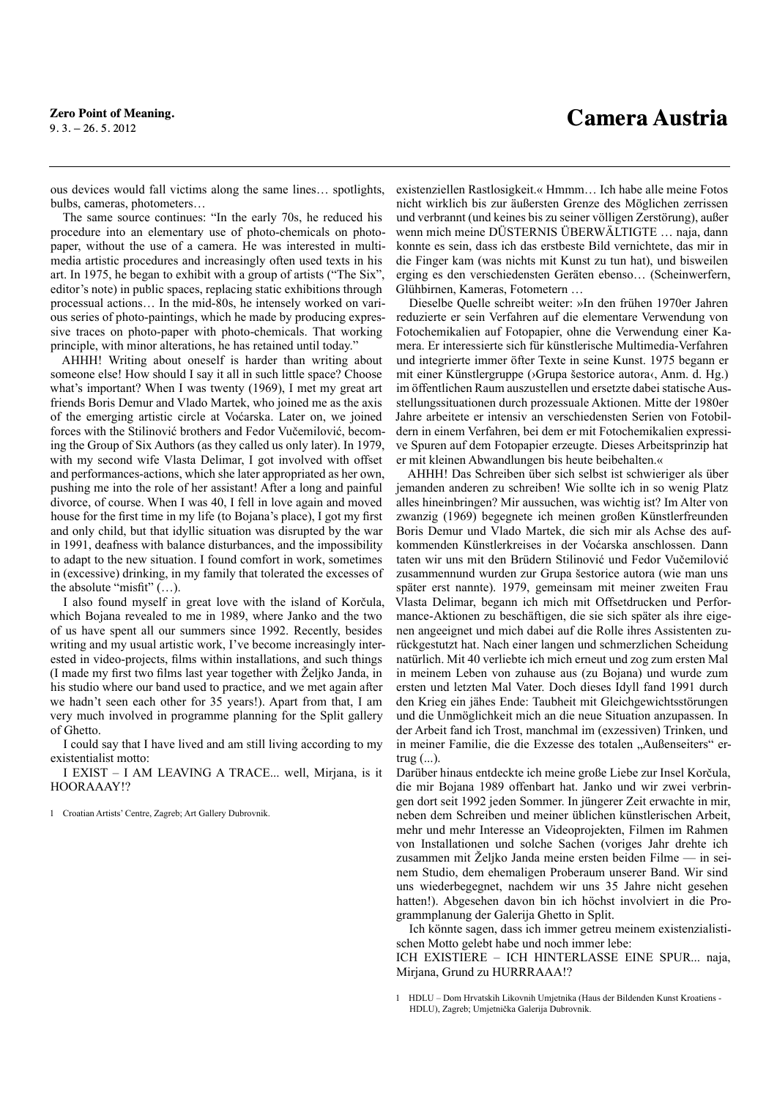ous devices would fall victims along the same lines… spotlights, bulbs, cameras, photometers…

The same source continues: "In the early 70s, he reduced his procedure into an elementary use of photo-chemicals on photopaper, without the use of a camera. He was interested in multimedia artistic procedures and increasingly often used texts in his art. In 1975, he began to exhibit with a group of artists ("The Six", editor's note) in public spaces, replacing static exhibitions through processual actions… In the mid-80s, he intensely worked on various series of photo-paintings, which he made by producing expressive traces on photo-paper with photo-chemicals. That working principle, with minor alterations, he has retained until today."

AHHH! Writing about oneself is harder than writing about someone else! How should I say it all in such little space? Choose what's important? When I was twenty (1969), I met my great art friends Boris Demur and Vlado Martek, who joined me as the axis of the emerging artistic circle at Voćarska. Later on, we joined forces with the Stilinović brothers and Fedor Vučemilović, becoming the Group of Six Authors (as they called us only later). In 1979, with my second wife Vlasta Delimar, I got involved with offset and performances-actions, which she later appropriated as her own, pushing me into the role of her assistant! After a long and painful divorce, of course. When I was 40, I fell in love again and moved house for the first time in my life (to Bojana's place), I got my first and only child, but that idyllic situation was disrupted by the war in 1991, deafness with balance disturbances, and the impossibility to adapt to the new situation. I found comfort in work, sometimes in (excessive) drinking, in my family that tolerated the excesses of the absolute "misfit"  $(...)$ .

I also found myself in great love with the island of Korčula, which Bojana revealed to me in 1989, where Janko and the two of us have spent all our summers since 1992. Recently, besides writing and my usual artistic work, I've become increasingly interested in video-projects, films within installations, and such things (I made my first two films last year together with Željko Janda, in his studio where our band used to practice, and we met again after we hadn't seen each other for 35 years!). Apart from that, I am very much involved in programme planning for the Split gallery of Ghetto.

I could say that I have lived and am still living according to my existentialist motto:

I EXIST – I AM LEAVING A TRACE... well, Mirjana, is it HOORAAAY!?

1 Croatian Artists' Centre, Zagreb; Art Gallery Dubrovnik.

existenziellen Rastlosigkeit.« Hmmm… Ich habe alle meine Fotos nicht wirklich bis zur äußersten Grenze des Möglichen zerrissen und verbrannt (und keines bis zu seiner völligen Zerstörung), außer wenn mich meine DÜSTERNIS ÜBERWÄLTIGTE … naja, dann konnte es sein, dass ich das erstbeste Bild vernichtete, das mir in die Finger kam (was nichts mit Kunst zu tun hat), und bisweilen erging es den verschiedensten Geräten ebenso… (Scheinwerfern, Glühbirnen, Kameras, Fotometern …

Dieselbe Quelle schreibt weiter: »In den frühen 1970er Jahren reduzierte er sein Verfahren auf die elementare Verwendung von Fotochemikalien auf Fotopapier, ohne die Verwendung einer Kamera. Er interessierte sich für künstlerische Multimedia-Verfahren und integrierte immer öfter Texte in seine Kunst. 1975 begann er mit einer Künstlergruppe (›Grupa šestorice autora‹, Anm. d. Hg.) im öffentlichen Raum auszustellen und ersetzte dabei statische Ausstellungssituationen durch prozessuale Aktionen. Mitte der 1980er Jahre arbeitete er intensiv an verschiedensten Serien von Fotobildern in einem Verfahren, bei dem er mit Fotochemikalien expressive Spuren auf dem Fotopapier erzeugte. Dieses Arbeitsprinzip hat er mit kleinen Abwandlungen bis heute beibehalten.«

AHHH! Das Schreiben über sich selbst ist schwieriger als über jemanden anderen zu schreiben! Wie sollte ich in so wenig Platz alles hineinbringen? Mir aussuchen, was wichtig ist? Im Alter von zwanzig (1969) begegnete ich meinen großen Künstlerfreunden Boris Demur und Vlado Martek, die sich mir als Achse des aufkommenden Künstlerkreises in der Voćarska anschlossen. Dann taten wir uns mit den Brüdern Stilinović und Fedor Vučemilović zusammennund wurden zur Grupa šestorice autora (wie man uns später erst nannte). 1979, gemeinsam mit meiner zweiten Frau Vlasta Delimar, begann ich mich mit Offsetdrucken und Performance-Aktionen zu beschäftigen, die sie sich später als ihre eigenen angeeignet und mich dabei auf die Rolle ihres Assistenten zurückgestutzt hat. Nach einer langen und schmerzlichen Scheidung natürlich. Mit 40 verliebte ich mich erneut und zog zum ersten Mal in meinem Leben von zuhause aus (zu Bojana) und wurde zum ersten und letzten Mal Vater. Doch dieses Idyll fand 1991 durch den Krieg ein jähes Ende: Taubheit mit Gleichgewichtsstörungen und die Unmöglichkeit mich an die neue Situation anzupassen. In der Arbeit fand ich Trost, manchmal im (exzessiven) Trinken, und in meiner Familie, die die Exzesse des totalen "Außenseiters" er $true$   $(...)$ .

Darüber hinaus entdeckte ich meine große Liebe zur Insel Korčula, die mir Bojana 1989 offenbart hat. Janko und wir zwei verbringen dort seit 1992 jeden Sommer. In jüngerer Zeit erwachte in mir, neben dem Schreiben und meiner üblichen künstlerischen Arbeit, mehr und mehr Interesse an Videoprojekten, Filmen im Rahmen von Installationen und solche Sachen (voriges Jahr drehte ich zusammen mit Željko Janda meine ersten beiden Filme — in seinem Studio, dem ehemaligen Proberaum unserer Band. Wir sind uns wiederbegegnet, nachdem wir uns 35 Jahre nicht gesehen hatten!). Abgesehen davon bin ich höchst involviert in die Programmplanung der Galerija Ghetto in Split.

Ich könnte sagen, dass ich immer getreu meinem existenzialistischen Motto gelebt habe und noch immer lebe:

ICH EXISTIERE – ICH HINTERLASSE EINE SPUR... naja, Mirjana, Grund zu HURRRAAA!?

1 HDLU – Dom Hrvatskih Likovnih Umjetnika (Haus der Bildenden Kunst Kroatiens - HDLU), Zagreb; Umjetnička Galerija Dubrovnik.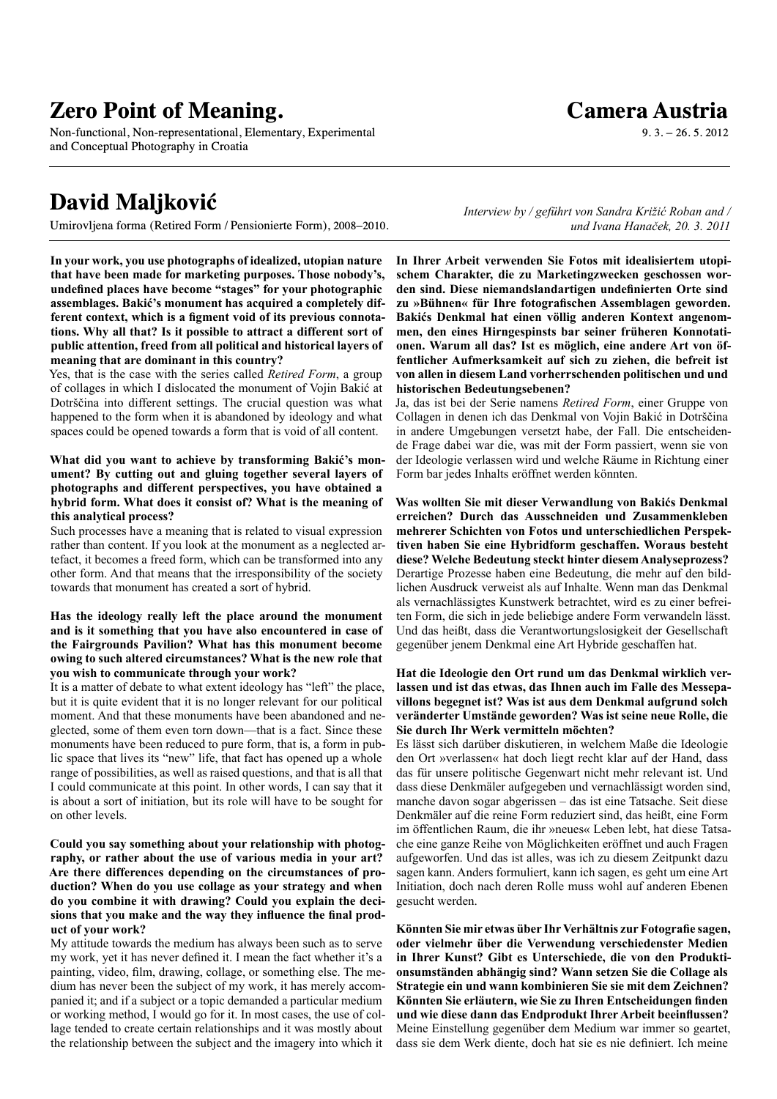Non-functional, Non-representational, Elementary, Experimental and Conceptual Photography in Croatia

### **David Maljković**

*Interview by / geführt von Sandra Križić Roban and /*  Umirovljena forma (Retired Form/Pensionierte Form), 2008–2010. *und Ivana Hanaček, 20. 3. 2011*

**In your work, you use photographs of idealized, utopian nature that have been made for marketing purposes. Those nobody's, undefined places have become "stages" for your photographic assemblages. Bakić's monument has acquired a completely different context, which is a figment void of its previous connotations. Why all that? Is it possible to attract a different sort of public attention, freed from all political and historical layers of meaning that are dominant in this country?** 

Yes, that is the case with the series called *Retired Form*, a group of collages in which I dislocated the monument of Vojin Bakić at Dotrščina into different settings. The crucial question was what happened to the form when it is abandoned by ideology and what spaces could be opened towards a form that is void of all content.

#### **What did you want to achieve by transforming Bakić's monument? By cutting out and gluing together several layers of photographs and different perspectives, you have obtained a hybrid form. What does it consist of? What is the meaning of this analytical process?**

Such processes have a meaning that is related to visual expression rather than content. If you look at the monument as a neglected artefact, it becomes a freed form, which can be transformed into any other form. And that means that the irresponsibility of the society towards that monument has created a sort of hybrid.

#### **Has the ideology really left the place around the monument and is it something that you have also encountered in case of the Fairgrounds Pavilion? What has this monument become owing to such altered circumstances? What is the new role that you wish to communicate through your work?**

It is a matter of debate to what extent ideology has "left" the place, but it is quite evident that it is no longer relevant for our political moment. And that these monuments have been abandoned and neglected, some of them even torn down—that is a fact. Since these monuments have been reduced to pure form, that is, a form in public space that lives its "new" life, that fact has opened up a whole range of possibilities, as well as raised questions, and that is all that I could communicate at this point. In other words, I can say that it is about a sort of initiation, but its role will have to be sought for on other levels.

#### **Could you say something about your relationship with photography, or rather about the use of various media in your art? Are there differences depending on the circumstances of production? When do you use collage as your strategy and when do you combine it with drawing? Could you explain the decisions that you make and the way they influence the final product of your work?**

My attitude towards the medium has always been such as to serve my work, yet it has never defined it. I mean the fact whether it's a painting, video, film, drawing, collage, or something else. The medium has never been the subject of my work, it has merely accompanied it; and if a subject or a topic demanded a particular medium or working method, I would go for it. In most cases, the use of collage tended to create certain relationships and it was mostly about the relationship between the subject and the imagery into which it

**In Ihrer Arbeit verwenden Sie Fotos mit idealisiertem utopischem Charakter, die zu Marketingzwecken geschossen worden sind. Diese niemandslandartigen undefinierten Orte sind zu »Bühnen« für Ihre fotografischen Assemblagen geworden. Bakićs Denkmal hat einen völlig anderen Kontext angenommen, den eines Hirngespinsts bar seiner früheren Konnotationen. Warum all das? Ist es möglich, eine andere Art von öffentlicher Aufmerksamkeit auf sich zu ziehen, die befreit ist von allen in diesem Land vorherrschenden politischen und und historischen Bedeutungsebenen?**

Ja, das ist bei der Serie namens *Retired Form*, einer Gruppe von Collagen in denen ich das Denkmal von Vojin Bakić in Dotrščina in andere Umgebungen versetzt habe, der Fall. Die entscheidende Frage dabei war die, was mit der Form passiert, wenn sie von der Ideologie verlassen wird und welche Räume in Richtung einer Form bar jedes Inhalts eröffnet werden könnten.

**Was wollten Sie mit dieser Verwandlung von Bakićs Denkmal erreichen? Durch das Ausschneiden und Zusammenkleben mehrerer Schichten von Fotos und unterschiedlichen Perspektiven haben Sie eine Hybridform geschaffen. Woraus besteht diese? Welche Bedeutung steckt hinter diesem Analyseprozess?** Derartige Prozesse haben eine Bedeutung, die mehr auf den bildlichen Ausdruck verweist als auf Inhalte. Wenn man das Denkmal als vernachlässigtes Kunstwerk betrachtet, wird es zu einer befreiten Form, die sich in jede beliebige andere Form verwandeln lässt. Und das heißt, dass die Verantwortungslosigkeit der Gesellschaft gegenüber jenem Denkmal eine Art Hybride geschaffen hat.

#### **Hat die Ideologie den Ort rund um das Denkmal wirklich verlassen und ist das etwas, das Ihnen auch im Falle des Messepavillons begegnet ist? Was ist aus dem Denkmal aufgrund solch veränderter Umstände geworden? Was ist seine neue Rolle, die Sie durch Ihr Werk vermitteln möchten?**

Es lässt sich darüber diskutieren, in welchem Maße die Ideologie den Ort »verlassen« hat doch liegt recht klar auf der Hand, dass das für unsere politische Gegenwart nicht mehr relevant ist. Und dass diese Denkmäler aufgegeben und vernachlässigt worden sind, manche davon sogar abgerissen – das ist eine Tatsache. Seit diese Denkmäler auf die reine Form reduziert sind, das heißt, eine Form im öffentlichen Raum, die ihr »neues« Leben lebt, hat diese Tatsache eine ganze Reihe von Möglichkeiten eröffnet und auch Fragen aufgeworfen. Und das ist alles, was ich zu diesem Zeitpunkt dazu sagen kann. Anders formuliert, kann ich sagen, es geht um eine Art Initiation, doch nach deren Rolle muss wohl auf anderen Ebenen gesucht werden.

**Könnten Sie mir etwas über Ihr Verhältnis zur Fotografie sagen, oder vielmehr über die Verwendung verschiedenster Medien in Ihrer Kunst? Gibt es Unterschiede, die von den Produktionsumständen abhängig sind? Wann setzen Sie die Collage als Strategie ein und wann kombinieren Sie sie mit dem Zeichnen? Könnten Sie erläutern, wie Sie zu Ihren Entscheidungen finden und wie diese dann das Endprodukt Ihrer Arbeit beeinflussen?** Meine Einstellung gegenüber dem Medium war immer so geartet, dass sie dem Werk diente, doch hat sie es nie definiert. Ich meine

### **Camera Austria**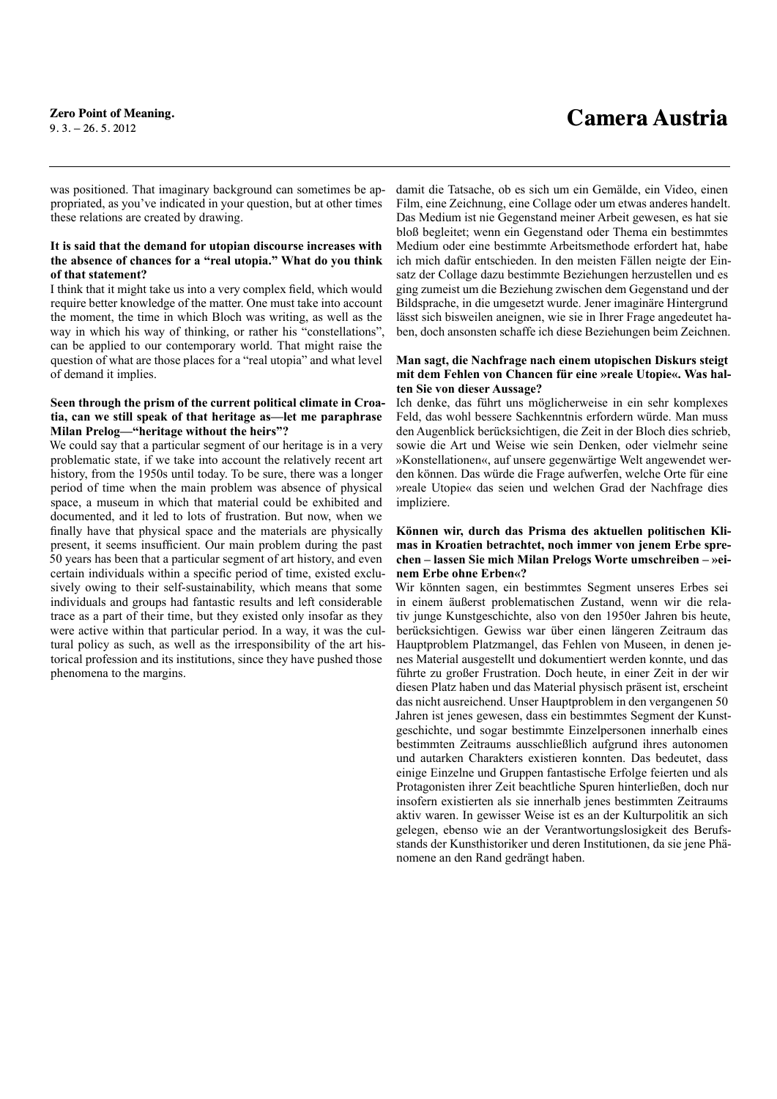was positioned. That imaginary background can sometimes be appropriated, as you've indicated in your question, but at other times these relations are created by drawing.

#### **It is said that the demand for utopian discourse increases with the absence of chances for a "real utopia." What do you think of that statement?**

I think that it might take us into a very complex field, which would require better knowledge of the matter. One must take into account the moment, the time in which Bloch was writing, as well as the way in which his way of thinking, or rather his "constellations", can be applied to our contemporary world. That might raise the question of what are those places for a "real utopia" and what level of demand it implies.

#### **Seen through the prism of the current political climate in Croatia, can we still speak of that heritage as—let me paraphrase Milan Prelog—"heritage without the heirs"?**

We could say that a particular segment of our heritage is in a very problematic state, if we take into account the relatively recent art history, from the 1950s until today. To be sure, there was a longer period of time when the main problem was absence of physical space, a museum in which that material could be exhibited and documented, and it led to lots of frustration. But now, when we finally have that physical space and the materials are physically present, it seems insufficient. Our main problem during the past 50 years has been that a particular segment of art history, and even certain individuals within a specific period of time, existed exclusively owing to their self-sustainability, which means that some individuals and groups had fantastic results and left considerable trace as a part of their time, but they existed only insofar as they were active within that particular period. In a way, it was the cultural policy as such, as well as the irresponsibility of the art historical profession and its institutions, since they have pushed those phenomena to the margins.

damit die Tatsache, ob es sich um ein Gemälde, ein Video, einen Film, eine Zeichnung, eine Collage oder um etwas anderes handelt. Das Medium ist nie Gegenstand meiner Arbeit gewesen, es hat sie bloß begleitet; wenn ein Gegenstand oder Thema ein bestimmtes Medium oder eine bestimmte Arbeitsmethode erfordert hat, habe ich mich dafür entschieden. In den meisten Fällen neigte der Einsatz der Collage dazu bestimmte Beziehungen herzustellen und es ging zumeist um die Beziehung zwischen dem Gegenstand und der Bildsprache, in die umgesetzt wurde. Jener imaginäre Hintergrund lässt sich bisweilen aneignen, wie sie in Ihrer Frage angedeutet haben, doch ansonsten schaffe ich diese Beziehungen beim Zeichnen.

#### **Man sagt, die Nachfrage nach einem utopischen Diskurs steigt mit dem Fehlen von Chancen für eine »reale Utopie«. Was halten Sie von dieser Aussage?**

Ich denke, das führt uns möglicherweise in ein sehr komplexes Feld, das wohl bessere Sachkenntnis erfordern würde. Man muss den Augenblick berücksichtigen, die Zeit in der Bloch dies schrieb, sowie die Art und Weise wie sein Denken, oder vielmehr seine »Konstellationen«, auf unsere gegenwärtige Welt angewendet werden können. Das würde die Frage aufwerfen, welche Orte für eine »reale Utopie« das seien und welchen Grad der Nachfrage dies impliziere.

#### **Können wir, durch das Prisma des aktuellen politischen Klimas in Kroatien betrachtet, noch immer von jenem Erbe sprechen – lassen Sie mich Milan Prelogs Worte umschreiben – »einem Erbe ohne Erben«?**

Wir könnten sagen, ein bestimmtes Segment unseres Erbes sei in einem äußerst problematischen Zustand, wenn wir die relativ junge Kunstgeschichte, also von den 1950er Jahren bis heute, berücksichtigen. Gewiss war über einen längeren Zeitraum das Hauptproblem Platzmangel, das Fehlen von Museen, in denen jenes Material ausgestellt und dokumentiert werden konnte, und das führte zu großer Frustration. Doch heute, in einer Zeit in der wir diesen Platz haben und das Material physisch präsent ist, erscheint das nicht ausreichend. Unser Hauptproblem in den vergangenen 50 Jahren ist jenes gewesen, dass ein bestimmtes Segment der Kunstgeschichte, und sogar bestimmte Einzelpersonen innerhalb eines bestimmten Zeitraums ausschließlich aufgrund ihres autonomen und autarken Charakters existieren konnten. Das bedeutet, dass einige Einzelne und Gruppen fantastische Erfolge feierten und als Protagonisten ihrer Zeit beachtliche Spuren hinterließen, doch nur insofern existierten als sie innerhalb jenes bestimmten Zeitraums aktiv waren. In gewisser Weise ist es an der Kulturpolitik an sich gelegen, ebenso wie an der Verantwortungslosigkeit des Berufsstands der Kunsthistoriker und deren Institutionen, da sie jene Phänomene an den Rand gedrängt haben.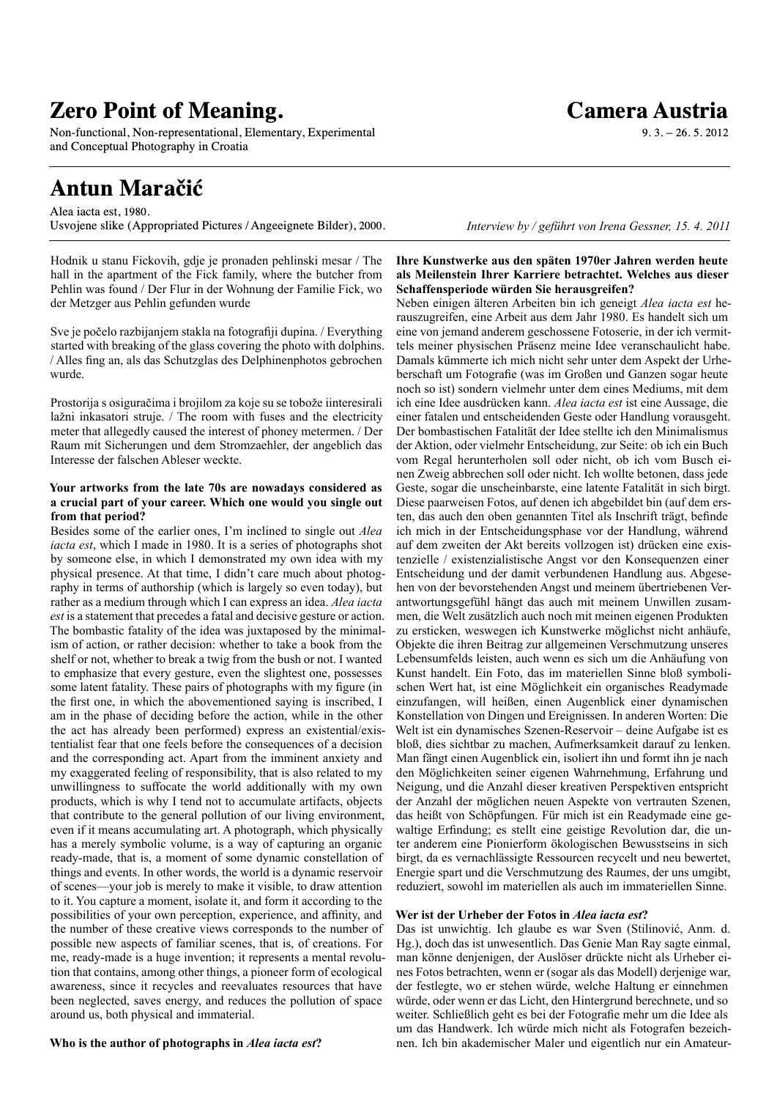Non-functional, Non-representational, Elementary, Experimental and Conceptual Photography in Croatia

### **Antun Maračić**

Alea iacta est, 1980. Usvojene slike (Appropriated Pictures /Angeeignete Bilder), 2000.

Hodnik u stanu Fickovih, gdje je pronaden pehlinski mesar / The hall in the apartment of the Fick family, where the butcher from Pehlin was found / Der Flur in der Wohnung der Familie Fick, wo der Metzger aus Pehlin gefunden wurde

Sve je počelo razbijanjem stakla na fotografiji dupina. / Everything started with breaking of the glass covering the photo with dolphins. / Alles fing an, als das Schutzglas des Delphinenphotos gebrochen wurde.

Prostorija s osiguračima i brojilom za koje su se tobože iinteresirali lažni inkasatori struje. / The room with fuses and the electricity meter that allegedly caused the interest of phoney metermen. / Der Raum mit Sicherungen und dem Stromzaehler, der angeblich das Interesse der falschen Ableser weckte.

#### **Your artworks from the late 70s are nowadays considered as a crucial part of your career. Which one would you single out from that period?**

Besides some of the earlier ones, I'm inclined to single out *Alea iacta est*, which I made in 1980. It is a series of photographs shot by someone else, in which I demonstrated my own idea with my physical presence. At that time, I didn't care much about photography in terms of authorship (which is largely so even today), but rather as a medium through which I can express an idea. *Alea iacta est* is a statement that precedes a fatal and decisive gesture or action. The bombastic fatality of the idea was juxtaposed by the minimalism of action, or rather decision: whether to take a book from the shelf or not, whether to break a twig from the bush or not. I wanted to emphasize that every gesture, even the slightest one, possesses some latent fatality. These pairs of photographs with my figure (in the first one, in which the abovementioned saying is inscribed, I am in the phase of deciding before the action, while in the other the act has already been performed) express an existential/existentialist fear that one feels before the consequences of a decision and the corresponding act. Apart from the imminent anxiety and my exaggerated feeling of responsibility, that is also related to my unwillingness to suffocate the world additionally with my own products, which is why I tend not to accumulate artifacts, objects that contribute to the general pollution of our living environment, even if it means accumulating art. A photograph, which physically has a merely symbolic volume, is a way of capturing an organic ready-made, that is, a moment of some dynamic constellation of things and events. In other words, the world is a dynamic reservoir of scenes—your job is merely to make it visible, to draw attention to it. You capture a moment, isolate it, and form it according to the possibilities of your own perception, experience, and affinity, and the number of these creative views corresponds to the number of possible new aspects of familiar scenes, that is, of creations. For me, ready-made is a huge invention; it represents a mental revolution that contains, among other things, a pioneer form of ecological awareness, since it recycles and reevaluates resources that have been neglected, saves energy, and reduces the pollution of space around us, both physical and immaterial.

#### **Who is the author of photographs in** *Alea iacta est***?**

*Interview by / geführt von Irena Gessner, 15. 4. 2011*

#### **Ihre Kunstwerke aus den späten 1970er Jahren werden heute als Meilenstein Ihrer Karriere betrachtet. Welches aus dieser Schaffensperiode würden Sie herausgreifen?**

Neben einigen älteren Arbeiten bin ich geneigt *Alea iacta est* herauszugreifen, eine Arbeit aus dem Jahr 1980. Es handelt sich um eine von jemand anderem geschossene Fotoserie, in der ich vermittels meiner physischen Präsenz meine Idee veranschaulicht habe. Damals kümmerte ich mich nicht sehr unter dem Aspekt der Urheberschaft um Fotografie (was im Großen und Ganzen sogar heute noch so ist) sondern vielmehr unter dem eines Mediums, mit dem ich eine Idee ausdrücken kann. *Alea iacta est* ist eine Aussage, die einer fatalen und entscheidenden Geste oder Handlung vorausgeht. Der bombastischen Fatalität der Idee stellte ich den Minimalismus der Aktion, oder vielmehr Entscheidung, zur Seite: ob ich ein Buch vom Regal herunterholen soll oder nicht, ob ich vom Busch einen Zweig abbrechen soll oder nicht. Ich wollte betonen, dass jede Geste, sogar die unscheinbarste, eine latente Fatalität in sich birgt. Diese paarweisen Fotos, auf denen ich abgebildet bin (auf dem ersten, das auch den oben genannten Titel als Inschrift trägt, befinde ich mich in der Entscheidungsphase vor der Handlung, während auf dem zweiten der Akt bereits vollzogen ist) drücken eine existenzielle / existenzialistische Angst vor den Konsequenzen einer Entscheidung und der damit verbundenen Handlung aus. Abgesehen von der bevorstehenden Angst und meinem übertriebenen Verantwortungsgefühl hängt das auch mit meinem Unwillen zusammen, die Welt zusätzlich auch noch mit meinen eigenen Produkten zu ersticken, weswegen ich Kunstwerke möglichst nicht anhäufe, Objekte die ihren Beitrag zur allgemeinen Verschmutzung unseres Lebensumfelds leisten, auch wenn es sich um die Anhäufung von Kunst handelt. Ein Foto, das im materiellen Sinne bloß symbolischen Wert hat, ist eine Möglichkeit ein organisches Readymade einzufangen, will heißen, einen Augenblick einer dynamischen Konstellation von Dingen und Ereignissen. In anderen Worten: Die Welt ist ein dynamisches Szenen-Reservoir – deine Aufgabe ist es bloß, dies sichtbar zu machen, Aufmerksamkeit darauf zu lenken. Man fängt einen Augenblick ein, isoliert ihn und formt ihn je nach den Möglichkeiten seiner eigenen Wahrnehmung, Erfahrung und Neigung, und die Anzahl dieser kreativen Perspektiven entspricht der Anzahl der möglichen neuen Aspekte von vertrauten Szenen, das heißt von Schöpfungen. Für mich ist ein Readymade eine gewaltige Erfindung; es stellt eine geistige Revolution dar, die unter anderem eine Pionierform ökologischen Bewusstseins in sich birgt, da es vernachlässigte Ressourcen recycelt und neu bewertet, Energie spart und die Verschmutzung des Raumes, der uns umgibt, reduziert, sowohl im materiellen als auch im immateriellen Sinne.

#### **Wer ist der Urheber der Fotos in** *Alea iacta est***?**

Das ist unwichtig. Ich glaube es war Sven (Stilinović, Anm. d. Hg.), doch das ist unwesentlich. Das Genie Man Ray sagte einmal, man könne denjenigen, der Auslöser drückte nicht als Urheber eines Fotos betrachten, wenn er (sogar als das Modell) derjenige war, der festlegte, wo er stehen würde, welche Haltung er einnehmen würde, oder wenn er das Licht, den Hintergrund berechnete, und so weiter. Schließlich geht es bei der Fotografie mehr um die Idee als um das Handwerk. Ich würde mich nicht als Fotografen bezeichnen. Ich bin akademischer Maler und eigentlich nur ein Amateur-

### **Camera Austria**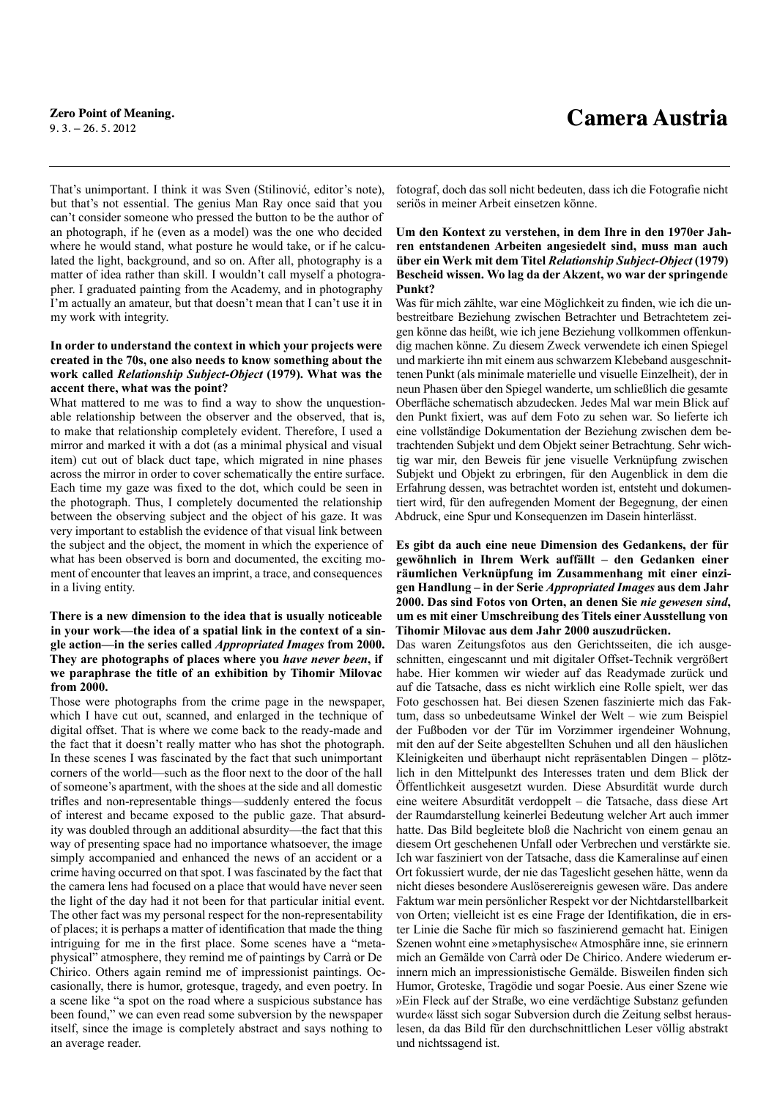That's unimportant. I think it was Sven (Stilinović, editor's note), but that's not essential. The genius Man Ray once said that you can't consider someone who pressed the button to be the author of an photograph, if he (even as a model) was the one who decided where he would stand, what posture he would take, or if he calculated the light, background, and so on. After all, photography is a matter of idea rather than skill. I wouldn't call myself a photographer. I graduated painting from the Academy, and in photography I'm actually an amateur, but that doesn't mean that I can't use it in my work with integrity.

#### **In order to understand the context in which your projects were created in the 70s, one also needs to know something about the work called** *Relationship Subject-Object* **(1979). What was the accent there, what was the point?**

What mattered to me was to find a way to show the unquestionable relationship between the observer and the observed, that is, to make that relationship completely evident. Therefore, I used a mirror and marked it with a dot (as a minimal physical and visual item) cut out of black duct tape, which migrated in nine phases across the mirror in order to cover schematically the entire surface. Each time my gaze was fixed to the dot, which could be seen in the photograph. Thus, I completely documented the relationship between the observing subject and the object of his gaze. It was very important to establish the evidence of that visual link between the subject and the object, the moment in which the experience of what has been observed is born and documented, the exciting moment of encounter that leaves an imprint, a trace, and consequences in a living entity.

#### **There is a new dimension to the idea that is usually noticeable in your work—the idea of a spatial link in the context of a single action—in the series called** *Appropriated Images* **from 2000. They are photographs of places where you** *have never been***, if we paraphrase the title of an exhibition by Tihomir Milovac from 2000.**

Those were photographs from the crime page in the newspaper, which I have cut out, scanned, and enlarged in the technique of digital offset. That is where we come back to the ready-made and the fact that it doesn't really matter who has shot the photograph. In these scenes I was fascinated by the fact that such unimportant corners of the world—such as the floor next to the door of the hall of someone's apartment, with the shoes at the side and all domestic trifles and non-representable things—suddenly entered the focus of interest and became exposed to the public gaze. That absurdity was doubled through an additional absurdity—the fact that this way of presenting space had no importance whatsoever, the image simply accompanied and enhanced the news of an accident or a crime having occurred on that spot. I was fascinated by the fact that the camera lens had focused on a place that would have never seen the light of the day had it not been for that particular initial event. The other fact was my personal respect for the non-representability of places; it is perhaps a matter of identification that made the thing intriguing for me in the first place. Some scenes have a "metaphysical" atmosphere, they remind me of paintings by Carrà or De Chirico. Others again remind me of impressionist paintings. Occasionally, there is humor, grotesque, tragedy, and even poetry. In a scene like "a spot on the road where a suspicious substance has been found," we can even read some subversion by the newspaper itself, since the image is completely abstract and says nothing to an average reader.

fotograf, doch das soll nicht bedeuten, dass ich die Fotografie nicht seriös in meiner Arbeit einsetzen könne.

#### **Um den Kontext zu verstehen, in dem Ihre in den 1970er Jahren entstandenen Arbeiten angesiedelt sind, muss man auch über ein Werk mit dem Titel** *Relationship Subject-Object* **(1979) Bescheid wissen. Wo lag da der Akzent, wo war der springende Punkt?**

Was für mich zählte, war eine Möglichkeit zu finden, wie ich die unbestreitbare Beziehung zwischen Betrachter und Betrachtetem zeigen könne das heißt, wie ich jene Beziehung vollkommen offenkundig machen könne. Zu diesem Zweck verwendete ich einen Spiegel und markierte ihn mit einem aus schwarzem Klebeband ausgeschnittenen Punkt (als minimale materielle und visuelle Einzelheit), der in neun Phasen über den Spiegel wanderte, um schließlich die gesamte Oberfläche schematisch abzudecken. Jedes Mal war mein Blick auf den Punkt fixiert, was auf dem Foto zu sehen war. So lieferte ich eine vollständige Dokumentation der Beziehung zwischen dem betrachtenden Subjekt und dem Objekt seiner Betrachtung. Sehr wichtig war mir, den Beweis für jene visuelle Verknüpfung zwischen Subjekt und Objekt zu erbringen, für den Augenblick in dem die Erfahrung dessen, was betrachtet worden ist, entsteht und dokumentiert wird, für den aufregenden Moment der Begegnung, der einen Abdruck, eine Spur und Konsequenzen im Dasein hinterlässt.

#### **Es gibt da auch eine neue Dimension des Gedankens, der für gewöhnlich in Ihrem Werk auffällt – den Gedanken einer räumlichen Verknüpfung im Zusammenhang mit einer einzigen Handlung – in der Serie** *Appropriated Images* **aus dem Jahr 2000. Das sind Fotos von Orten, an denen Sie** *nie gewesen sind***, um es mit einer Umschreibung des Titels einer Ausstellung von Tihomir Milovac aus dem Jahr 2000 auszudrücken.**

Das waren Zeitungsfotos aus den Gerichtsseiten, die ich ausgeschnitten, eingescannt und mit digitaler Offset-Technik vergrößert habe. Hier kommen wir wieder auf das Readymade zurück und auf die Tatsache, dass es nicht wirklich eine Rolle spielt, wer das Foto geschossen hat. Bei diesen Szenen faszinierte mich das Faktum, dass so unbedeutsame Winkel der Welt – wie zum Beispiel der Fußboden vor der Tür im Vorzimmer irgendeiner Wohnung, mit den auf der Seite abgestellten Schuhen und all den häuslichen Kleinigkeiten und überhaupt nicht repräsentablen Dingen – plötzlich in den Mittelpunkt des Interesses traten und dem Blick der Öffentlichkeit ausgesetzt wurden. Diese Absurdität wurde durch eine weitere Absurdität verdoppelt – die Tatsache, dass diese Art der Raumdarstellung keinerlei Bedeutung welcher Art auch immer hatte. Das Bild begleitete bloß die Nachricht von einem genau an diesem Ort geschehenen Unfall oder Verbrechen und verstärkte sie. Ich war fasziniert von der Tatsache, dass die Kameralinse auf einen Ort fokussiert wurde, der nie das Tageslicht gesehen hätte, wenn da nicht dieses besondere Auslöserereignis gewesen wäre. Das andere Faktum war mein persönlicher Respekt vor der Nichtdarstellbarkeit von Orten; vielleicht ist es eine Frage der Identifikation, die in erster Linie die Sache für mich so faszinierend gemacht hat. Einigen Szenen wohnt eine »metaphysische« Atmosphäre inne, sie erinnern mich an Gemälde von Carrà oder De Chirico. Andere wiederum erinnern mich an impressionistische Gemälde. Bisweilen finden sich Humor, Groteske, Tragödie und sogar Poesie. Aus einer Szene wie »Ein Fleck auf der Straße, wo eine verdächtige Substanz gefunden wurde« lässt sich sogar Subversion durch die Zeitung selbst herauslesen, da das Bild für den durchschnittlichen Leser völlig abstrakt und nichtssagend ist.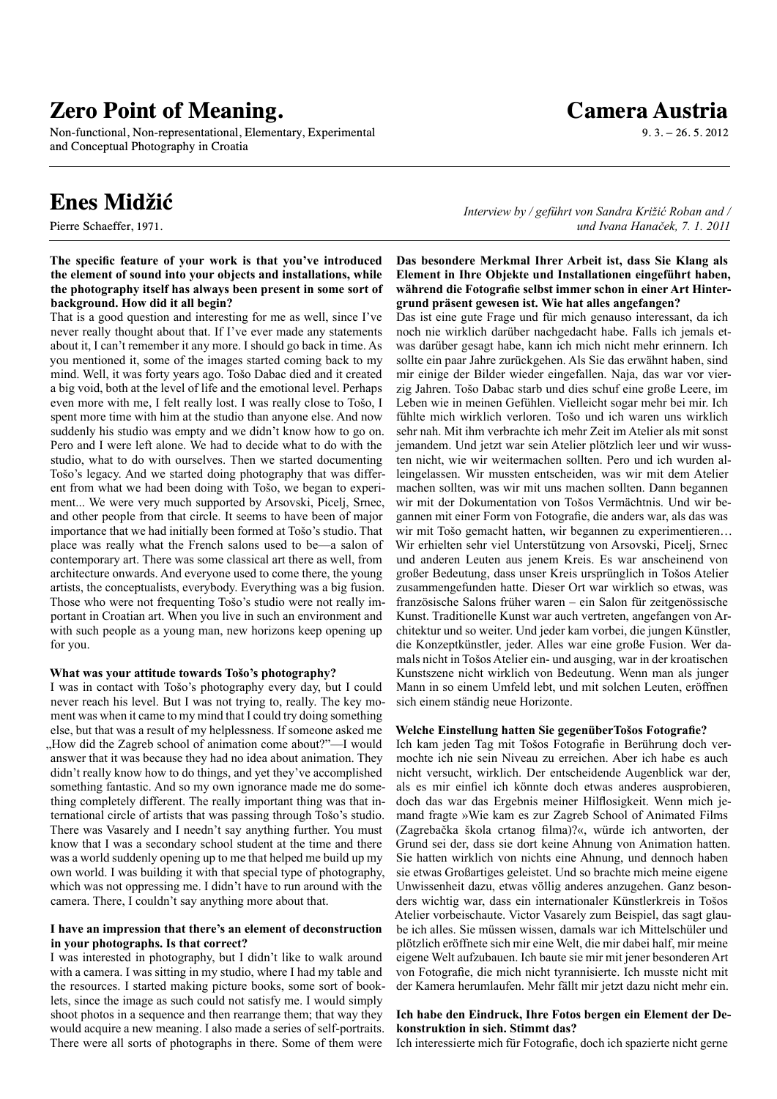Non-functional, Non-representational, Elementary, Experimental and Conceptual Photography in Croatia

### **Enes Midžić**

Pierre Schaeffer, 1971.

#### **The specific feature of your work is that you've introduced the element of sound into your objects and installations, while the photography itself has always been present in some sort of background. How did it all begin?**

That is a good question and interesting for me as well, since I've never really thought about that. If I've ever made any statements about it, I can't remember it any more. I should go back in time. As you mentioned it, some of the images started coming back to my mind. Well, it was forty years ago. Tošo Dabac died and it created a big void, both at the level of life and the emotional level. Perhaps even more with me, I felt really lost. I was really close to Tošo, I spent more time with him at the studio than anyone else. And now suddenly his studio was empty and we didn't know how to go on. Pero and I were left alone. We had to decide what to do with the studio, what to do with ourselves. Then we started documenting Tošo's legacy. And we started doing photography that was different from what we had been doing with Tošo, we began to experiment... We were very much supported by Arsovski, Picelj, Srnec, and other people from that circle. It seems to have been of major importance that we had initially been formed at Tošo's studio. That place was really what the French salons used to be—a salon of contemporary art. There was some classical art there as well, from architecture onwards. And everyone used to come there, the young artists, the conceptualists, everybody. Everything was a big fusion. Those who were not frequenting Tošo's studio were not really important in Croatian art. When you live in such an environment and with such people as a young man, new horizons keep opening up for you.

#### **What was your attitude towards Tošo's photography?**

I was in contact with Tošo's photography every day, but I could never reach his level. But I was not trying to, really. The key moment was when it came to my mind that I could try doing something else, but that was a result of my helplessness. If someone asked me "How did the Zagreb school of animation come about?"—I would answer that it was because they had no idea about animation. They didn't really know how to do things, and yet they've accomplished something fantastic. And so my own ignorance made me do something completely different. The really important thing was that international circle of artists that was passing through Tošo's studio. There was Vasarely and I needn't say anything further. You must know that I was a secondary school student at the time and there was a world suddenly opening up to me that helped me build up my own world. I was building it with that special type of photography, which was not oppressing me. I didn't have to run around with the camera. There, I couldn't say anything more about that.

#### **I have an impression that there's an element of deconstruction in your photographs. Is that correct?**

I was interested in photography, but I didn't like to walk around with a camera. I was sitting in my studio, where I had my table and the resources. I started making picture books, some sort of booklets, since the image as such could not satisfy me. I would simply shoot photos in a sequence and then rearrange them; that way they would acquire a new meaning. I also made a series of self-portraits. There were all sorts of photographs in there. Some of them were

*Interview by / geführt von Sandra Križić Roban and / und Ivana Hanaček, 7. 1. 2011*

#### **Das besondere Merkmal Ihrer Arbeit ist, dass Sie Klang als Element in Ihre Objekte und Installationen eingeführt haben, während die Fotografie selbst immer schon in einer Art Hintergrund präsent gewesen ist. Wie hat alles angefangen?**

Das ist eine gute Frage und für mich genauso interessant, da ich noch nie wirklich darüber nachgedacht habe. Falls ich jemals etwas darüber gesagt habe, kann ich mich nicht mehr erinnern. Ich sollte ein paar Jahre zurückgehen. Als Sie das erwähnt haben, sind mir einige der Bilder wieder eingefallen. Naja, das war vor vierzig Jahren. Tošo Dabac starb und dies schuf eine große Leere, im Leben wie in meinen Gefühlen. Vielleicht sogar mehr bei mir. Ich fühlte mich wirklich verloren. Tošo und ich waren uns wirklich sehr nah. Mit ihm verbrachte ich mehr Zeit im Atelier als mit sonst jemandem. Und jetzt war sein Atelier plötzlich leer und wir wussten nicht, wie wir weitermachen sollten. Pero und ich wurden alleingelassen. Wir mussten entscheiden, was wir mit dem Atelier machen sollten, was wir mit uns machen sollten. Dann begannen wir mit der Dokumentation von Tošos Vermächtnis. Und wir begannen mit einer Form von Fotografie, die anders war, als das was wir mit Tošo gemacht hatten, wir begannen zu experimentieren… Wir erhielten sehr viel Unterstützung von Arsovski, Picelj, Srnec und anderen Leuten aus jenem Kreis. Es war anscheinend von großer Bedeutung, dass unser Kreis ursprünglich in Tošos Atelier zusammengefunden hatte. Dieser Ort war wirklich so etwas, was französische Salons früher waren – ein Salon für zeitgenössische Kunst. Traditionelle Kunst war auch vertreten, angefangen von Architektur und so weiter. Und jeder kam vorbei, die jungen Künstler, die Konzeptkünstler, jeder. Alles war eine große Fusion. Wer damals nicht in Tošos Atelier ein- und ausging, war in der kroatischen Kunstszene nicht wirklich von Bedeutung. Wenn man als junger Mann in so einem Umfeld lebt, und mit solchen Leuten, eröffnen sich einem ständig neue Horizonte.

#### **Welche Einstellung hatten Sie gegenüberTošos Fotografie?**

Ich kam jeden Tag mit Tošos Fotografie in Berührung doch vermochte ich nie sein Niveau zu erreichen. Aber ich habe es auch nicht versucht, wirklich. Der entscheidende Augenblick war der, als es mir einfiel ich könnte doch etwas anderes ausprobieren, doch das war das Ergebnis meiner Hilflosigkeit. Wenn mich jemand fragte »Wie kam es zur Zagreb School of Animated Films (Zagrebačka škola crtanog filma)?«, würde ich antworten, der Grund sei der, dass sie dort keine Ahnung von Animation hatten. Sie hatten wirklich von nichts eine Ahnung, und dennoch haben sie etwas Großartiges geleistet. Und so brachte mich meine eigene Unwissenheit dazu, etwas völlig anderes anzugehen. Ganz besonders wichtig war, dass ein internationaler Künstlerkreis in Tošos Atelier vorbeischaute. Victor Vasarely zum Beispiel, das sagt glaube ich alles. Sie müssen wissen, damals war ich Mittelschüler und plötzlich eröffnete sich mir eine Welt, die mir dabei half, mir meine eigene Welt aufzubauen. Ich baute sie mir mit jener besonderen Art von Fotografie, die mich nicht tyrannisierte. Ich musste nicht mit der Kamera herumlaufen. Mehr fällt mir jetzt dazu nicht mehr ein.

#### **Ich habe den Eindruck, Ihre Fotos bergen ein Element der Dekonstruktion in sich. Stimmt das?**

Ich interessierte mich für Fotografie, doch ich spazierte nicht gerne

### **Camera Austria**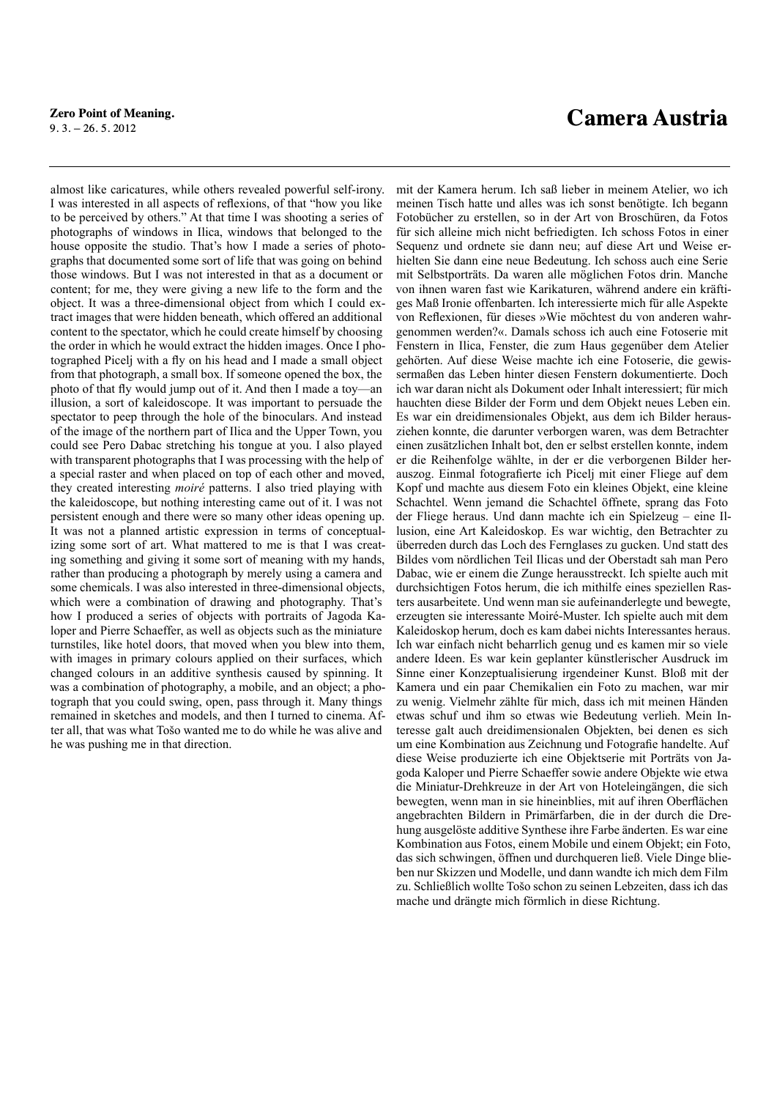almost like caricatures, while others revealed powerful self-irony. I was interested in all aspects of reflexions, of that "how you like to be perceived by others." At that time I was shooting a series of photographs of windows in Ilica, windows that belonged to the house opposite the studio. That's how I made a series of photographs that documented some sort of life that was going on behind those windows. But I was not interested in that as a document or content; for me, they were giving a new life to the form and the object. It was a three-dimensional object from which I could extract images that were hidden beneath, which offered an additional content to the spectator, which he could create himself by choosing the order in which he would extract the hidden images. Once I photographed Picelj with a fly on his head and I made a small object from that photograph, a small box. If someone opened the box, the photo of that fly would jump out of it. And then I made a toy—an illusion, a sort of kaleidoscope. It was important to persuade the spectator to peep through the hole of the binoculars. And instead of the image of the northern part of Ilica and the Upper Town, you could see Pero Dabac stretching his tongue at you. I also played with transparent photographs that I was processing with the help of a special raster and when placed on top of each other and moved, they created interesting *moiré* patterns. I also tried playing with the kaleidoscope, but nothing interesting came out of it. I was not persistent enough and there were so many other ideas opening up. It was not a planned artistic expression in terms of conceptualizing some sort of art. What mattered to me is that I was creating something and giving it some sort of meaning with my hands, rather than producing a photograph by merely using a camera and some chemicals. I was also interested in three-dimensional objects, which were a combination of drawing and photography. That's how I produced a series of objects with portraits of Jagoda Kaloper and Pierre Schaeffer, as well as objects such as the miniature turnstiles, like hotel doors, that moved when you blew into them, with images in primary colours applied on their surfaces, which changed colours in an additive synthesis caused by spinning. It was a combination of photography, a mobile, and an object; a photograph that you could swing, open, pass through it. Many things remained in sketches and models, and then I turned to cinema. After all, that was what Tošo wanted me to do while he was alive and he was pushing me in that direction.

mit der Kamera herum. Ich saß lieber in meinem Atelier, wo ich meinen Tisch hatte und alles was ich sonst benötigte. Ich begann Fotobücher zu erstellen, so in der Art von Broschüren, da Fotos für sich alleine mich nicht befriedigten. Ich schoss Fotos in einer Sequenz und ordnete sie dann neu; auf diese Art und Weise erhielten Sie dann eine neue Bedeutung. Ich schoss auch eine Serie mit Selbstporträts. Da waren alle möglichen Fotos drin. Manche von ihnen waren fast wie Karikaturen, während andere ein kräftiges Maß Ironie offenbarten. Ich interessierte mich für alle Aspekte von Reflexionen, für dieses »Wie möchtest du von anderen wahrgenommen werden?«. Damals schoss ich auch eine Fotoserie mit Fenstern in Ilica, Fenster, die zum Haus gegenüber dem Atelier gehörten. Auf diese Weise machte ich eine Fotoserie, die gewissermaßen das Leben hinter diesen Fenstern dokumentierte. Doch ich war daran nicht als Dokument oder Inhalt interessiert; für mich hauchten diese Bilder der Form und dem Objekt neues Leben ein. Es war ein dreidimensionales Objekt, aus dem ich Bilder herausziehen konnte, die darunter verborgen waren, was dem Betrachter einen zusätzlichen Inhalt bot, den er selbst erstellen konnte, indem er die Reihenfolge wählte, in der er die verborgenen Bilder herauszog. Einmal fotografierte ich Picelj mit einer Fliege auf dem Kopf und machte aus diesem Foto ein kleines Objekt, eine kleine Schachtel. Wenn jemand die Schachtel öffnete, sprang das Foto der Fliege heraus. Und dann machte ich ein Spielzeug – eine Illusion, eine Art Kaleidoskop. Es war wichtig, den Betrachter zu überreden durch das Loch des Fernglases zu gucken. Und statt des Bildes vom nördlichen Teil Ilicas und der Oberstadt sah man Pero Dabac, wie er einem die Zunge herausstreckt. Ich spielte auch mit durchsichtigen Fotos herum, die ich mithilfe eines speziellen Rasters ausarbeitete. Und wenn man sie aufeinanderlegte und bewegte, erzeugten sie interessante Moiré-Muster. Ich spielte auch mit dem Kaleidoskop herum, doch es kam dabei nichts Interessantes heraus. Ich war einfach nicht beharrlich genug und es kamen mir so viele andere Ideen. Es war kein geplanter künstlerischer Ausdruck im Sinne einer Konzeptualisierung irgendeiner Kunst. Bloß mit der Kamera und ein paar Chemikalien ein Foto zu machen, war mir zu wenig. Vielmehr zählte für mich, dass ich mit meinen Händen etwas schuf und ihm so etwas wie Bedeutung verlieh. Mein Interesse galt auch dreidimensionalen Objekten, bei denen es sich um eine Kombination aus Zeichnung und Fotografie handelte. Auf diese Weise produzierte ich eine Objektserie mit Porträts von Jagoda Kaloper und Pierre Schaeffer sowie andere Objekte wie etwa die Miniatur-Drehkreuze in der Art von Hoteleingängen, die sich bewegten, wenn man in sie hineinblies, mit auf ihren Oberflächen angebrachten Bildern in Primärfarben, die in der durch die Drehung ausgelöste additive Synthese ihre Farbe änderten. Es war eine Kombination aus Fotos, einem Mobile und einem Objekt; ein Foto, das sich schwingen, öffnen und durchqueren ließ. Viele Dinge blieben nur Skizzen und Modelle, und dann wandte ich mich dem Film zu. Schließlich wollte Tošo schon zu seinen Lebzeiten, dass ich das mache und drängte mich förmlich in diese Richtung.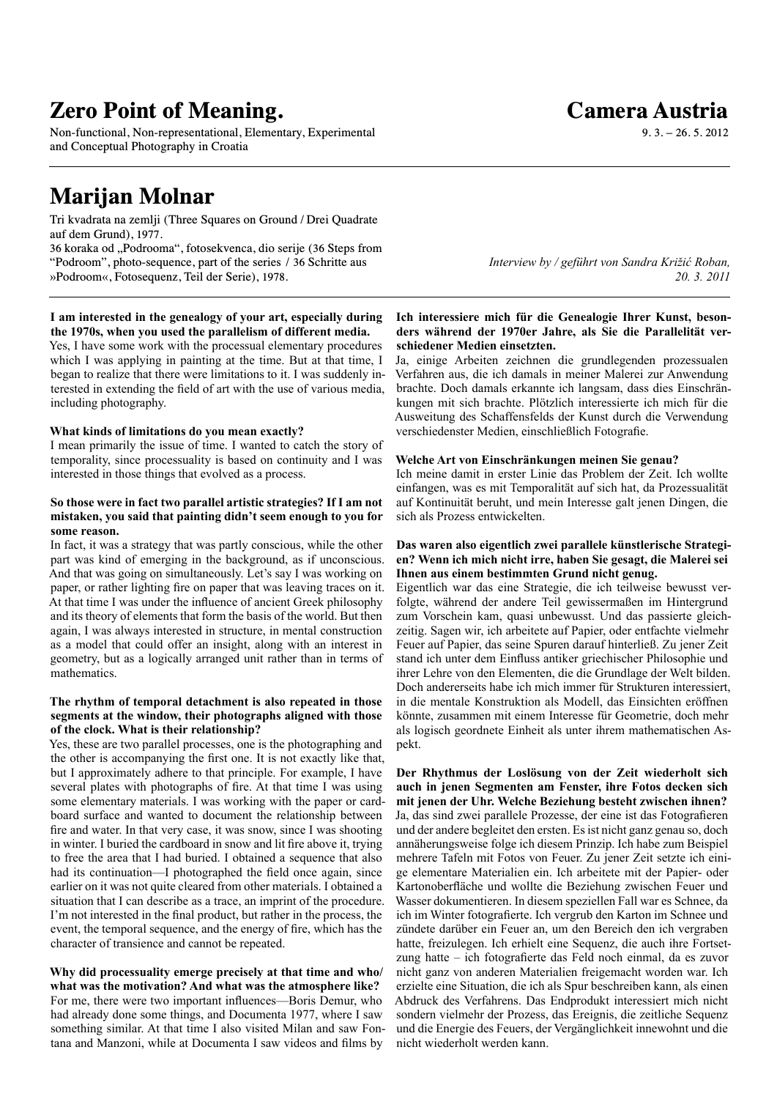Non-functional, Non-representational, Elementary, Experimental and Conceptual Photography in Croatia

### **Marijan Molnar**

Tri kvadrata na zemlji (Three Squares on Ground/Drei Quadrate auf dem Grund), 1977.

36 koraka od "Podrooma", fotosekvenca, dio serije (36 Steps from "Podroom", photo-sequence, part of the series / 36 Schritte aus »Podroom«, Fotosequenz, Teil der Serie), 1978.

#### **I am interested in the genealogy of your art, especially during the 1970s, when you used the parallelism of different media.**

Yes, I have some work with the processual elementary procedures which I was applying in painting at the time. But at that time, I began to realize that there were limitations to it. I was suddenly interested in extending the field of art with the use of various media, including photography.

#### **What kinds of limitations do you mean exactly?**

I mean primarily the issue of time. I wanted to catch the story of temporality, since processuality is based on continuity and I was interested in those things that evolved as a process.

#### **So those were in fact two parallel artistic strategies? If I am not mistaken, you said that painting didn't seem enough to you for some reason.**

In fact, it was a strategy that was partly conscious, while the other part was kind of emerging in the background, as if unconscious. And that was going on simultaneously. Let's say I was working on paper, or rather lighting fire on paper that was leaving traces on it. At that time I was under the influence of ancient Greek philosophy and its theory of elements that form the basis of the world. But then again, I was always interested in structure, in mental construction as a model that could offer an insight, along with an interest in geometry, but as a logically arranged unit rather than in terms of mathematics.

#### **The rhythm of temporal detachment is also repeated in those segments at the window, their photographs aligned with those of the clock. What is their relationship?**

Yes, these are two parallel processes, one is the photographing and the other is accompanying the first one. It is not exactly like that, but I approximately adhere to that principle. For example, I have several plates with photographs of fire. At that time I was using some elementary materials. I was working with the paper or cardboard surface and wanted to document the relationship between fire and water. In that very case, it was snow, since I was shooting in winter. I buried the cardboard in snow and lit fire above it, trying to free the area that I had buried. I obtained a sequence that also had its continuation—I photographed the field once again, since earlier on it was not quite cleared from other materials. I obtained a situation that I can describe as a trace, an imprint of the procedure. I'm not interested in the final product, but rather in the process, the event, the temporal sequence, and the energy of fire, which has the character of transience and cannot be repeated.

**Why did processuality emerge precisely at that time and who/ what was the motivation? And what was the atmosphere like?**  For me, there were two important influences—Boris Demur, who had already done some things, and Documenta 1977, where I saw something similar. At that time I also visited Milan and saw Fontana and Manzoni, while at Documenta I saw videos and films by

*Interview by / geführt von Sandra Križić Roban, 20. 3. 2011*

#### **Ich interessiere mich für die Genealogie Ihrer Kunst, besonders während der 1970er Jahre, als Sie die Parallelität verschiedener Medien einsetzten.**

Ja, einige Arbeiten zeichnen die grundlegenden prozessualen Verfahren aus, die ich damals in meiner Malerei zur Anwendung brachte. Doch damals erkannte ich langsam, dass dies Einschränkungen mit sich brachte. Plötzlich interessierte ich mich für die Ausweitung des Schaffensfelds der Kunst durch die Verwendung verschiedenster Medien, einschließlich Fotografie.

#### **Welche Art von Einschränkungen meinen Sie genau?**

Ich meine damit in erster Linie das Problem der Zeit. Ich wollte einfangen, was es mit Temporalität auf sich hat, da Prozessualität auf Kontinuität beruht, und mein Interesse galt jenen Dingen, die sich als Prozess entwickelten.

#### **Das waren also eigentlich zwei parallele künstlerische Strategien? Wenn ich mich nicht irre, haben Sie gesagt, die Malerei sei Ihnen aus einem bestimmten Grund nicht genug.**

Eigentlich war das eine Strategie, die ich teilweise bewusst verfolgte, während der andere Teil gewissermaßen im Hintergrund zum Vorschein kam, quasi unbewusst. Und das passierte gleichzeitig. Sagen wir, ich arbeitete auf Papier, oder entfachte vielmehr Feuer auf Papier, das seine Spuren darauf hinterließ. Zu jener Zeit stand ich unter dem Einfluss antiker griechischer Philosophie und ihrer Lehre von den Elementen, die die Grundlage der Welt bilden. Doch andererseits habe ich mich immer für Strukturen interessiert, in die mentale Konstruktion als Modell, das Einsichten eröffnen könnte, zusammen mit einem Interesse für Geometrie, doch mehr als logisch geordnete Einheit als unter ihrem mathematischen Aspekt.

**Der Rhythmus der Loslösung von der Zeit wiederholt sich auch in jenen Segmenten am Fenster, ihre Fotos decken sich mit jenen der Uhr. Welche Beziehung besteht zwischen ihnen?** Ja, das sind zwei parallele Prozesse, der eine ist das Fotografieren und der andere begleitet den ersten. Es ist nicht ganz genau so, doch annäherungsweise folge ich diesem Prinzip. Ich habe zum Beispiel mehrere Tafeln mit Fotos von Feuer. Zu jener Zeit setzte ich einige elementare Materialien ein. Ich arbeitete mit der Papier- oder Kartonoberfläche und wollte die Beziehung zwischen Feuer und Wasser dokumentieren. In diesem speziellen Fall war es Schnee, da ich im Winter fotografierte. Ich vergrub den Karton im Schnee und zündete darüber ein Feuer an, um den Bereich den ich vergraben hatte, freizulegen. Ich erhielt eine Sequenz, die auch ihre Fortsetzung hatte – ich fotografierte das Feld noch einmal, da es zuvor nicht ganz von anderen Materialien freigemacht worden war. Ich erzielte eine Situation, die ich als Spur beschreiben kann, als einen Abdruck des Verfahrens. Das Endprodukt interessiert mich nicht sondern vielmehr der Prozess, das Ereignis, die zeitliche Sequenz und die Energie des Feuers, der Vergänglichkeit innewohnt und die nicht wiederholt werden kann.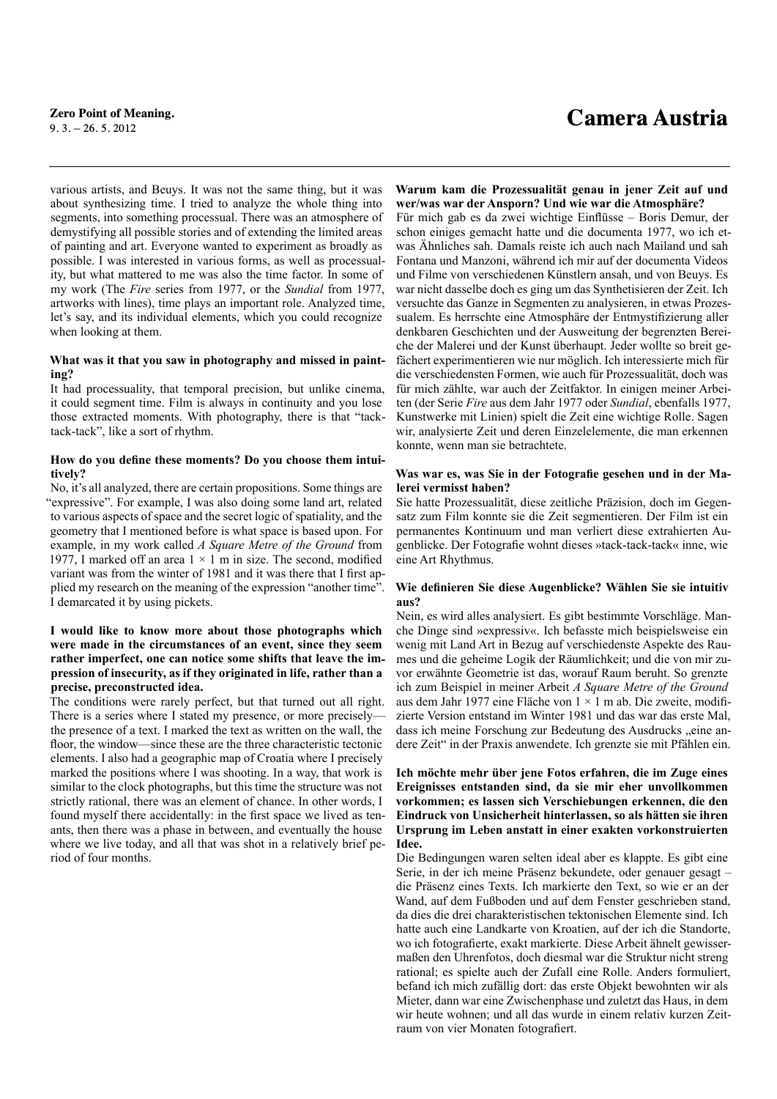various artists, and Beuys. It was not the same thing, but it was about synthesizing time. I tried to analyze the whole thing into segments, into something processual. There was an atmosphere of demystifying all possible stories and of extending the limited areas of painting and art. Everyone wanted to experiment as broadly as possible. I was interested in various forms, as well as processuality, but what mattered to me was also the time factor. In some of my work (The *Fire* series from 1977, or the *Sundial* from 1977, artworks with lines), time plays an important role. Analyzed time, let's say, and its individual elements, which you could recognize when looking at them.

#### **What was it that you saw in photography and missed in painting?**

It had processuality, that temporal precision, but unlike cinema, it could segment time. Film is always in continuity and you lose those extracted moments. With photography, there is that "tacktack-tack", like a sort of rhythm.

#### **How do you define these moments? Do you choose them intuitively?**

No, it's all analyzed, there are certain propositions. Some things are "expressive". For example, I was also doing some land art, related to various aspects of space and the secret logic of spatiality, and the geometry that I mentioned before is what space is based upon. For example, in my work called *A Square Metre of the Ground* from 1977, I marked off an area  $1 \times 1$  m in size. The second, modified variant was from the winter of 1981 and it was there that I first applied my research on the meaning of the expression "another time". I demarcated it by using pickets.

#### **I would like to know more about those photographs which were made in the circumstances of an event, since they seem rather imperfect, one can notice some shifts that leave the impression of insecurity, as if they originated in life, rather than a precise, preconstructed idea.**

The conditions were rarely perfect, but that turned out all right. There is a series where I stated my presence, or more precisely the presence of a text. I marked the text as written on the wall, the floor, the window—since these are the three characteristic tectonic elements. I also had a geographic map of Croatia where I precisely marked the positions where I was shooting. In a way, that work is similar to the clock photographs, but this time the structure was not strictly rational, there was an element of chance. In other words, I found myself there accidentally: in the first space we lived as tenants, then there was a phase in between, and eventually the house where we live today, and all that was shot in a relatively brief period of four months.

#### **Warum kam die Prozessualität genau in jener Zeit auf und wer/was war der Ansporn? Und wie war die Atmosphäre?**

Für mich gab es da zwei wichtige Einflüsse – Boris Demur, der schon einiges gemacht hatte und die documenta 1977, wo ich etwas Ähnliches sah. Damals reiste ich auch nach Mailand und sah Fontana und Manzoni, während ich mir auf der documenta Videos und Filme von verschiedenen Künstlern ansah, und von Beuys. Es war nicht dasselbe doch es ging um das Synthetisieren der Zeit. Ich versuchte das Ganze in Segmenten zu analysieren, in etwas Prozessualem. Es herrschte eine Atmosphäre der Entmystifizierung aller denkbaren Geschichten und der Ausweitung der begrenzten Bereiche der Malerei und der Kunst überhaupt. Jeder wollte so breit gefächert experimentieren wie nur möglich. Ich interessierte mich für die verschiedensten Formen, wie auch für Prozessualität, doch was für mich zählte, war auch der Zeitfaktor. In einigen meiner Arbeiten (der Serie *Fire* aus dem Jahr 1977 oder *Sundial*, ebenfalls 1977, Kunstwerke mit Linien) spielt die Zeit eine wichtige Rolle. Sagen wir, analysierte Zeit und deren Einzelelemente, die man erkennen konnte, wenn man sie betrachtete.

#### **Was war es, was Sie in der Fotografie gesehen und in der Malerei vermisst haben?**

Sie hatte Prozessualität, diese zeitliche Präzision, doch im Gegensatz zum Film konnte sie die Zeit segmentieren. Der Film ist ein permanentes Kontinuum und man verliert diese extrahierten Augenblicke. Der Fotografie wohnt dieses »tack-tack-tack« inne, wie eine Art Rhythmus.

#### **Wie definieren Sie diese Augenblicke? Wählen Sie sie intuitiv aus?**

Nein, es wird alles analysiert. Es gibt bestimmte Vorschläge. Manche Dinge sind »expressiv«. Ich befasste mich beispielsweise ein wenig mit Land Art in Bezug auf verschiedenste Aspekte des Raumes und die geheime Logik der Räumlichkeit; und die von mir zuvor erwähnte Geometrie ist das, worauf Raum beruht. So grenzte ich zum Beispiel in meiner Arbeit *A Square Metre of the Ground* aus dem Jahr 1977 eine Fläche von 1 × 1 m ab. Die zweite, modifizierte Version entstand im Winter 1981 und das war das erste Mal, dass ich meine Forschung zur Bedeutung des Ausdrucks "eine andere Zeit" in der Praxis anwendete. Ich grenzte sie mit Pfählen ein.

#### **Ich möchte mehr über jene Fotos erfahren, die im Zuge eines Ereignisses entstanden sind, da sie mir eher unvollkommen vorkommen; es lassen sich Verschiebungen erkennen, die den Eindruck von Unsicherheit hinterlassen, so als hätten sie ihren Ursprung im Leben anstatt in einer exakten vorkonstruierten Idee.**

Die Bedingungen waren selten ideal aber es klappte. Es gibt eine Serie, in der ich meine Präsenz bekundete, oder genauer gesagt – die Präsenz eines Texts. Ich markierte den Text, so wie er an der Wand, auf dem Fußboden und auf dem Fenster geschrieben stand, da dies die drei charakteristischen tektonischen Elemente sind. Ich hatte auch eine Landkarte von Kroatien, auf der ich die Standorte, wo ich fotografierte, exakt markierte. Diese Arbeit ähnelt gewissermaßen den Uhrenfotos, doch diesmal war die Struktur nicht streng rational; es spielte auch der Zufall eine Rolle. Anders formuliert, befand ich mich zufällig dort: das erste Objekt bewohnten wir als Mieter, dann war eine Zwischenphase und zuletzt das Haus, in dem wir heute wohnen; und all das wurde in einem relativ kurzen Zeitraum von vier Monaten fotografiert.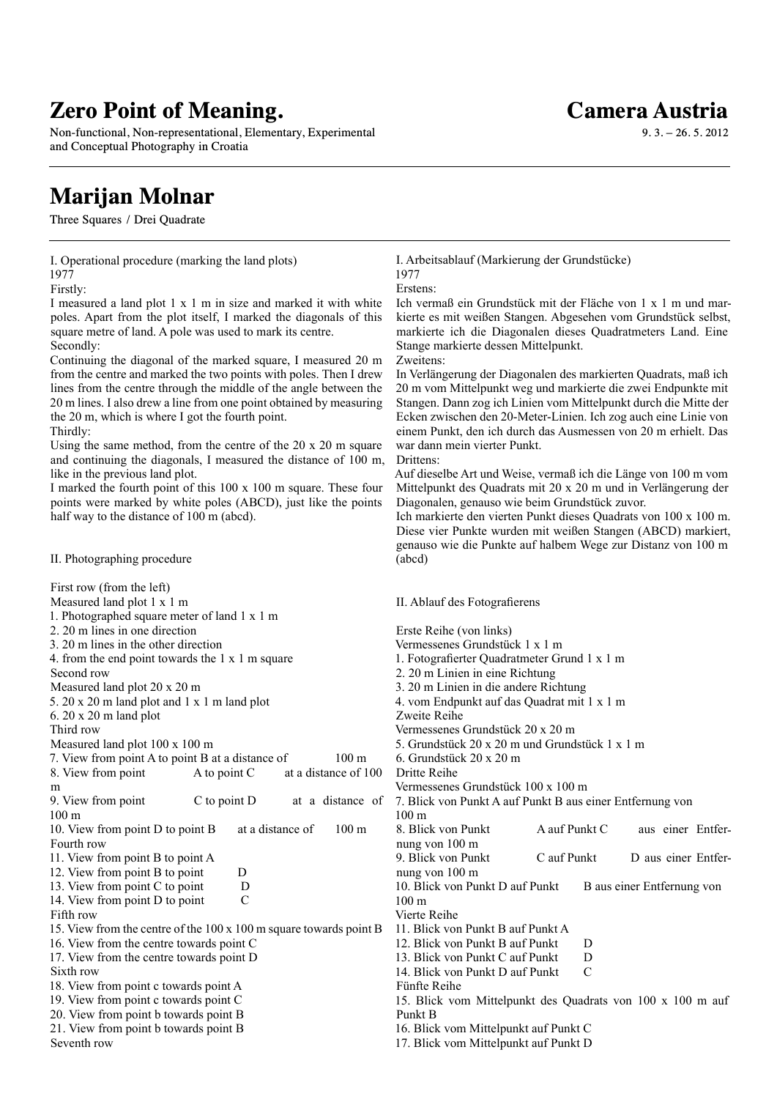Non-functional, Non-representational, Elementary, Experimental and Conceptual Photography in Croatia

### **Camera Austria**

 $9.3 - 26.5$ , 2012

### **Marijan Molnar**

Three Squares / Drei Quadrate

I. Operational procedure (marking the land plots) 1977

Firstly:

I measured a land plot 1 x 1 m in size and marked it with white poles. Apart from the plot itself, I marked the diagonals of this square metre of land. A pole was used to mark its centre. Secondly:

Continuing the diagonal of the marked square, I measured 20 m from the centre and marked the two points with poles. Then I drew lines from the centre through the middle of the angle between the 20 m lines. I also drew a line from one point obtained by measuring the 20 m, which is where I got the fourth point. Thirdly:

Using the same method, from the centre of the 20 x 20 m square and continuing the diagonals, I measured the distance of 100 m, like in the previous land plot.

I marked the fourth point of this 100 x 100 m square. These four points were marked by white poles (ABCD), just like the points half way to the distance of 100 m (abcd).

II. Photographing procedure

| First row (from the left)                                               |                   |
|-------------------------------------------------------------------------|-------------------|
| Measured land plot 1 x 1 m                                              | II. $A$           |
| 1. Photographed square meter of land 1 x 1 m                            |                   |
| 2. 20 m lines in one direction                                          | Erst              |
| 3. 20 m lines in the other direction                                    | Verr              |
| 4. from the end point towards the 1 x 1 m square                        | 1. F              |
| Second row                                                              | 2.2 <sub>0</sub>  |
| Measured land plot 20 x 20 m                                            | 3.2 <sub>0</sub>  |
| 5. 20 x 20 m land plot and 1 x 1 m land plot                            | 4. v <sub>0</sub> |
| $6.20 \times 20$ m land plot                                            | Zwe               |
| Third row                                                               | Verr              |
| Measured land plot 100 x 100 m                                          | 5. G              |
| 7. View from point A to point B at a distance of<br>$100 \text{ m}$     | 6. G              |
| 8. View from point<br>A to point C<br>at a distance of 100              | Drit              |
| m                                                                       | Verr              |
| at a distance of<br>9. View from point<br>$C$ to point $D$              | 7. B              |
| $100 \text{ m}$                                                         | 100               |
| 10. View from point D to point B<br>at a distance of<br>$100 \text{ m}$ | 8. B              |
| Fourth row                                                              | nun               |
| 11. View from point B to point A                                        | 9. B              |
| 12. View from point B to point<br>D                                     | nun               |
| 13. View from point C to point<br>D                                     | 10.1              |
| $\mathcal{C}$<br>14. View from point D to point                         | 100               |
| Fifth row                                                               | Vier              |
| 15. View from the centre of the 100 x 100 m square towards point B      | 11. I             |
| 16. View from the centre towards point C                                | 12.1              |
| 17. View from the centre towards point D                                | 13.1              |
| Sixth row                                                               | 14. I             |
| 18. View from point c towards point A                                   | Fün               |
| 19. View from point c towards point C                                   | 15.               |
| 20. View from point b towards point B                                   | Pun               |
| 21. View from point b towards point B                                   | 16.1              |
| Seventh row                                                             | 17.1              |

I. Arbeitsablauf (Markierung der Grundstücke) 1977

Erstens:

Ich vermaß ein Grundstück mit der Fläche von 1 x 1 m und markierte es mit weißen Stangen. Abgesehen vom Grundstück selbst, markierte ich die Diagonalen dieses Quadratmeters Land. Eine Stange markierte dessen Mittelpunkt.

Zweitens:

In Verlängerung der Diagonalen des markierten Quadrats, maß ich 20 m vom Mittelpunkt weg und markierte die zwei Endpunkte mit Stangen. Dann zog ich Linien vom Mittelpunkt durch die Mitte der Ecken zwischen den 20-Meter-Linien. Ich zog auch eine Linie von einem Punkt, den ich durch das Ausmessen von 20 m erhielt. Das war dann mein vierter Punkt.

Drittens:

Auf dieselbe Art und Weise, vermaß ich die Länge von 100 m vom Mittelpunkt des Quadrats mit 20 x 20 m und in Verlängerung der Diagonalen, genauso wie beim Grundstück zuvor.

Ich markierte den vierten Punkt dieses Quadrats von 100 x 100 m. Diese vier Punkte wurden mit weißen Stangen (ABCD) markiert, genauso wie die Punkte auf halbem Wege zur Distanz von 100 m (abcd)

Ablauf des Fotografierens

te Reihe (von links) messenes Grundstück 1 x 1 m otografierter Quadratmeter Grund 1 x 1 m 0 m Linien in eine Richtung 0 m Linien in die andere Richtung om Endpunkt auf das Quadrat mit 1 x 1 m eite Reihe messenes Grundstück 20 x 20 m  $6$ rundstück  $20 \times 20$  m und Grundstück  $1 \times 1$  m 6. Grundstück 20 x 20 m tte Reihe messenes Grundstück 100 x 100 m 7. Blick von Punkt A auf Punkt B aus einer Entfernung von m 8. Blick von Punkt A auf Punkt C aus einer Entfer $g$  von  $100 \text{ m}$ 9. Blick von Punkt C auf Punkt D aus einer Entferg von 100 m Blick von Punkt D auf Punkt B aus einer Entfernung von m te Reihe Blick von Punkt B auf Punkt A 12. Blick von Punkt B auf Punkt D 13. Blick von Punkt C auf Punkt D 14. Blick von Punkt D auf Punkt C fte Reihe 15. Blick vom Mittelpunkt des Quadrats von 100 x 100 m auf ıkt B 16. Blick vom Mittelpunkt auf Punkt C 17. Blick vom Mittelpunkt auf Punkt D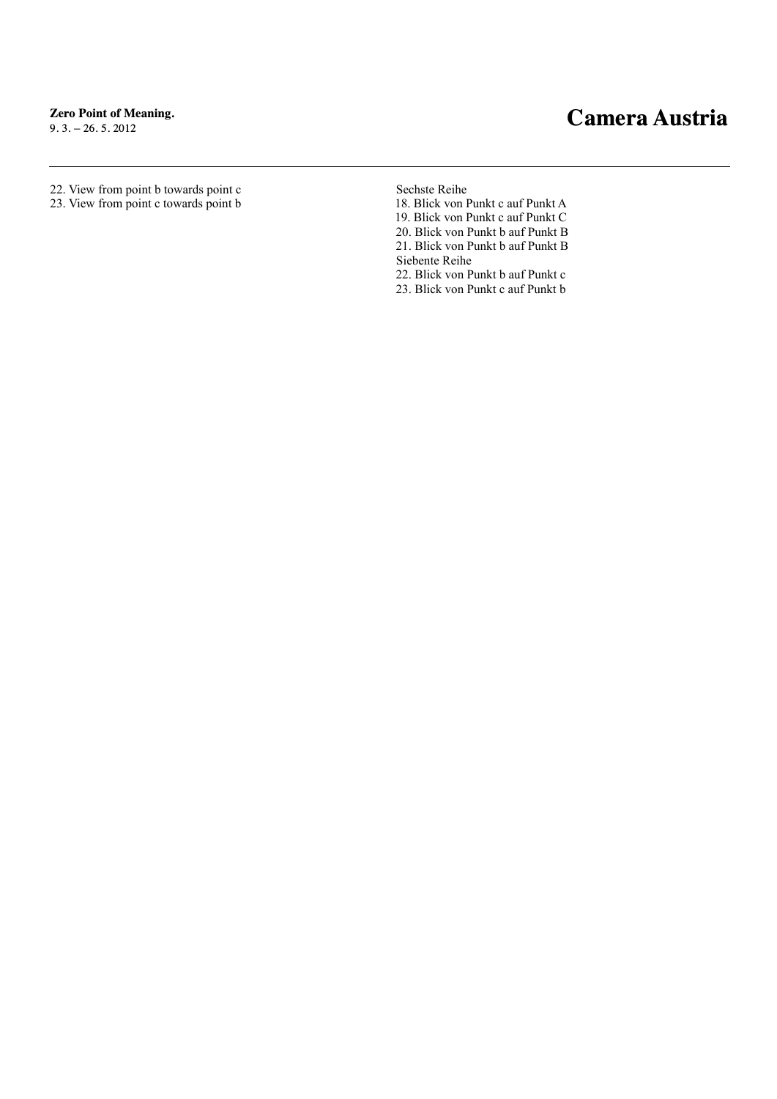## **Zero Point of Meaning.**<br>9. 3. – 26. 5. 2012

### 9. 3. – 26. 5. 2012 **Camera Austria**

#### 22. View from point b towards point c

23. View from point c towards point b

Sechste Reihe

18. Blick von Punkt c auf Punkt A 19. Blick von Punkt c auf Punkt C 20. Blick von Punkt b auf Punkt B

21. Blick von Punkt b auf Punkt B

Siebente Reihe

22. Blick von Punkt b auf Punkt c

23. Blick von Punkt c auf Punkt b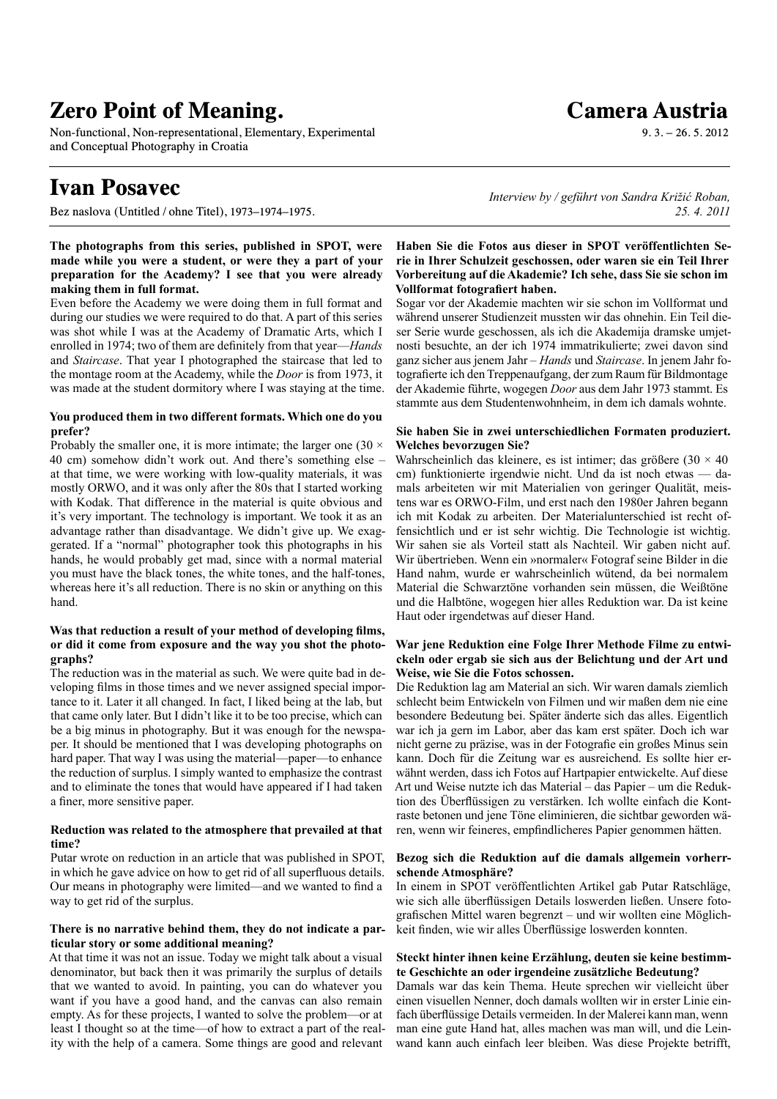Non-functional, Non-representational, Elementary, Experimental and Conceptual Photography in Croatia

### **Ivan Posavec**

Bez naslova (Untitled/ohne Titel), 1973–1974–1975.

#### **The photographs from this series, published in SPOT, were made while you were a student, or were they a part of your preparation for the Academy? I see that you were already making them in full format.**

Even before the Academy we were doing them in full format and during our studies we were required to do that. A part of this series was shot while I was at the Academy of Dramatic Arts, which I enrolled in 1974; two of them are definitely from that year—*Hands* and *Staircase*. That year I photographed the staircase that led to the montage room at the Academy, while the *Door* is from 1973, it was made at the student dormitory where I was staying at the time.

#### **You produced them in two different formats. Which one do you prefer?**

Probably the smaller one, it is more intimate; the larger one (30  $\times$ 40 cm) somehow didn't work out. And there's something else – at that time, we were working with low-quality materials, it was mostly ORWO, and it was only after the 80s that I started working with Kodak. That difference in the material is quite obvious and it's very important. The technology is important. We took it as an advantage rather than disadvantage. We didn't give up. We exaggerated. If a "normal" photographer took this photographs in his hands, he would probably get mad, since with a normal material you must have the black tones, the white tones, and the half-tones, whereas here it's all reduction. There is no skin or anything on this hand.

#### **Was that reduction a result of your method of developing films, or did it come from exposure and the way you shot the photographs?**

The reduction was in the material as such. We were quite bad in developing films in those times and we never assigned special importance to it. Later it all changed. In fact, I liked being at the lab, but that came only later. But I didn't like it to be too precise, which can be a big minus in photography. But it was enough for the newspaper. It should be mentioned that I was developing photographs on hard paper. That way I was using the material—paper—to enhance the reduction of surplus. I simply wanted to emphasize the contrast and to eliminate the tones that would have appeared if I had taken a finer, more sensitive paper.

#### **Reduction was related to the atmosphere that prevailed at that time?**

Putar wrote on reduction in an article that was published in SPOT, in which he gave advice on how to get rid of all superfluous details. Our means in photography were limited—and we wanted to find a way to get rid of the surplus.

#### **There is no narrative behind them, they do not indicate a particular story or some additional meaning?**

At that time it was not an issue. Today we might talk about a visual denominator, but back then it was primarily the surplus of details that we wanted to avoid. In painting, you can do whatever you want if you have a good hand, and the canvas can also remain empty. As for these projects, I wanted to solve the problem—or at least I thought so at the time—of how to extract a part of the reality with the help of a camera. Some things are good and relevant

*Interview by / geführt von Sandra Križić Roban, 25. 4. 2011*

#### **Haben Sie die Fotos aus dieser in SPOT veröffentlichten Serie in Ihrer Schulzeit geschossen, oder waren sie ein Teil Ihrer Vorbereitung auf die Akademie? Ich sehe, dass Sie sie schon im Vollformat fotografiert haben.**

Sogar vor der Akademie machten wir sie schon im Vollformat und während unserer Studienzeit mussten wir das ohnehin. Ein Teil dieser Serie wurde geschossen, als ich die Akademija dramske umjetnosti besuchte, an der ich 1974 immatrikulierte; zwei davon sind ganz sicher aus jenem Jahr – *Hands* und *Staircase*. In jenem Jahr fotografierte ich den Treppenaufgang, der zum Raum für Bildmontage der Akademie führte, wogegen *Door* aus dem Jahr 1973 stammt. Es stammte aus dem Studentenwohnheim, in dem ich damals wohnte.

#### **Sie haben Sie in zwei unterschiedlichen Formaten produziert. Welches bevorzugen Sie?**

Wahrscheinlich das kleinere, es ist intimer; das größere (30 × 40 cm) funktionierte irgendwie nicht. Und da ist noch etwas — damals arbeiteten wir mit Materialien von geringer Qualität, meistens war es ORWO-Film, und erst nach den 1980er Jahren begann ich mit Kodak zu arbeiten. Der Materialunterschied ist recht offensichtlich und er ist sehr wichtig. Die Technologie ist wichtig. Wir sahen sie als Vorteil statt als Nachteil. Wir gaben nicht auf. Wir übertrieben. Wenn ein »normaler« Fotograf seine Bilder in die Hand nahm, wurde er wahrscheinlich wütend, da bei normalem Material die Schwarztöne vorhanden sein müssen, die Weißtöne und die Halbtöne, wogegen hier alles Reduktion war. Da ist keine Haut oder irgendetwas auf dieser Hand.

#### **War jene Reduktion eine Folge Ihrer Methode Filme zu entwickeln oder ergab sie sich aus der Belichtung und der Art und Weise, wie Sie die Fotos schossen.**

Die Reduktion lag am Material an sich. Wir waren damals ziemlich schlecht beim Entwickeln von Filmen und wir maßen dem nie eine besondere Bedeutung bei. Später änderte sich das alles. Eigentlich war ich ja gern im Labor, aber das kam erst später. Doch ich war nicht gerne zu präzise, was in der Fotografie ein großes Minus sein kann. Doch für die Zeitung war es ausreichend. Es sollte hier erwähnt werden, dass ich Fotos auf Hartpapier entwickelte. Auf diese Art und Weise nutzte ich das Material – das Papier – um die Reduktion des Überflüssigen zu verstärken. Ich wollte einfach die Kontraste betonen und jene Töne eliminieren, die sichtbar geworden wären, wenn wir feineres, empfindlicheres Papier genommen hätten.

#### **Bezog sich die Reduktion auf die damals allgemein vorherrschende Atmosphäre?**

In einem in SPOT veröffentlichten Artikel gab Putar Ratschläge, wie sich alle überflüssigen Details loswerden ließen. Unsere fotografischen Mittel waren begrenzt – und wir wollten eine Möglichkeit finden, wie wir alles Überflüssige loswerden konnten.

#### **Steckt hinter ihnen keine Erzählung, deuten sie keine bestimmte Geschichte an oder irgendeine zusätzliche Bedeutung?**

Damals war das kein Thema. Heute sprechen wir vielleicht über einen visuellen Nenner, doch damals wollten wir in erster Linie einfach überflüssige Details vermeiden. In der Malerei kann man, wenn man eine gute Hand hat, alles machen was man will, und die Leinwand kann auch einfach leer bleiben. Was diese Projekte betrifft,

### **Camera Austria**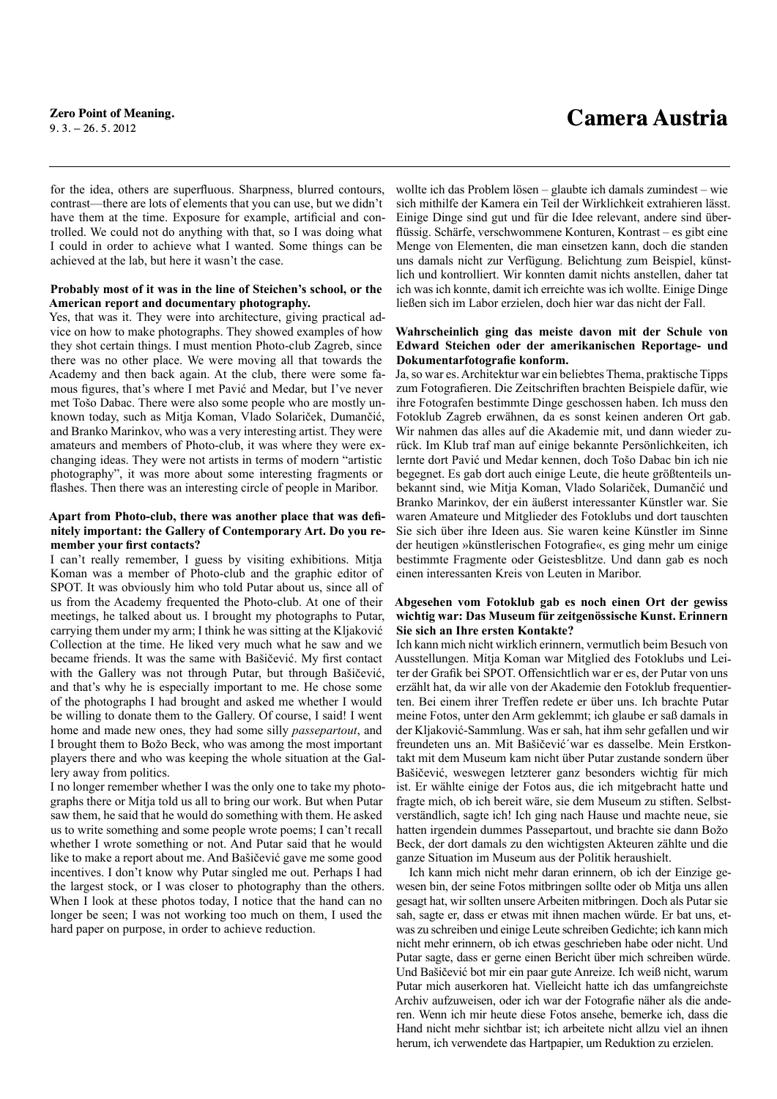for the idea, others are superfluous. Sharpness, blurred contours, contrast—there are lots of elements that you can use, but we didn't have them at the time. Exposure for example, artificial and controlled. We could not do anything with that, so I was doing what I could in order to achieve what I wanted. Some things can be achieved at the lab, but here it wasn't the case.

#### **Probably most of it was in the line of Steichen's school, or the American report and documentary photography.**

Yes, that was it. They were into architecture, giving practical advice on how to make photographs. They showed examples of how they shot certain things. I must mention Photo-club Zagreb, since there was no other place. We were moving all that towards the Academy and then back again. At the club, there were some famous figures, that's where I met Pavić and Medar, but I've never met Tošo Dabac. There were also some people who are mostly unknown today, such as Mitja Koman, Vlado Solariček, Dumančić, and Branko Marinkov, who was a very interesting artist. They were amateurs and members of Photo-club, it was where they were exchanging ideas. They were not artists in terms of modern "artistic photography", it was more about some interesting fragments or flashes. Then there was an interesting circle of people in Maribor.

#### **Apart from Photo-club, there was another place that was definitely important: the Gallery of Contemporary Art. Do you remember your first contacts?**

I can't really remember, I guess by visiting exhibitions. Mitja Koman was a member of Photo-club and the graphic editor of SPOT. It was obviously him who told Putar about us, since all of us from the Academy frequented the Photo-club. At one of their meetings, he talked about us. I brought my photographs to Putar, carrying them under my arm; I think he was sitting at the Kljaković Collection at the time. He liked very much what he saw and we became friends. It was the same with Bašičević. My first contact with the Gallery was not through Putar, but through Bašičević, and that's why he is especially important to me. He chose some of the photographs I had brought and asked me whether I would be willing to donate them to the Gallery. Of course, I said! I went home and made new ones, they had some silly *passepartout*, and I brought them to Božo Beck, who was among the most important players there and who was keeping the whole situation at the Gallery away from politics.

I no longer remember whether I was the only one to take my photographs there or Mitja told us all to bring our work. But when Putar saw them, he said that he would do something with them. He asked us to write something and some people wrote poems; I can't recall whether I wrote something or not. And Putar said that he would like to make a report about me. And Bašičević gave me some good incentives. I don't know why Putar singled me out. Perhaps I had the largest stock, or I was closer to photography than the others. When I look at these photos today, I notice that the hand can no longer be seen; I was not working too much on them, I used the hard paper on purpose, in order to achieve reduction.

wollte ich das Problem lösen – glaubte ich damals zumindest – wie sich mithilfe der Kamera ein Teil der Wirklichkeit extrahieren lässt. Einige Dinge sind gut und für die Idee relevant, andere sind überflüssig. Schärfe, verschwommene Konturen, Kontrast – es gibt eine Menge von Elementen, die man einsetzen kann, doch die standen uns damals nicht zur Verfügung. Belichtung zum Beispiel, künstlich und kontrolliert. Wir konnten damit nichts anstellen, daher tat ich was ich konnte, damit ich erreichte was ich wollte. Einige Dinge ließen sich im Labor erzielen, doch hier war das nicht der Fall.

#### **Wahrscheinlich ging das meiste davon mit der Schule von Edward Steichen oder der amerikanischen Reportage- und Dokumentarfotografie konform.**

Ja, so war es. Architektur war ein beliebtes Thema, praktische Tipps zum Fotografieren. Die Zeitschriften brachten Beispiele dafür, wie ihre Fotografen bestimmte Dinge geschossen haben. Ich muss den Fotoklub Zagreb erwähnen, da es sonst keinen anderen Ort gab. Wir nahmen das alles auf die Akademie mit, und dann wieder zurück. Im Klub traf man auf einige bekannte Persönlichkeiten, ich lernte dort Pavić und Medar kennen, doch Tošo Dabac bin ich nie begegnet. Es gab dort auch einige Leute, die heute größtenteils unbekannt sind, wie Mitja Koman, Vlado Solariček, Dumančić und Branko Marinkov, der ein äußerst interessanter Künstler war. Sie waren Amateure und Mitglieder des Fotoklubs und dort tauschten Sie sich über ihre Ideen aus. Sie waren keine Künstler im Sinne der heutigen »künstlerischen Fotografie«, es ging mehr um einige bestimmte Fragmente oder Geistesblitze. Und dann gab es noch einen interessanten Kreis von Leuten in Maribor.

#### **Abgesehen vom Fotoklub gab es noch einen Ort der gewiss wichtig war: Das Museum für zeitgenössische Kunst. Erinnern Sie sich an Ihre ersten Kontakte?**

Ich kann mich nicht wirklich erinnern, vermutlich beim Besuch von Ausstellungen. Mitja Koman war Mitglied des Fotoklubs und Leiter der Grafik bei SPOT. Offensichtlich war er es, der Putar von uns erzählt hat, da wir alle von der Akademie den Fotoklub frequentierten. Bei einem ihrer Treffen redete er über uns. Ich brachte Putar meine Fotos, unter den Arm geklemmt; ich glaube er saß damals in der Kljaković-Sammlung. Was er sah, hat ihm sehr gefallen und wir freundeten uns an. Mit Bašičević´war es dasselbe. Mein Erstkontakt mit dem Museum kam nicht über Putar zustande sondern über Bašičević, weswegen letzterer ganz besonders wichtig für mich ist. Er wählte einige der Fotos aus, die ich mitgebracht hatte und fragte mich, ob ich bereit wäre, sie dem Museum zu stiften. Selbstverständlich, sagte ich! Ich ging nach Hause und machte neue, sie hatten irgendein dummes Passepartout, und brachte sie dann Božo Beck, der dort damals zu den wichtigsten Akteuren zählte und die ganze Situation im Museum aus der Politik heraushielt.

Ich kann mich nicht mehr daran erinnern, ob ich der Einzige gewesen bin, der seine Fotos mitbringen sollte oder ob Mitja uns allen gesagt hat, wir sollten unsere Arbeiten mitbringen. Doch als Putar sie sah, sagte er, dass er etwas mit ihnen machen würde. Er bat uns, etwas zu schreiben und einige Leute schreiben Gedichte; ich kann mich nicht mehr erinnern, ob ich etwas geschrieben habe oder nicht. Und Putar sagte, dass er gerne einen Bericht über mich schreiben würde. Und Bašičević bot mir ein paar gute Anreize. Ich weiß nicht, warum Putar mich auserkoren hat. Vielleicht hatte ich das umfangreichste Archiv aufzuweisen, oder ich war der Fotografie näher als die anderen. Wenn ich mir heute diese Fotos ansehe, bemerke ich, dass die Hand nicht mehr sichtbar ist; ich arbeitete nicht allzu viel an ihnen herum, ich verwendete das Hartpapier, um Reduktion zu erzielen.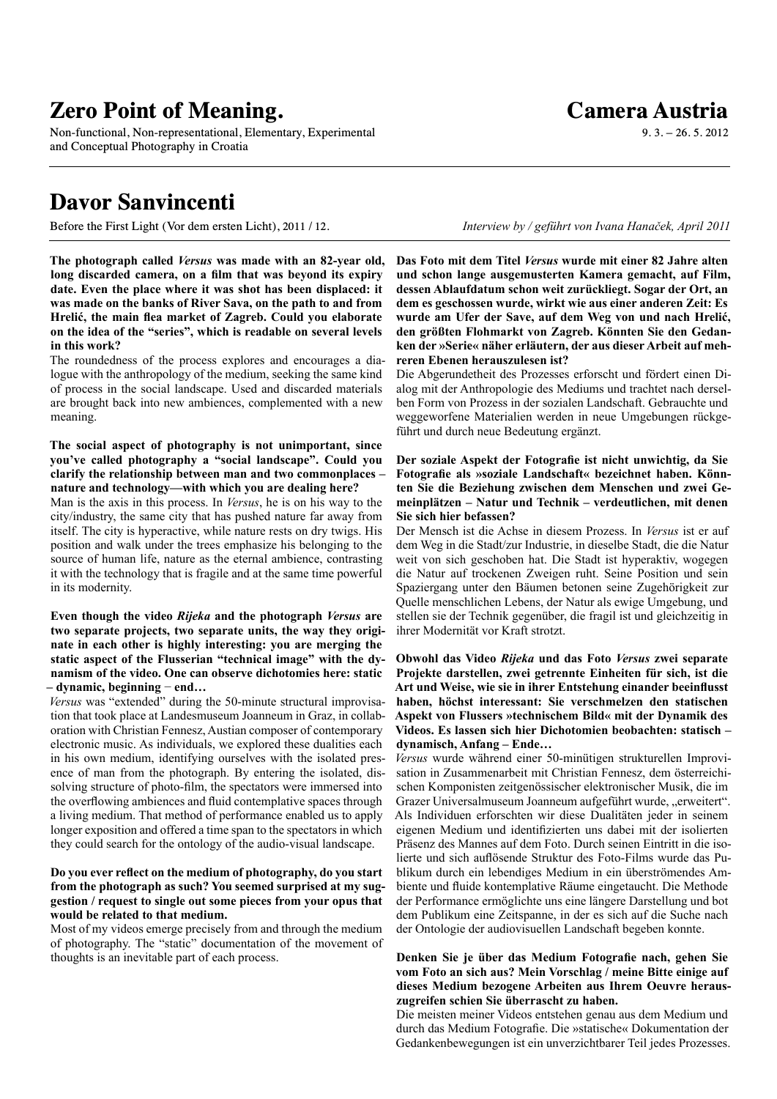Non-functional, Non-representational, Elementary, Experimental and Conceptual Photography in Croatia

### **Davor Sanvincenti**

Before the First Light (Vor dem ersten Licht), 2011 / 12. *Interview by / geführt von Ivana Hanaček, April 2011*

 $9.3 - 26.5$ , 2012

**Camera Austria**

**Das Foto mit dem Titel** *Versus* **wurde mit einer 82 Jahre alten und schon lange ausgemusterten Kamera gemacht, auf Film, dessen Ablaufdatum schon weit zurückliegt. Sogar der Ort, an dem es geschossen wurde, wirkt wie aus einer anderen Zeit: Es wurde am Ufer der Save, auf dem Weg von und nach Hrelić, den größten Flohmarkt von Zagreb. Könnten Sie den Gedanken der »Serie« näher erläutern, der aus dieser Arbeit auf mehreren Ebenen herauszulesen ist?**

Die Abgerundetheit des Prozesses erforscht und fördert einen Dialog mit der Anthropologie des Mediums und trachtet nach derselben Form von Prozess in der sozialen Landschaft. Gebrauchte und weggeworfene Materialien werden in neue Umgebungen rückgeführt und durch neue Bedeutung ergänzt.

#### **Der soziale Aspekt der Fotografie ist nicht unwichtig, da Sie Fotografie als »soziale Landschaft« bezeichnet haben. Könnten Sie die Beziehung zwischen dem Menschen und zwei Gemeinplätzen – Natur und Technik – verdeutlichen, mit denen Sie sich hier befassen?**

Der Mensch ist die Achse in diesem Prozess. In *Versus* ist er auf dem Weg in die Stadt/zur Industrie, in dieselbe Stadt, die die Natur weit von sich geschoben hat. Die Stadt ist hyperaktiv, wogegen die Natur auf trockenen Zweigen ruht. Seine Position und sein Spaziergang unter den Bäumen betonen seine Zugehörigkeit zur Quelle menschlichen Lebens, der Natur als ewige Umgebung, und stellen sie der Technik gegenüber, die fragil ist und gleichzeitig in ihrer Modernität vor Kraft strotzt.

#### **Obwohl das Video** *Rijeka* **und das Foto** *Versus* **zwei separate Projekte darstellen, zwei getrennte Einheiten für sich, ist die Art und Weise, wie sie in ihrer Entstehung einander beeinflusst haben, höchst interessant: Sie verschmelzen den statischen Aspekt von Flussers »technischem Bild« mit der Dynamik des Videos. Es lassen sich hier Dichotomien beobachten: statisch – dynamisch, Anfang – Ende…**

*Versus* wurde während einer 50-minütigen strukturellen Improvisation in Zusammenarbeit mit Christian Fennesz, dem österreichischen Komponisten zeitgenössischer elektronischer Musik, die im Grazer Universalmuseum Joanneum aufgeführt wurde, "erweitert". Als Individuen erforschten wir diese Dualitäten jeder in seinem eigenen Medium und identifizierten uns dabei mit der isolierten Präsenz des Mannes auf dem Foto. Durch seinen Eintritt in die isolierte und sich auflösende Struktur des Foto-Films wurde das Publikum durch ein lebendiges Medium in ein überströmendes Ambiente und fluide kontemplative Räume eingetaucht. Die Methode der Performance ermöglichte uns eine längere Darstellung und bot dem Publikum eine Zeitspanne, in der es sich auf die Suche nach der Ontologie der audiovisuellen Landschaft begeben konnte.

#### **Denken Sie je über das Medium Fotografie nach, gehen Sie vom Foto an sich aus? Mein Vorschlag / meine Bitte einige auf dieses Medium bezogene Arbeiten aus Ihrem Oeuvre herauszugreifen schien Sie überrascht zu haben.**

Die meisten meiner Videos entstehen genau aus dem Medium und durch das Medium Fotografie. Die »statische« Dokumentation der Gedankenbewegungen ist ein unverzichtbarer Teil jedes Prozesses.

**The photograph called** *Versus* **was made with an 82-year old, long discarded camera, on a film that was beyond its expiry date. Even the place where it was shot has been displaced: it was made on the banks of River Sava, on the path to and from Hrelić, the main flea market of Zagreb. Could you elaborate on the idea of the "series", which is readable on several levels in this work?**

The roundedness of the process explores and encourages a dialogue with the anthropology of the medium, seeking the same kind of process in the social landscape. Used and discarded materials are brought back into new ambiences, complemented with a new meaning.

#### **The social aspect of photography is not unimportant, since you've called photography a "social landscape". Could you clarify the relationship between man and two commonplaces – nature and technology—with which you are dealing here?**

Man is the axis in this process. In *Versus*, he is on his way to the city/industry, the same city that has pushed nature far away from itself. The city is hyperactive, while nature rests on dry twigs. His position and walk under the trees emphasize his belonging to the source of human life, nature as the eternal ambience, contrasting it with the technology that is fragile and at the same time powerful in its modernity.

**Even though the video** *Rijeka* **and the photograph** *Versus* **are two separate projects, two separate units, the way they originate in each other is highly interesting: you are merging the static aspect of the Flusserian "technical image" with the dynamism of the video. One can observe dichotomies here: static – dynamic, beginning** − **end…** 

*Versus* was "extended" during the 50-minute structural improvisation that took place at Landesmuseum Joanneum in Graz, in collaboration with Christian Fennesz, Austian composer of contemporary electronic music. As individuals, we explored these dualities each in his own medium, identifying ourselves with the isolated presence of man from the photograph. By entering the isolated, dissolving structure of photo-film, the spectators were immersed into the overflowing ambiences and fluid contemplative spaces through a living medium. That method of performance enabled us to apply longer exposition and offered a time span to the spectators in which they could search for the ontology of the audio-visual landscape.

#### **Do you ever reflect on the medium of photography, do you start from the photograph as such? You seemed surprised at my suggestion / request to single out some pieces from your opus that would be related to that medium.**

Most of my videos emerge precisely from and through the medium of photography. The "static" documentation of the movement of thoughts is an inevitable part of each process.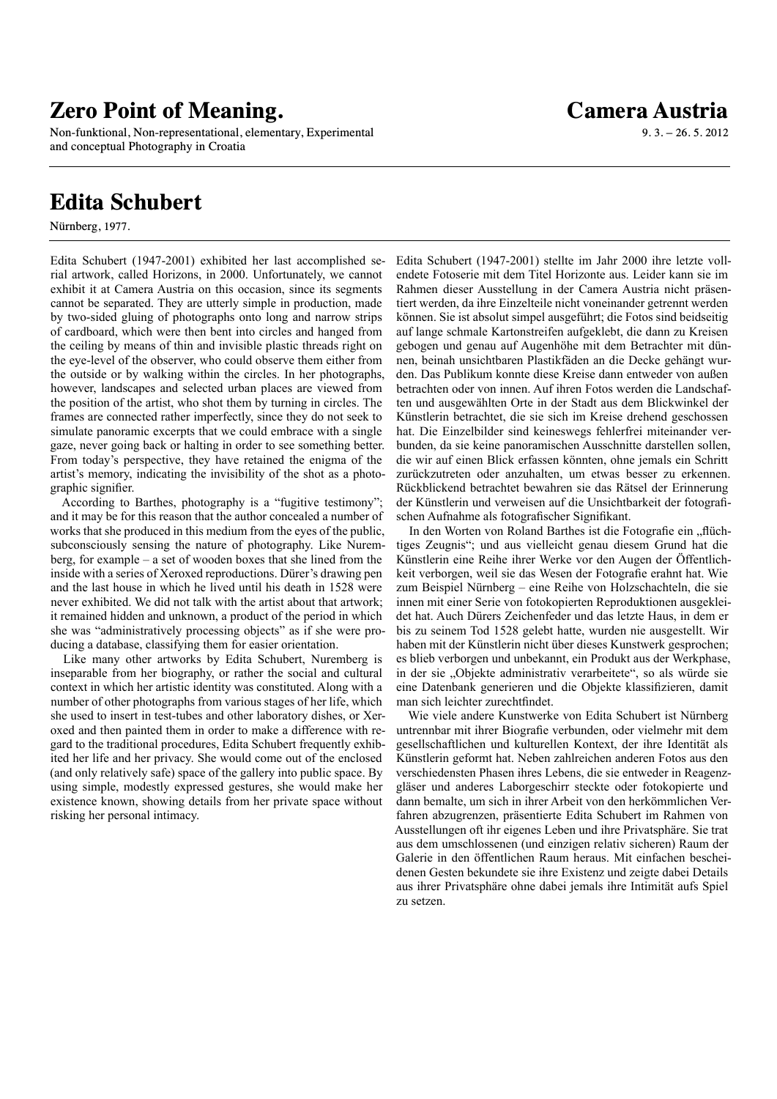Non-funktional, Non-representational, elementary, Experimental and conceptual Photography in Croatia

### **Edita Schubert**

Nürnberg, 1977.

Edita Schubert (1947-2001) exhibited her last accomplished serial artwork, called Horizons, in 2000. Unfortunately, we cannot exhibit it at Camera Austria on this occasion, since its segments cannot be separated. They are utterly simple in production, made by two-sided gluing of photographs onto long and narrow strips of cardboard, which were then bent into circles and hanged from the ceiling by means of thin and invisible plastic threads right on the eye-level of the observer, who could observe them either from the outside or by walking within the circles. In her photographs, however, landscapes and selected urban places are viewed from the position of the artist, who shot them by turning in circles. The frames are connected rather imperfectly, since they do not seek to simulate panoramic excerpts that we could embrace with a single gaze, never going back or halting in order to see something better. From today's perspective, they have retained the enigma of the artist's memory, indicating the invisibility of the shot as a photographic signifier.

According to Barthes, photography is a "fugitive testimony"; and it may be for this reason that the author concealed a number of works that she produced in this medium from the eyes of the public, subconsciously sensing the nature of photography. Like Nuremberg, for example – a set of wooden boxes that she lined from the inside with a series of Xeroxed reproductions. Dürer's drawing pen and the last house in which he lived until his death in 1528 were never exhibited. We did not talk with the artist about that artwork; it remained hidden and unknown, a product of the period in which she was "administratively processing objects" as if she were producing a database, classifying them for easier orientation.

Like many other artworks by Edita Schubert, Nuremberg is inseparable from her biography, or rather the social and cultural context in which her artistic identity was constituted. Along with a number of other photographs from various stages of her life, which she used to insert in test-tubes and other laboratory dishes, or Xeroxed and then painted them in order to make a difference with regard to the traditional procedures, Edita Schubert frequently exhibited her life and her privacy. She would come out of the enclosed (and only relatively safe) space of the gallery into public space. By using simple, modestly expressed gestures, she would make her existence known, showing details from her private space without risking her personal intimacy.

#### Edita Schubert (1947-2001) stellte im Jahr 2000 ihre letzte vollendete Fotoserie mit dem Titel Horizonte aus. Leider kann sie im Rahmen dieser Ausstellung in der Camera Austria nicht präsentiert werden, da ihre Einzelteile nicht voneinander getrennt werden können. Sie ist absolut simpel ausgeführt; die Fotos sind beidseitig auf lange schmale Kartonstreifen aufgeklebt, die dann zu Kreisen gebogen und genau auf Augenhöhe mit dem Betrachter mit dünnen, beinah unsichtbaren Plastikfäden an die Decke gehängt wurden. Das Publikum konnte diese Kreise dann entweder von außen betrachten oder von innen. Auf ihren Fotos werden die Landschaften und ausgewählten Orte in der Stadt aus dem Blickwinkel der Künstlerin betrachtet, die sie sich im Kreise drehend geschossen hat. Die Einzelbilder sind keineswegs fehlerfrei miteinander verbunden, da sie keine panoramischen Ausschnitte darstellen sollen, die wir auf einen Blick erfassen könnten, ohne jemals ein Schritt zurückzutreten oder anzuhalten, um etwas besser zu erkennen. Rückblickend betrachtet bewahren sie das Rätsel der Erinnerung der Künstlerin und verweisen auf die Unsichtbarkeit der fotografischen Aufnahme als fotografischer Signifikant.

In den Worten von Roland Barthes ist die Fotografie ein "flüchtiges Zeugnis"; und aus vielleicht genau diesem Grund hat die Künstlerin eine Reihe ihrer Werke vor den Augen der Öffentlichkeit verborgen, weil sie das Wesen der Fotografie erahnt hat. Wie zum Beispiel Nürnberg – eine Reihe von Holzschachteln, die sie innen mit einer Serie von fotokopierten Reproduktionen ausgekleidet hat. Auch Dürers Zeichenfeder und das letzte Haus, in dem er bis zu seinem Tod 1528 gelebt hatte, wurden nie ausgestellt. Wir haben mit der Künstlerin nicht über dieses Kunstwerk gesprochen; es blieb verborgen und unbekannt, ein Produkt aus der Werkphase, in der sie "Objekte administrativ verarbeitete", so als würde sie eine Datenbank generieren und die Objekte klassifizieren, damit man sich leichter zurechtfindet.

Wie viele andere Kunstwerke von Edita Schubert ist Nürnberg untrennbar mit ihrer Biografie verbunden, oder vielmehr mit dem gesellschaftlichen und kulturellen Kontext, der ihre Identität als Künstlerin geformt hat. Neben zahlreichen anderen Fotos aus den verschiedensten Phasen ihres Lebens, die sie entweder in Reagenzgläser und anderes Laborgeschirr steckte oder fotokopierte und dann bemalte, um sich in ihrer Arbeit von den herkömmlichen Verfahren abzugrenzen, präsentierte Edita Schubert im Rahmen von Ausstellungen oft ihr eigenes Leben und ihre Privatsphäre. Sie trat aus dem umschlossenen (und einzigen relativ sicheren) Raum der Galerie in den öffentlichen Raum heraus. Mit einfachen bescheidenen Gesten bekundete sie ihre Existenz und zeigte dabei Details aus ihrer Privatsphäre ohne dabei jemals ihre Intimität aufs Spiel zu setzen.

 $9.3 - 26.5.2012$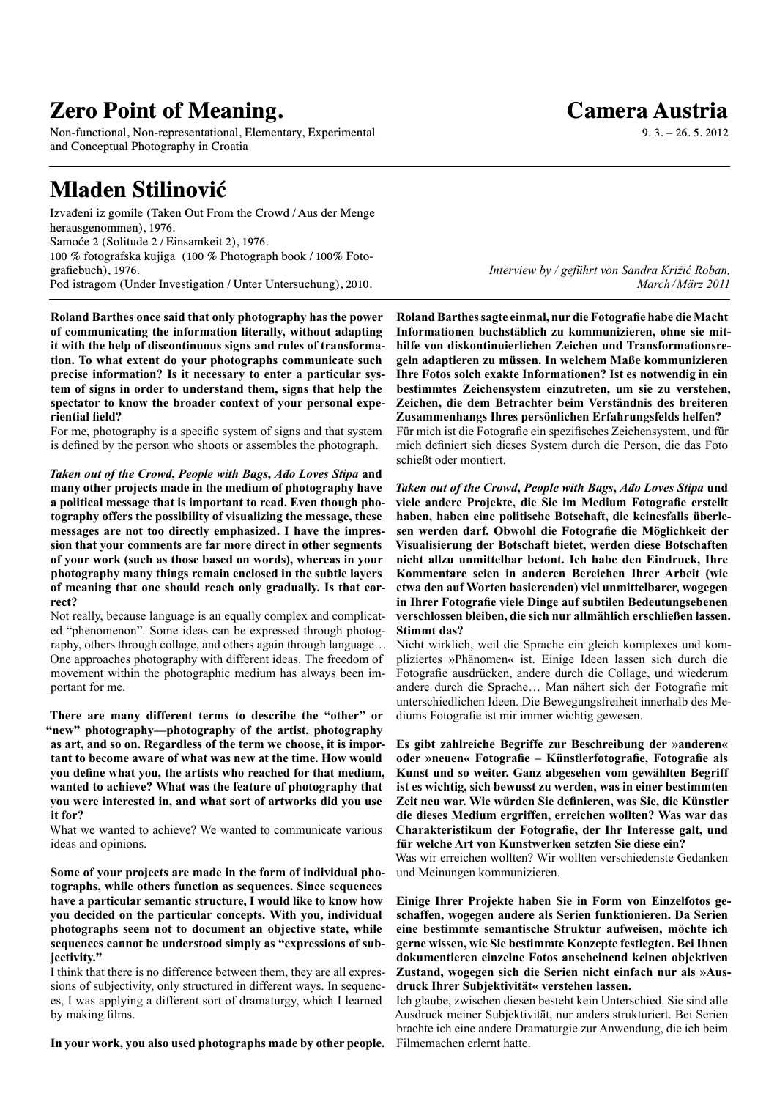Non-functional, Non-representational, Elementary, Experimental and Conceptual Photography in Croatia

### **Mladen Stilinović**

Izvađeni iz gomile (Taken Out From the Crowd/Aus der Menge herausgenommen), 1976. Samoće 2 (Solitude 2 /Einsamkeit 2), 1976. 100 % fotografska kujiga (100 % Photograph book/ 100% Fotografiebuch), 1976. Pod istragom (Under Investigation/Unter Untersuchung), 2010.

**Roland Barthes once said that only photography has the power of communicating the information literally, without adapting it with the help of discontinuous signs and rules of transformation. To what extent do your photographs communicate such precise information? Is it necessary to enter a particular system of signs in order to understand them, signs that help the spectator to know the broader context of your personal experiential field?**

For me, photography is a specific system of signs and that system is defined by the person who shoots or assembles the photograph.

*Taken out of the Crowd***,** *People with Bags***,** *Ađo Loves Stipa* **and many other projects made in the medium of photography have a political message that is important to read. Even though photography offers the possibility of visualizing the message, these messages are not too directly emphasized. I have the impression that your comments are far more direct in other segments of your work (such as those based on words), whereas in your photography many things remain enclosed in the subtle layers of meaning that one should reach only gradually. Is that correct?** 

Not really, because language is an equally complex and complicated "phenomenon". Some ideas can be expressed through photography, others through collage, and others again through language… One approaches photography with different ideas. The freedom of movement within the photographic medium has always been important for me.

**There are many different terms to describe the "other" or "new" photography—photography of the artist, photography as art, and so on. Regardless of the term we choose, it is important to become aware of what was new at the time. How would you define what you, the artists who reached for that medium, wanted to achieve? What was the feature of photography that you were interested in, and what sort of artworks did you use it for?** 

What we wanted to achieve? We wanted to communicate various ideas and opinions.

**Some of your projects are made in the form of individual photographs, while others function as sequences. Since sequences have a particular semantic structure, I would like to know how you decided on the particular concepts. With you, individual photographs seem not to document an objective state, while sequences cannot be understood simply as "expressions of subjectivity."** 

I think that there is no difference between them, they are all expressions of subjectivity, only structured in different ways. In sequences, I was applying a different sort of dramaturgy, which I learned by making films.

**In your work, you also used photographs made by other people.**  Filmemachen erlernt hatte.

*Interview by / geführt von Sandra Križić Roban, March/März 2011*

**Roland Barthes sagte einmal, nur die Fotografie habe die Macht Informationen buchstäblich zu kommunizieren, ohne sie mithilfe von diskontinuierlichen Zeichen und Transformationsregeln adaptieren zu müssen. In welchem Maße kommunizieren Ihre Fotos solch exakte Informationen? Ist es notwendig in ein bestimmtes Zeichensystem einzutreten, um sie zu verstehen, Zeichen, die dem Betrachter beim Verständnis des breiteren Zusammenhangs Ihres persönlichen Erfahrungsfelds helfen?**

Für mich ist die Fotografie ein spezifisches Zeichensystem, und für mich definiert sich dieses System durch die Person, die das Foto schießt oder montiert.

*Taken out of the Crowd***,** *People with Bags***,** *Ađo Loves Stipa* **und viele andere Projekte, die Sie im Medium Fotografie erstellt haben, haben eine politische Botschaft, die keinesfalls überlesen werden darf. Obwohl die Fotografie die Möglichkeit der Visualisierung der Botschaft bietet, werden diese Botschaften nicht allzu unmittelbar betont. Ich habe den Eindruck, Ihre Kommentare seien in anderen Bereichen Ihrer Arbeit (wie etwa den auf Worten basierenden) viel unmittelbarer, wogegen in Ihrer Fotografie viele Dinge auf subtilen Bedeutungsebenen verschlossen bleiben, die sich nur allmählich erschließen lassen. Stimmt das?**

Nicht wirklich, weil die Sprache ein gleich komplexes und kompliziertes »Phänomen« ist. Einige Ideen lassen sich durch die Fotografie ausdrücken, andere durch die Collage, und wiederum andere durch die Sprache… Man nähert sich der Fotografie mit unterschiedlichen Ideen. Die Bewegungsfreiheit innerhalb des Mediums Fotografie ist mir immer wichtig gewesen.

**Es gibt zahlreiche Begriffe zur Beschreibung der »anderen« oder »neuen« Fotografie – Künstlerfotografie, Fotografie als Kunst und so weiter. Ganz abgesehen vom gewählten Begriff ist es wichtig, sich bewusst zu werden, was in einer bestimmten Zeit neu war. Wie würden Sie definieren, was Sie, die Künstler die dieses Medium ergriffen, erreichen wollten? Was war das Charakteristikum der Fotografie, der Ihr Interesse galt, und für welche Art von Kunstwerken setzten Sie diese ein?**

Was wir erreichen wollten? Wir wollten verschiedenste Gedanken und Meinungen kommunizieren.

**Einige Ihrer Projekte haben Sie in Form von Einzelfotos geschaffen, wogegen andere als Serien funktionieren. Da Serien eine bestimmte semantische Struktur aufweisen, möchte ich gerne wissen, wie Sie bestimmte Konzepte festlegten. Bei Ihnen dokumentieren einzelne Fotos anscheinend keinen objektiven Zustand, wogegen sich die Serien nicht einfach nur als »Ausdruck Ihrer Subjektivität« verstehen lassen.**

Ich glaube, zwischen diesen besteht kein Unterschied. Sie sind alle Ausdruck meiner Subjektivität, nur anders strukturiert. Bei Serien brachte ich eine andere Dramaturgie zur Anwendung, die ich beim

### **Camera Austria**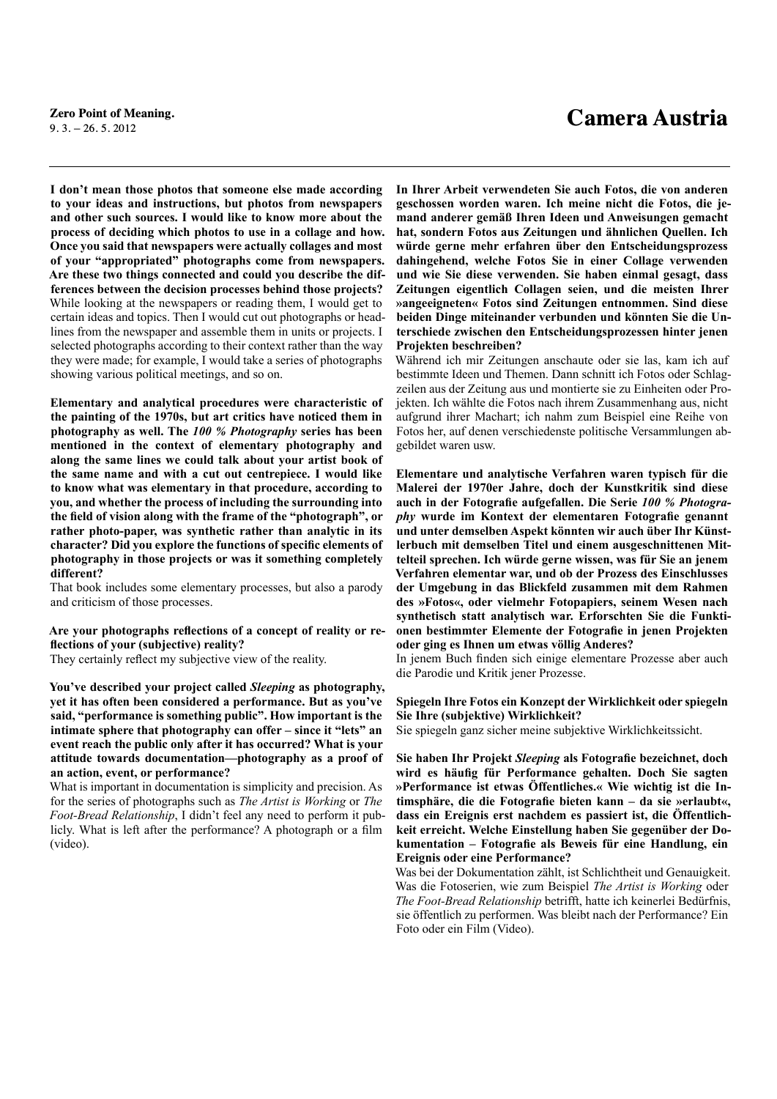**I don't mean those photos that someone else made according to your ideas and instructions, but photos from newspapers and other such sources. I would like to know more about the process of deciding which photos to use in a collage and how. Once you said that newspapers were actually collages and most of your "appropriated" photographs come from newspapers. Are these two things connected and could you describe the differences between the decision processes behind those projects?**  While looking at the newspapers or reading them, I would get to certain ideas and topics. Then I would cut out photographs or headlines from the newspaper and assemble them in units or projects. I selected photographs according to their context rather than the way they were made; for example, I would take a series of photographs showing various political meetings, and so on.

**Elementary and analytical procedures were characteristic of the painting of the 1970s, but art critics have noticed them in photography as well. The** *100 % Photography* **series has been mentioned in the context of elementary photography and along the same lines we could talk about your artist book of the same name and with a cut out centrepiece. I would like to know what was elementary in that procedure, according to you, and whether the process of including the surrounding into the field of vision along with the frame of the "photograph", or rather photo-paper, was synthetic rather than analytic in its character? Did you explore the functions of specific elements of photography in those projects or was it something completely different?** 

That book includes some elementary processes, but also a parody and criticism of those processes.

#### **Are your photographs reflections of a concept of reality or reflections of your (subjective) reality?**

They certainly reflect my subjective view of the reality.

**You've described your project called** *Sleeping* **as photography, yet it has often been considered a performance. But as you've said, "performance is something public". How important is the intimate sphere that photography can offer – since it "lets" an event reach the public only after it has occurred? What is your attitude towards documentation—photography as a proof of an action, event, or performance?** 

What is important in documentation is simplicity and precision. As for the series of photographs such as *The Artist is Working* or *The Foot-Bread Relationship*, I didn't feel any need to perform it publicly. What is left after the performance? A photograph or a film (video).

**In Ihrer Arbeit verwendeten Sie auch Fotos, die von anderen geschossen worden waren. Ich meine nicht die Fotos, die jemand anderer gemäß Ihren Ideen und Anweisungen gemacht hat, sondern Fotos aus Zeitungen und ähnlichen Quellen. Ich würde gerne mehr erfahren über den Entscheidungsprozess dahingehend, welche Fotos Sie in einer Collage verwenden und wie Sie diese verwenden. Sie haben einmal gesagt, dass Zeitungen eigentlich Collagen seien, und die meisten Ihrer »angeeigneten« Fotos sind Zeitungen entnommen. Sind diese beiden Dinge miteinander verbunden und könnten Sie die Unterschiede zwischen den Entscheidungsprozessen hinter jenen Projekten beschreiben?**

Während ich mir Zeitungen anschaute oder sie las, kam ich auf bestimmte Ideen und Themen. Dann schnitt ich Fotos oder Schlagzeilen aus der Zeitung aus und montierte sie zu Einheiten oder Projekten. Ich wählte die Fotos nach ihrem Zusammenhang aus, nicht aufgrund ihrer Machart; ich nahm zum Beispiel eine Reihe von Fotos her, auf denen verschiedenste politische Versammlungen abgebildet waren usw.

**Elementare und analytische Verfahren waren typisch für die Malerei der 1970er Jahre, doch der Kunstkritik sind diese auch in der Fotografie aufgefallen. Die Serie** *100 % Photography* **wurde im Kontext der elementaren Fotografie genannt und unter demselben Aspekt könnten wir auch über Ihr Künstlerbuch mit demselben Titel und einem ausgeschnittenen Mittelteil sprechen. Ich würde gerne wissen, was für Sie an jenem Verfahren elementar war, und ob der Prozess des Einschlusses der Umgebung in das Blickfeld zusammen mit dem Rahmen des »Fotos«, oder vielmehr Fotopapiers, seinem Wesen nach synthetisch statt analytisch war. Erforschten Sie die Funktionen bestimmter Elemente der Fotografie in jenen Projekten oder ging es Ihnen um etwas völlig Anderes?**

In jenem Buch finden sich einige elementare Prozesse aber auch die Parodie und Kritik jener Prozesse.

#### **Spiegeln Ihre Fotos ein Konzept der Wirklichkeit oder spiegeln Sie Ihre (subjektive) Wirklichkeit?**

Sie spiegeln ganz sicher meine subjektive Wirklichkeitssicht.

**Sie haben Ihr Projekt** *Sleeping* **als Fotografie bezeichnet, doch wird es häufig für Performance gehalten. Doch Sie sagten »Performance ist etwas Öffentliches.« Wie wichtig ist die Intimsphäre, die die Fotografie bieten kann – da sie »erlaubt«, dass ein Ereignis erst nachdem es passiert ist, die Öffentlichkeit erreicht. Welche Einstellung haben Sie gegenüber der Dokumentation – Fotografie als Beweis für eine Handlung, ein Ereignis oder eine Performance?**

Was bei der Dokumentation zählt, ist Schlichtheit und Genauigkeit. Was die Fotoserien, wie zum Beispiel *The Artist is Working* oder *The Foot-Bread Relationship* betrifft, hatte ich keinerlei Bedürfnis, sie öffentlich zu performen. Was bleibt nach der Performance? Ein Foto oder ein Film (Video).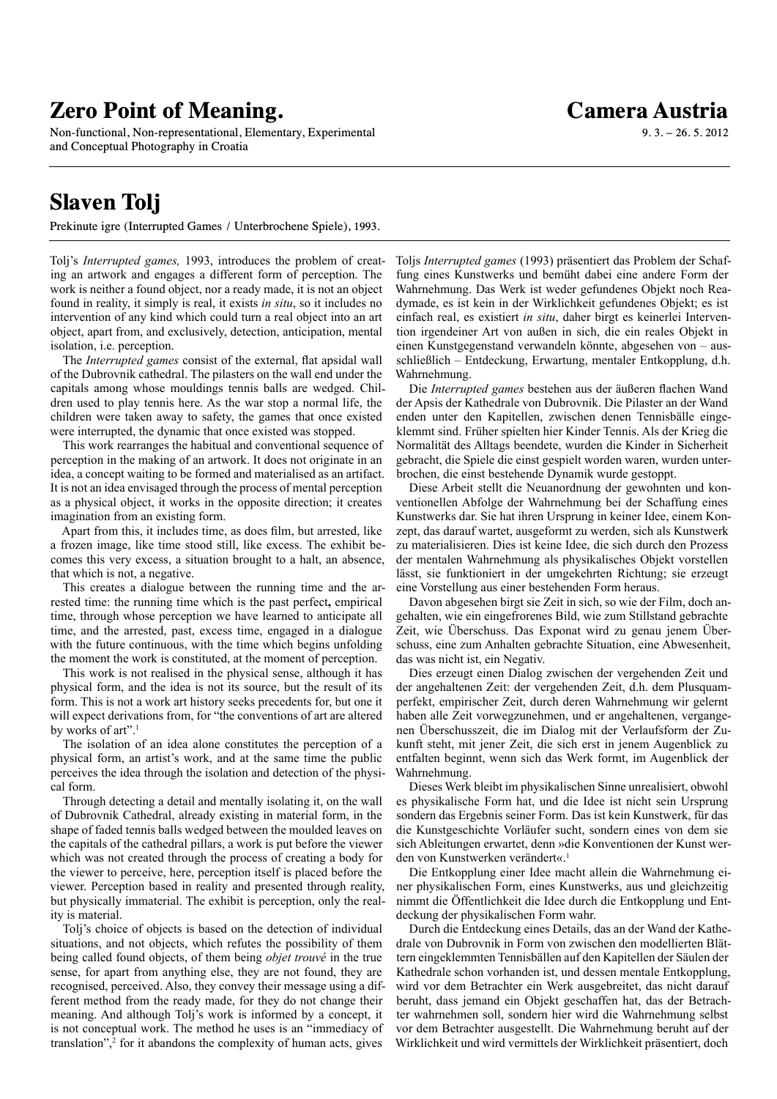Non-functional, Non-representational, Elementary, Experimental and Conceptual Photography in Croatia

### **Camera Austria**

 $9.3 - 26.5.2012$ 

### **Slaven Tolj**

Prekinute igre (Interrupted Games / Unterbrochene Spiele), 1993.

Toli's *Interrupted games*, 1993, introduces the problem of creating an artwork and engages a different form of perception. The work is neither a found object, nor a ready made, it is not an object found in reality, it simply is real, it exists *in situ*, so it includes no intervention of any kind which could turn a real object into an art object, apart from, and exclusively, detection, anticipation, mental isolation, i.e. perception.

The *Interrupted games* consist of the external, flat apsidal wall of the Dubrovnik cathedral. The pilasters on the wall end under the capitals among whose mouldings tennis balls are wedged. Children used to play tennis here. As the war stop a normal life, the children were taken away to safety, the games that once existed were interrupted, the dynamic that once existed was stopped.

This work rearranges the habitual and conventional sequence of perception in the making of an artwork. It does not originate in an idea, a concept waiting to be formed and materialised as an artifact. It is not an idea envisaged through the process of mental perception as a physical object, it works in the opposite direction; it creates imagination from an existing form.

Apart from this, it includes time, as does film, but arrested, like a frozen image, like time stood still, like excess. The exhibit becomes this very excess, a situation brought to a halt, an absence, that which is not, a negative.

This creates a dialogue between the running time and the arrested time: the running time which is the past perfect**,** empirical time, through whose perception we have learned to anticipate all time, and the arrested, past, excess time, engaged in a dialogue with the future continuous, with the time which begins unfolding the moment the work is constituted, at the moment of perception.

This work is not realised in the physical sense, although it has physical form, and the idea is not its source, but the result of its form. This is not a work art history seeks precedents for, but one it will expect derivations from, for "the conventions of art are altered by works of art".<sup>1</sup>

The isolation of an idea alone constitutes the perception of a physical form, an artist's work, and at the same time the public perceives the idea through the isolation and detection of the physical form.

Through detecting a detail and mentally isolating it, on the wall of Dubrovnik Cathedral, already existing in material form, in the shape of faded tennis balls wedged between the moulded leaves on the capitals of the cathedral pillars, a work is put before the viewer which was not created through the process of creating a body for the viewer to perceive, here, perception itself is placed before the viewer. Perception based in reality and presented through reality, but physically immaterial. The exhibit is perception, only the reality is material.

Tolj's choice of objects is based on the detection of individual situations, and not objects, which refutes the possibility of them being called found objects, of them being *objet trouvé* in the true sense, for apart from anything else, they are not found, they are recognised, perceived. Also, they convey their message using a different method from the ready made, for they do not change their meaning. And although Tolj's work is informed by a concept, it is not conceptual work. The method he uses is an "immediacy of translation",<sup>2</sup> for it abandons the complexity of human acts, gives

Toljs *Interrupted games* (1993) präsentiert das Problem der Schaffung eines Kunstwerks und bemüht dabei eine andere Form der Wahrnehmung. Das Werk ist weder gefundenes Objekt noch Readymade, es ist kein in der Wirklichkeit gefundenes Objekt; es ist einfach real, es existiert *in situ*, daher birgt es keinerlei Intervention irgendeiner Art von außen in sich, die ein reales Objekt in einen Kunstgegenstand verwandeln könnte, abgesehen von – ausschließlich – Entdeckung, Erwartung, mentaler Entkopplung, d.h. Wahrnehmung.

Die *Interrupted games* bestehen aus der äußeren flachen Wand der Apsis der Kathedrale von Dubrovnik. Die Pilaster an der Wand enden unter den Kapitellen, zwischen denen Tennisbälle eingeklemmt sind. Früher spielten hier Kinder Tennis. Als der Krieg die Normalität des Alltags beendete, wurden die Kinder in Sicherheit gebracht, die Spiele die einst gespielt worden waren, wurden unterbrochen, die einst bestehende Dynamik wurde gestoppt.

Diese Arbeit stellt die Neuanordnung der gewohnten und konventionellen Abfolge der Wahrnehmung bei der Schaffung eines Kunstwerks dar. Sie hat ihren Ursprung in keiner Idee, einem Konzept, das darauf wartet, ausgeformt zu werden, sich als Kunstwerk zu materialisieren. Dies ist keine Idee, die sich durch den Prozess der mentalen Wahrnehmung als physikalisches Objekt vorstellen lässt, sie funktioniert in der umgekehrten Richtung; sie erzeugt eine Vorstellung aus einer bestehenden Form heraus.

Davon abgesehen birgt sie Zeit in sich, so wie der Film, doch angehalten, wie ein eingefrorenes Bild, wie zum Stillstand gebrachte Zeit, wie Überschuss. Das Exponat wird zu genau jenem Überschuss, eine zum Anhalten gebrachte Situation, eine Abwesenheit, das was nicht ist, ein Negativ.

Dies erzeugt einen Dialog zwischen der vergehenden Zeit und der angehaltenen Zeit: der vergehenden Zeit, d.h. dem Plusquamperfekt, empirischer Zeit, durch deren Wahrnehmung wir gelernt haben alle Zeit vorwegzunehmen, und er angehaltenen, vergangenen Überschusszeit, die im Dialog mit der Verlaufsform der Zukunft steht, mit jener Zeit, die sich erst in jenem Augenblick zu entfalten beginnt, wenn sich das Werk formt, im Augenblick der Wahrnehmung.

Dieses Werk bleibt im physikalischen Sinne unrealisiert, obwohl es physikalische Form hat, und die Idee ist nicht sein Ursprung sondern das Ergebnis seiner Form. Das ist kein Kunstwerk, für das die Kunstgeschichte Vorläufer sucht, sondern eines von dem sie sich Ableitungen erwartet, denn »die Konventionen der Kunst werden von Kunstwerken verändert«.<sup>1</sup>

Die Entkopplung einer Idee macht allein die Wahrnehmung einer physikalischen Form, eines Kunstwerks, aus und gleichzeitig nimmt die Öffentlichkeit die Idee durch die Entkopplung und Entdeckung der physikalischen Form wahr.

Durch die Entdeckung eines Details, das an der Wand der Kathedrale von Dubrovnik in Form von zwischen den modellierten Blättern eingeklemmten Tennisbällen auf den Kapitellen der Säulen der Kathedrale schon vorhanden ist, und dessen mentale Entkopplung, wird vor dem Betrachter ein Werk ausgebreitet, das nicht darauf beruht, dass jemand ein Objekt geschaffen hat, das der Betrachter wahrnehmen soll, sondern hier wird die Wahrnehmung selbst vor dem Betrachter ausgestellt. Die Wahrnehmung beruht auf der Wirklichkeit und wird vermittels der Wirklichkeit präsentiert, doch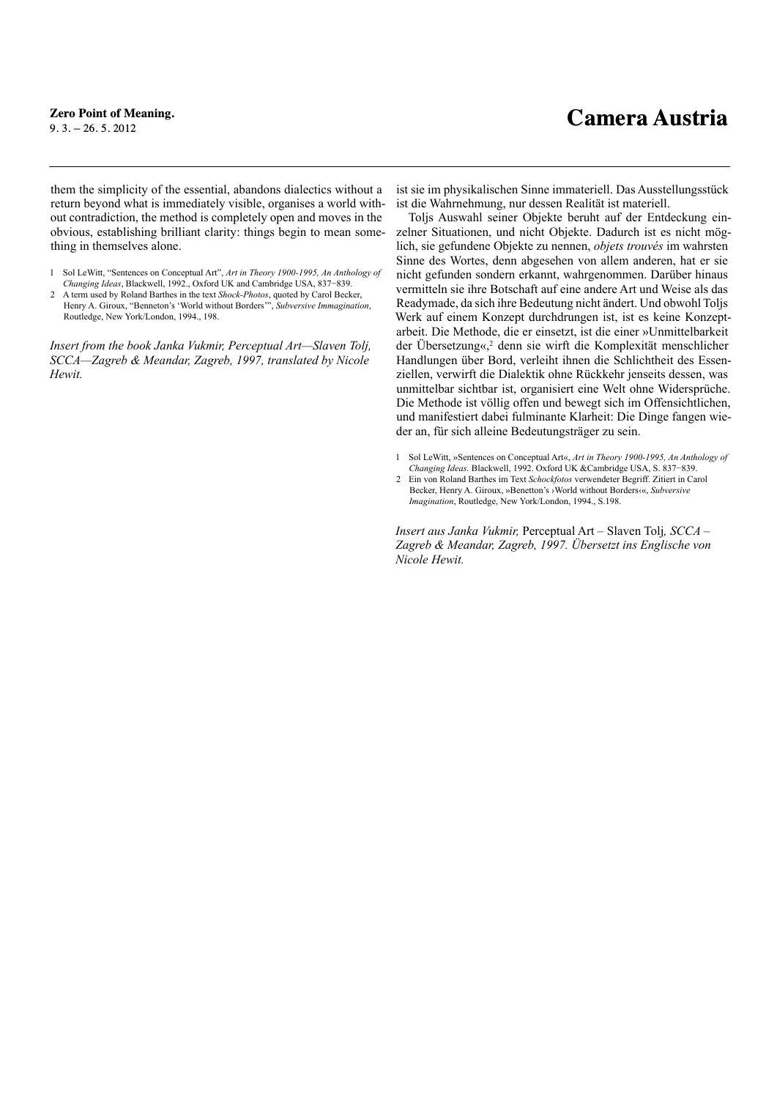them the simplicity of the essential, abandons dialectics without a return beyond what is immediately visible, organises a world without contradiction, the method is completely open and moves in the obvious, establishing brilliant clarity: things begin to mean something in themselves alone.

- 1 Sol LeWitt, "Sentences on Conceptual Art", *Art in Theory 1900-1995, An Anthology of Changing Ideas*, Blackwell, 1992., Oxford UK and Cambridge USA, 837−839.
- 2 A term used by Roland Barthes in the text *Shock-Photos*, quoted by Carol Becker, Henry A. Giroux, "Benneton's 'World without Borders'", *Subversive Immagination*, Routledge, New York/London, 1994., 198.

*Insert from the book Janka Vukmir, Perceptual Art—Slaven Tolj, SCCA—Zagreb & Meandar, Zagreb, 1997, translated by Nicole Hewit.* 

ist sie im physikalischen Sinne immateriell. Das Ausstellungsstück ist die Wahrnehmung, nur dessen Realität ist materiell.

Toljs Auswahl seiner Objekte beruht auf der Entdeckung einzelner Situationen, und nicht Objekte. Dadurch ist es nicht möglich, sie gefundene Objekte zu nennen, *objets trouvés* im wahrsten Sinne des Wortes, denn abgesehen von allem anderen, hat er sie nicht gefunden sondern erkannt, wahrgenommen. Darüber hinaus vermitteln sie ihre Botschaft auf eine andere Art und Weise als das Readymade, da sich ihre Bedeutung nicht ändert. Und obwohl Toljs Werk auf einem Konzept durchdrungen ist, ist es keine Konzeptarbeit. Die Methode, die er einsetzt, ist die einer »Unmittelbarkeit der Übersetzung«,2 denn sie wirft die Komplexität menschlicher Handlungen über Bord, verleiht ihnen die Schlichtheit des Essenziellen, verwirft die Dialektik ohne Rückkehr jenseits dessen, was unmittelbar sichtbar ist, organisiert eine Welt ohne Widersprüche. Die Methode ist völlig offen und bewegt sich im Offensichtlichen, und manifestiert dabei fulminante Klarheit: Die Dinge fangen wieder an, für sich alleine Bedeutungsträger zu sein.

- 1 Sol LeWitt, »Sentences on Conceptual Art«, *Art in Theory 1900-1995, An Anthology of Changing Ideas.* Blackwell, 1992. Oxford UK &Cambridge USA, S. 837−839.
- 2 Ein von Roland Barthes im Text *Schockfotos* verwendeter Begriff. Zitiert in Carol Becker, Henry A. Giroux, »Benetton's ›World without Borders‹«, *Subversive Imagination*, Routledge, New York/London, 1994., S.198.

*Insert aus Janka Vukmir,* Perceptual Art – Slaven Tolj*, SCCA – Zagreb & Meandar, Zagreb, 1997. Übersetzt ins Englische von Nicole Hewit.*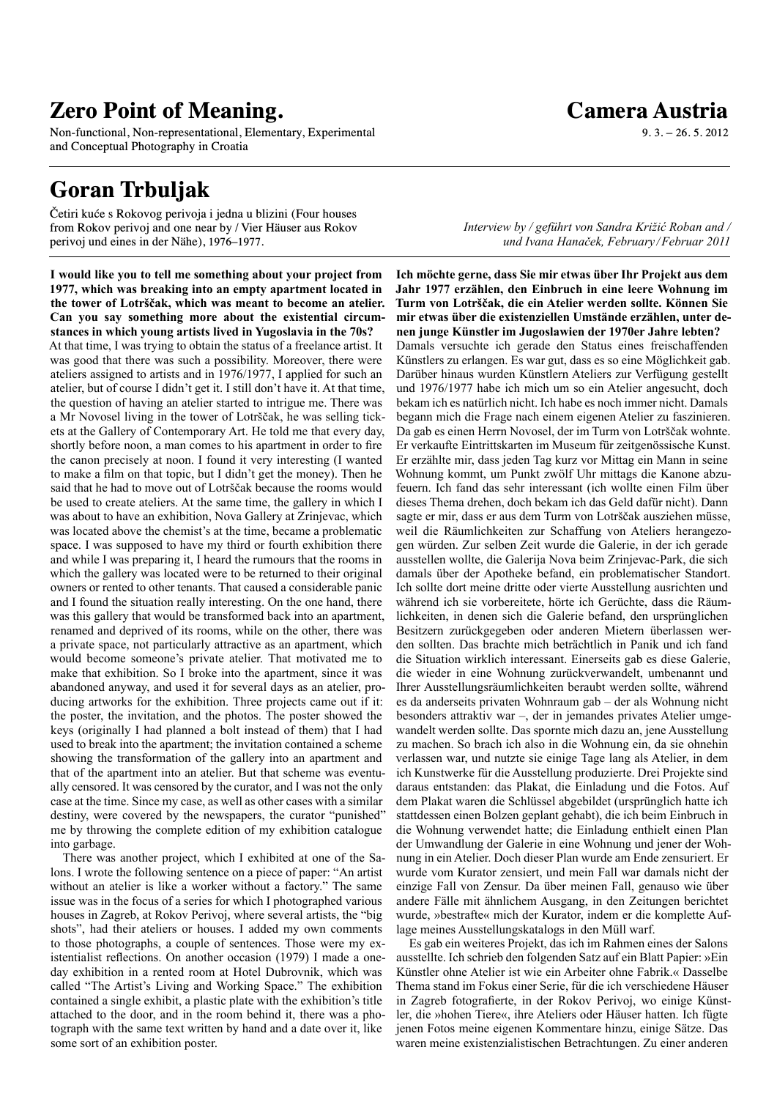Non-functional, Non-representational, Elementary, Experimental and Conceptual Photography in Croatia

### **Goran Trbuljak**

Četiri kuće s Rokovog perivoja i jedna u blizini (Four houses from Rokov perivoj and one near by/Vier Häuser aus Rokov perivoj und eines in der Nähe), 1976–1977.

**I would like you to tell me something about your project from 1977, which was breaking into an empty apartment located in the tower of Lotrščak, which was meant to become an atelier. Can you say something more about the existential circumstances in which young artists lived in Yugoslavia in the 70s?**  At that time, I was trying to obtain the status of a freelance artist. It was good that there was such a possibility. Moreover, there were ateliers assigned to artists and in 1976/1977, I applied for such an atelier, but of course I didn't get it. I still don't have it. At that time, the question of having an atelier started to intrigue me. There was a Mr Novosel living in the tower of Lotrščak, he was selling tickets at the Gallery of Contemporary Art. He told me that every day, shortly before noon, a man comes to his apartment in order to fire the canon precisely at noon. I found it very interesting (I wanted to make a film on that topic, but I didn't get the money). Then he said that he had to move out of Lotrščak because the rooms would be used to create ateliers. At the same time, the gallery in which I was about to have an exhibition, Nova Gallery at Zrinjevac, which was located above the chemist's at the time, became a problematic space. I was supposed to have my third or fourth exhibition there and while I was preparing it, I heard the rumours that the rooms in which the gallery was located were to be returned to their original owners or rented to other tenants. That caused a considerable panic and I found the situation really interesting. On the one hand, there was this gallery that would be transformed back into an apartment, renamed and deprived of its rooms, while on the other, there was a private space, not particularly attractive as an apartment, which would become someone's private atelier. That motivated me to make that exhibition. So I broke into the apartment, since it was abandoned anyway, and used it for several days as an atelier, producing artworks for the exhibition. Three projects came out if it: the poster, the invitation, and the photos. The poster showed the keys (originally I had planned a bolt instead of them) that I had used to break into the apartment; the invitation contained a scheme showing the transformation of the gallery into an apartment and that of the apartment into an atelier. But that scheme was eventually censored. It was censored by the curator, and I was not the only case at the time. Since my case, as well as other cases with a similar destiny, were covered by the newspapers, the curator "punished" me by throwing the complete edition of my exhibition catalogue into garbage.

There was another project, which I exhibited at one of the Salons. I wrote the following sentence on a piece of paper: "An artist without an atelier is like a worker without a factory." The same issue was in the focus of a series for which I photographed various houses in Zagreb, at Rokov Perivoj, where several artists, the "big shots", had their ateliers or houses. I added my own comments to those photographs, a couple of sentences. Those were my existentialist reflections. On another occasion (1979) I made a oneday exhibition in a rented room at Hotel Dubrovnik, which was called "The Artist's Living and Working Space." The exhibition contained a single exhibit, a plastic plate with the exhibition's title attached to the door, and in the room behind it, there was a photograph with the same text written by hand and a date over it, like some sort of an exhibition poster.

### **Camera Austria**

 $9.3 - 26.5.2012$ 

*Interview by / geführt von Sandra Križić Roban and / und Ivana Hanaček, February /Februar 2011*

**Ich möchte gerne, dass Sie mir etwas über Ihr Projekt aus dem Jahr 1977 erzählen, den Einbruch in eine leere Wohnung im Turm von Lotrščak, die ein Atelier werden sollte. Können Sie mir etwas über die existenziellen Umstände erzählen, unter denen junge Künstler im Jugoslawien der 1970er Jahre lebten?** Damals versuchte ich gerade den Status eines freischaffenden Künstlers zu erlangen. Es war gut, dass es so eine Möglichkeit gab. Darüber hinaus wurden Künstlern Ateliers zur Verfügung gestellt und 1976/1977 habe ich mich um so ein Atelier angesucht, doch bekam ich es natürlich nicht. Ich habe es noch immer nicht. Damals begann mich die Frage nach einem eigenen Atelier zu faszinieren. Da gab es einen Herrn Novosel, der im Turm von Lotrščak wohnte. Er verkaufte Eintrittskarten im Museum für zeitgenössische Kunst. Er erzählte mir, dass jeden Tag kurz vor Mittag ein Mann in seine Wohnung kommt, um Punkt zwölf Uhr mittags die Kanone abzufeuern. Ich fand das sehr interessant (ich wollte einen Film über dieses Thema drehen, doch bekam ich das Geld dafür nicht). Dann sagte er mir, dass er aus dem Turm von Lotrščak ausziehen müsse, weil die Räumlichkeiten zur Schaffung von Ateliers herangezogen würden. Zur selben Zeit wurde die Galerie, in der ich gerade ausstellen wollte, die Galerija Nova beim Zrinjevac-Park, die sich damals über der Apotheke befand, ein problematischer Standort. Ich sollte dort meine dritte oder vierte Ausstellung ausrichten und während ich sie vorbereitete, hörte ich Gerüchte, dass die Räumlichkeiten, in denen sich die Galerie befand, den ursprünglichen Besitzern zurückgegeben oder anderen Mietern überlassen werden sollten. Das brachte mich beträchtlich in Panik und ich fand die Situation wirklich interessant. Einerseits gab es diese Galerie, die wieder in eine Wohnung zurückverwandelt, umbenannt und Ihrer Ausstellungsräumlichkeiten beraubt werden sollte, während es da anderseits privaten Wohnraum gab – der als Wohnung nicht besonders attraktiv war –, der in jemandes privates Atelier umgewandelt werden sollte. Das spornte mich dazu an, jene Ausstellung zu machen. So brach ich also in die Wohnung ein, da sie ohnehin verlassen war, und nutzte sie einige Tage lang als Atelier, in dem ich Kunstwerke für die Ausstellung produzierte. Drei Projekte sind daraus entstanden: das Plakat, die Einladung und die Fotos. Auf dem Plakat waren die Schlüssel abgebildet (ursprünglich hatte ich stattdessen einen Bolzen geplant gehabt), die ich beim Einbruch in die Wohnung verwendet hatte; die Einladung enthielt einen Plan der Umwandlung der Galerie in eine Wohnung und jener der Wohnung in ein Atelier. Doch dieser Plan wurde am Ende zensuriert. Er wurde vom Kurator zensiert, und mein Fall war damals nicht der einzige Fall von Zensur. Da über meinen Fall, genauso wie über andere Fälle mit ähnlichem Ausgang, in den Zeitungen berichtet wurde, »bestrafte« mich der Kurator, indem er die komplette Auflage meines Ausstellungskatalogs in den Müll warf.

Es gab ein weiteres Projekt, das ich im Rahmen eines der Salons ausstellte. Ich schrieb den folgenden Satz auf ein Blatt Papier: »Ein Künstler ohne Atelier ist wie ein Arbeiter ohne Fabrik.« Dasselbe Thema stand im Fokus einer Serie, für die ich verschiedene Häuser in Zagreb fotografierte, in der Rokov Perivoj, wo einige Künstler, die »hohen Tiere«, ihre Ateliers oder Häuser hatten. Ich fügte jenen Fotos meine eigenen Kommentare hinzu, einige Sätze. Das waren meine existenzialistischen Betrachtungen. Zu einer anderen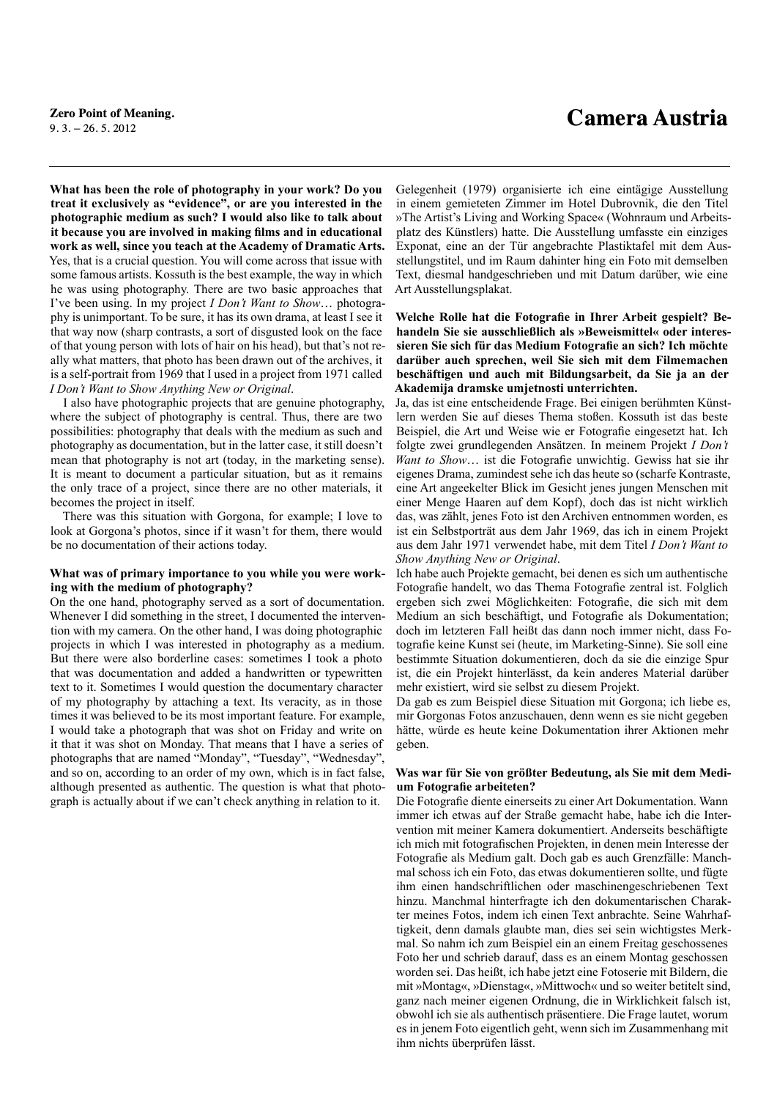### **Exercise Point of Meaning.**<br>
9.3. – 26. 5. 2012<br> **Camera Austria**

**What has been the role of photography in your work? Do you treat it exclusively as "evidence", or are you interested in the photographic medium as such? I would also like to talk about it because you are involved in making films and in educational work as well, since you teach at the Academy of Dramatic Arts.** Yes, that is a crucial question. You will come across that issue with some famous artists. Kossuth is the best example, the way in which he was using photography. There are two basic approaches that I've been using. In my project *I Don't Want to Show*… photography is unimportant. To be sure, it has its own drama, at least I see it that way now (sharp contrasts, a sort of disgusted look on the face of that young person with lots of hair on his head), but that's not really what matters, that photo has been drawn out of the archives, it is a self-portrait from 1969 that I used in a project from 1971 called *I Don't Want to Show Anything New or Original*.

I also have photographic projects that are genuine photography, where the subject of photography is central. Thus, there are two possibilities: photography that deals with the medium as such and photography as documentation, but in the latter case, it still doesn't mean that photography is not art (today, in the marketing sense). It is meant to document a particular situation, but as it remains the only trace of a project, since there are no other materials, it becomes the project in itself.

There was this situation with Gorgona, for example; I love to look at Gorgona's photos, since if it wasn't for them, there would be no documentation of their actions today.

#### **What was of primary importance to you while you were working with the medium of photography?**

On the one hand, photography served as a sort of documentation. Whenever I did something in the street, I documented the intervention with my camera. On the other hand, I was doing photographic projects in which I was interested in photography as a medium. But there were also borderline cases: sometimes I took a photo that was documentation and added a handwritten or typewritten text to it. Sometimes I would question the documentary character of my photography by attaching a text. Its veracity, as in those times it was believed to be its most important feature. For example, I would take a photograph that was shot on Friday and write on it that it was shot on Monday. That means that I have a series of photographs that are named "Monday", "Tuesday", "Wednesday", and so on, according to an order of my own, which is in fact false, although presented as authentic. The question is what that photograph is actually about if we can't check anything in relation to it.

Gelegenheit (1979) organisierte ich eine eintägige Ausstellung in einem gemieteten Zimmer im Hotel Dubrovnik, die den Titel »The Artist's Living and Working Space« (Wohnraum und Arbeitsplatz des Künstlers) hatte. Die Ausstellung umfasste ein einziges Exponat, eine an der Tür angebrachte Plastiktafel mit dem Ausstellungstitel, und im Raum dahinter hing ein Foto mit demselben Text, diesmal handgeschrieben und mit Datum darüber, wie eine Art Ausstellungsplakat.

**Welche Rolle hat die Fotografie in Ihrer Arbeit gespielt? Behandeln Sie sie ausschließlich als »Beweismittel« oder interessieren Sie sich für das Medium Fotografie an sich? Ich möchte darüber auch sprechen, weil Sie sich mit dem Filmemachen beschäftigen und auch mit Bildungsarbeit, da Sie ja an der Akademija dramske umjetnosti unterrichten.**

Ja, das ist eine entscheidende Frage. Bei einigen berühmten Künstlern werden Sie auf dieses Thema stoßen. Kossuth ist das beste Beispiel, die Art und Weise wie er Fotografie eingesetzt hat. Ich folgte zwei grundlegenden Ansätzen. In meinem Projekt *I Don't Want to Show*… ist die Fotografie unwichtig. Gewiss hat sie ihr eigenes Drama, zumindest sehe ich das heute so (scharfe Kontraste, eine Art angeekelter Blick im Gesicht jenes jungen Menschen mit einer Menge Haaren auf dem Kopf), doch das ist nicht wirklich das, was zählt, jenes Foto ist den Archiven entnommen worden, es ist ein Selbstporträt aus dem Jahr 1969, das ich in einem Projekt aus dem Jahr 1971 verwendet habe, mit dem Titel *I Don't Want to Show Anything New or Original*.

Ich habe auch Projekte gemacht, bei denen es sich um authentische Fotografie handelt, wo das Thema Fotografie zentral ist. Folglich ergeben sich zwei Möglichkeiten: Fotografie, die sich mit dem Medium an sich beschäftigt, und Fotografie als Dokumentation; doch im letzteren Fall heißt das dann noch immer nicht, dass Fotografie keine Kunst sei (heute, im Marketing-Sinne). Sie soll eine bestimmte Situation dokumentieren, doch da sie die einzige Spur ist, die ein Projekt hinterlässt, da kein anderes Material darüber mehr existiert, wird sie selbst zu diesem Projekt.

Da gab es zum Beispiel diese Situation mit Gorgona; ich liebe es, mir Gorgonas Fotos anzuschauen, denn wenn es sie nicht gegeben hätte, würde es heute keine Dokumentation ihrer Aktionen mehr geben.

#### **Was war für Sie von größter Bedeutung, als Sie mit dem Medium Fotografie arbeiteten?**

Die Fotografie diente einerseits zu einer Art Dokumentation. Wann immer ich etwas auf der Straße gemacht habe, habe ich die Intervention mit meiner Kamera dokumentiert. Anderseits beschäftigte ich mich mit fotografischen Projekten, in denen mein Interesse der Fotografie als Medium galt. Doch gab es auch Grenzfälle: Manchmal schoss ich ein Foto, das etwas dokumentieren sollte, und fügte ihm einen handschriftlichen oder maschinengeschriebenen Text hinzu. Manchmal hinterfragte ich den dokumentarischen Charakter meines Fotos, indem ich einen Text anbrachte. Seine Wahrhaftigkeit, denn damals glaubte man, dies sei sein wichtigstes Merkmal. So nahm ich zum Beispiel ein an einem Freitag geschossenes Foto her und schrieb darauf, dass es an einem Montag geschossen worden sei. Das heißt, ich habe jetzt eine Fotoserie mit Bildern, die mit »Montag«, »Dienstag«, »Mittwoch« und so weiter betitelt sind, ganz nach meiner eigenen Ordnung, die in Wirklichkeit falsch ist, obwohl ich sie als authentisch präsentiere. Die Frage lautet, worum es in jenem Foto eigentlich geht, wenn sich im Zusammenhang mit ihm nichts überprüfen lässt.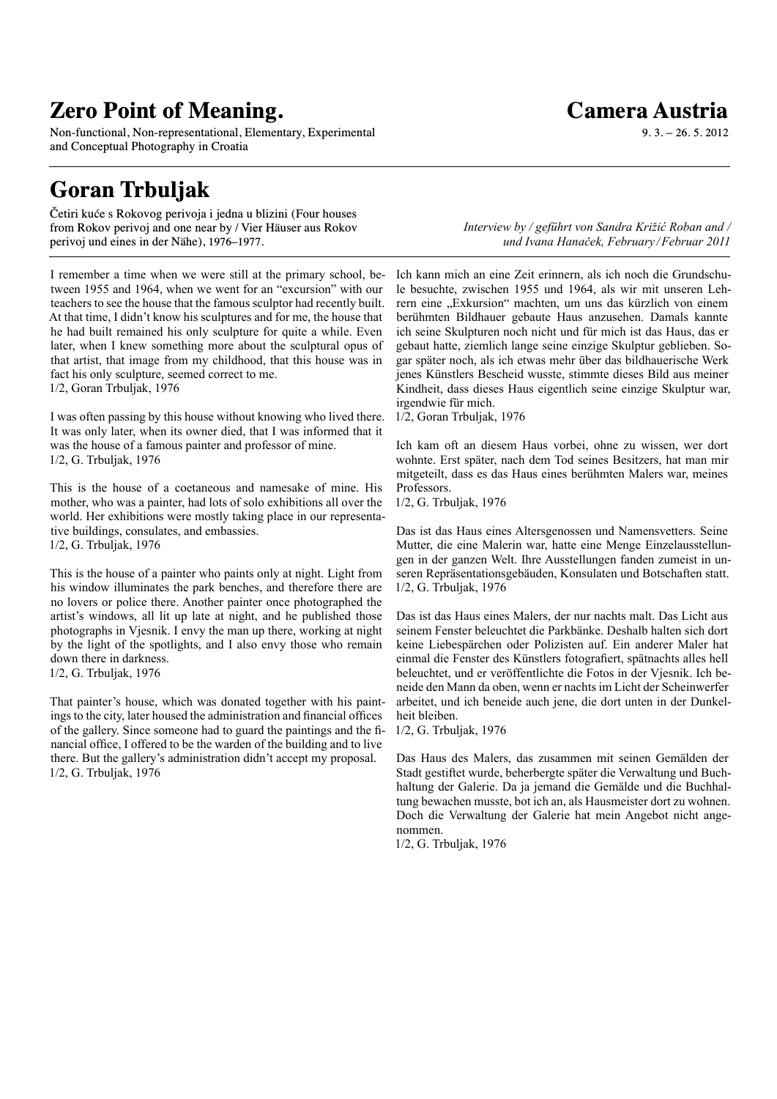Non-functional, Non-representational, Elementary, Experimental and Conceptual Photography in Croatia

### **Goran Trbuljak**

Četiri kuće s Rokovog perivoja i jedna u blizini (Four houses from Rokov perivoj and one near by/Vier Häuser aus Rokov perivoj und eines in der Nähe), 1976–1977.

I remember a time when we were still at the primary school, between 1955 and 1964, when we went for an "excursion" with our teachers to see the house that the famous sculptor had recently built. At that time, I didn't know his sculptures and for me, the house that he had built remained his only sculpture for quite a while. Even later, when I knew something more about the sculptural opus of that artist, that image from my childhood, that this house was in fact his only sculpture, seemed correct to me. 1/2, Goran Trbuljak, 1976

I was often passing by this house without knowing who lived there. It was only later, when its owner died, that I was informed that it was the house of a famous painter and professor of mine. 1/2, G. Trbuljak, 1976

This is the house of a coetaneous and namesake of mine. His mother, who was a painter, had lots of solo exhibitions all over the world. Her exhibitions were mostly taking place in our representative buildings, consulates, and embassies. 1/2, G. Trbuljak, 1976

This is the house of a painter who paints only at night. Light from his window illuminates the park benches, and therefore there are no lovers or police there. Another painter once photographed the artist's windows, all lit up late at night, and he published those photographs in Vjesnik. I envy the man up there, working at night by the light of the spotlights, and I also envy those who remain down there in darkness. 1/2, G. Trbuljak, 1976

That painter's house, which was donated together with his paintings to the city, later housed the administration and financial offices of the gallery. Since someone had to guard the paintings and the financial office, I offered to be the warden of the building and to live there. But the gallery's administration didn't accept my proposal. 1/2, G. Trbuljak, 1976

### **Camera Austria**

 $9.3 - 26.5$ , 2012

*Interview by / geführt von Sandra Križić Roban and / und Ivana Hanaček, February /Februar 2011*

Ich kann mich an eine Zeit erinnern, als ich noch die Grundschule besuchte, zwischen 1955 und 1964, als wir mit unseren Lehrern eine "Exkursion" machten, um uns das kürzlich von einem berühmten Bildhauer gebaute Haus anzusehen. Damals kannte ich seine Skulpturen noch nicht und für mich ist das Haus, das er gebaut hatte, ziemlich lange seine einzige Skulptur geblieben. Sogar später noch, als ich etwas mehr über das bildhauerische Werk jenes Künstlers Bescheid wusste, stimmte dieses Bild aus meiner Kindheit, dass dieses Haus eigentlich seine einzige Skulptur war, irgendwie für mich.

1/2, Goran Trbuljak, 1976

Ich kam oft an diesem Haus vorbei, ohne zu wissen, wer dort wohnte. Erst später, nach dem Tod seines Besitzers, hat man mir mitgeteilt, dass es das Haus eines berühmten Malers war, meines Professors.

1/2, G. Trbuljak, 1976

Das ist das Haus eines Altersgenossen und Namensvetters. Seine Mutter, die eine Malerin war, hatte eine Menge Einzelausstellungen in der ganzen Welt. Ihre Ausstellungen fanden zumeist in unseren Repräsentationsgebäuden, Konsulaten und Botschaften statt. 1/2, G. Trbuljak, 1976

Das ist das Haus eines Malers, der nur nachts malt. Das Licht aus seinem Fenster beleuchtet die Parkbänke. Deshalb halten sich dort keine Liebespärchen oder Polizisten auf. Ein anderer Maler hat einmal die Fenster des Künstlers fotografiert, spätnachts alles hell beleuchtet, und er veröffentlichte die Fotos in der Vjesnik. Ich beneide den Mann da oben, wenn er nachts im Licht der Scheinwerfer arbeitet, und ich beneide auch jene, die dort unten in der Dunkelheit bleiben.

1/2, G. Trbuljak, 1976

Das Haus des Malers, das zusammen mit seinen Gemälden der Stadt gestiftet wurde, beherbergte später die Verwaltung und Buchhaltung der Galerie. Da ja jemand die Gemälde und die Buchhaltung bewachen musste, bot ich an, als Hausmeister dort zu wohnen. Doch die Verwaltung der Galerie hat mein Angebot nicht angenommen.

1/2, G. Trbuljak, 1976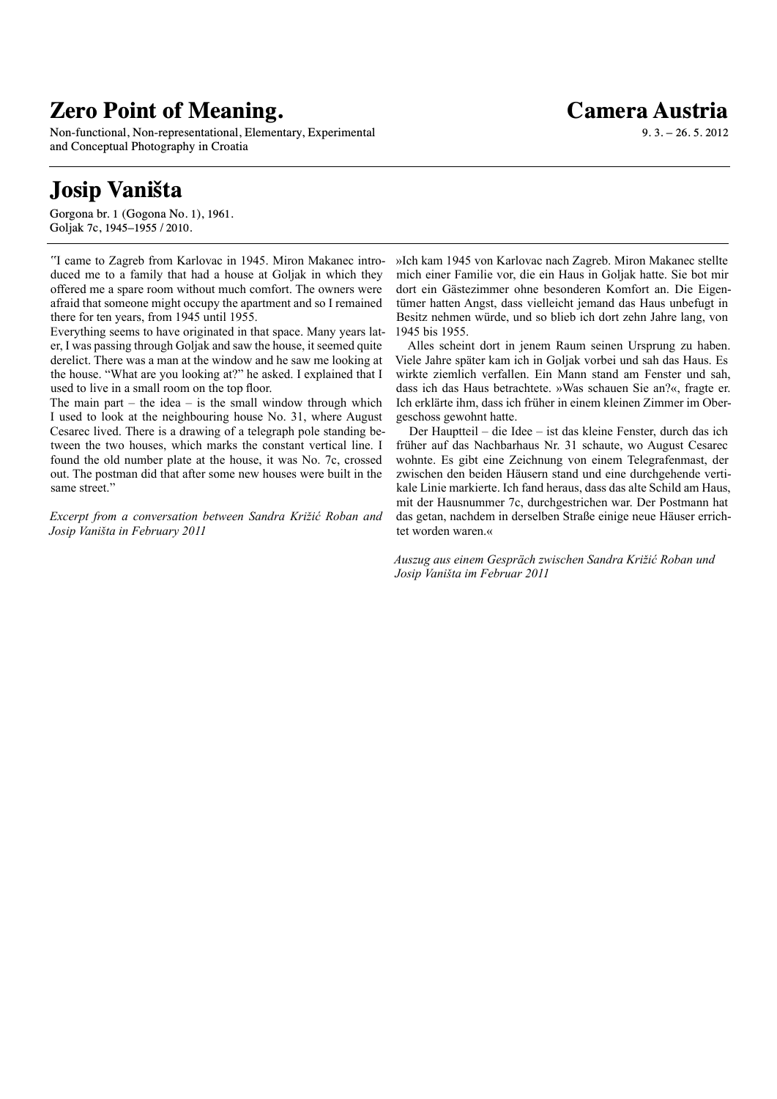Non-functional, Non-representational, Elementary, Experimental and Conceptual Photography in Croatia

### **Josip Vaništa**

Gorgona br. 1 (Gogona No. 1), 1961. Goljak 7c, 1945–1955 / 2010.

 "I came to Zagreb from Karlovac in 1945. Miron Makanec introduced me to a family that had a house at Goljak in which they offered me a spare room without much comfort. The owners were afraid that someone might occupy the apartment and so I remained there for ten years, from 1945 until 1955.

Everything seems to have originated in that space. Many years later, I was passing through Goljak and saw the house, it seemed quite derelict. There was a man at the window and he saw me looking at the house. "What are you looking at?" he asked. I explained that I used to live in a small room on the top floor.

The main part – the idea – is the small window through which I used to look at the neighbouring house No. 31, where August Cesarec lived. There is a drawing of a telegraph pole standing between the two houses, which marks the constant vertical line. I found the old number plate at the house, it was No. 7c, crossed out. The postman did that after some new houses were built in the same street."

*Excerpt from a conversation between Sandra Križić Roban and Josip Vaništa in February 2011* 

»Ich kam 1945 von Karlovac nach Zagreb. Miron Makanec stellte mich einer Familie vor, die ein Haus in Goljak hatte. Sie bot mir dort ein Gästezimmer ohne besonderen Komfort an. Die Eigentümer hatten Angst, dass vielleicht jemand das Haus unbefugt in Besitz nehmen würde, und so blieb ich dort zehn Jahre lang, von 1945 bis 1955.

Alles scheint dort in jenem Raum seinen Ursprung zu haben. Viele Jahre später kam ich in Goljak vorbei und sah das Haus. Es wirkte ziemlich verfallen. Ein Mann stand am Fenster und sah, dass ich das Haus betrachtete. »Was schauen Sie an?«, fragte er. Ich erklärte ihm, dass ich früher in einem kleinen Zimmer im Obergeschoss gewohnt hatte.

Der Hauptteil – die Idee – ist das kleine Fenster, durch das ich früher auf das Nachbarhaus Nr. 31 schaute, wo August Cesarec wohnte. Es gibt eine Zeichnung von einem Telegrafenmast, der zwischen den beiden Häusern stand und eine durchgehende vertikale Linie markierte. Ich fand heraus, dass das alte Schild am Haus, mit der Hausnummer 7c, durchgestrichen war. Der Postmann hat das getan, nachdem in derselben Straße einige neue Häuser errichtet worden waren.«

*Auszug aus einem Gespräch zwischen Sandra Križić Roban und Josip Vaništa im Februar 2011*

### **Camera Austria**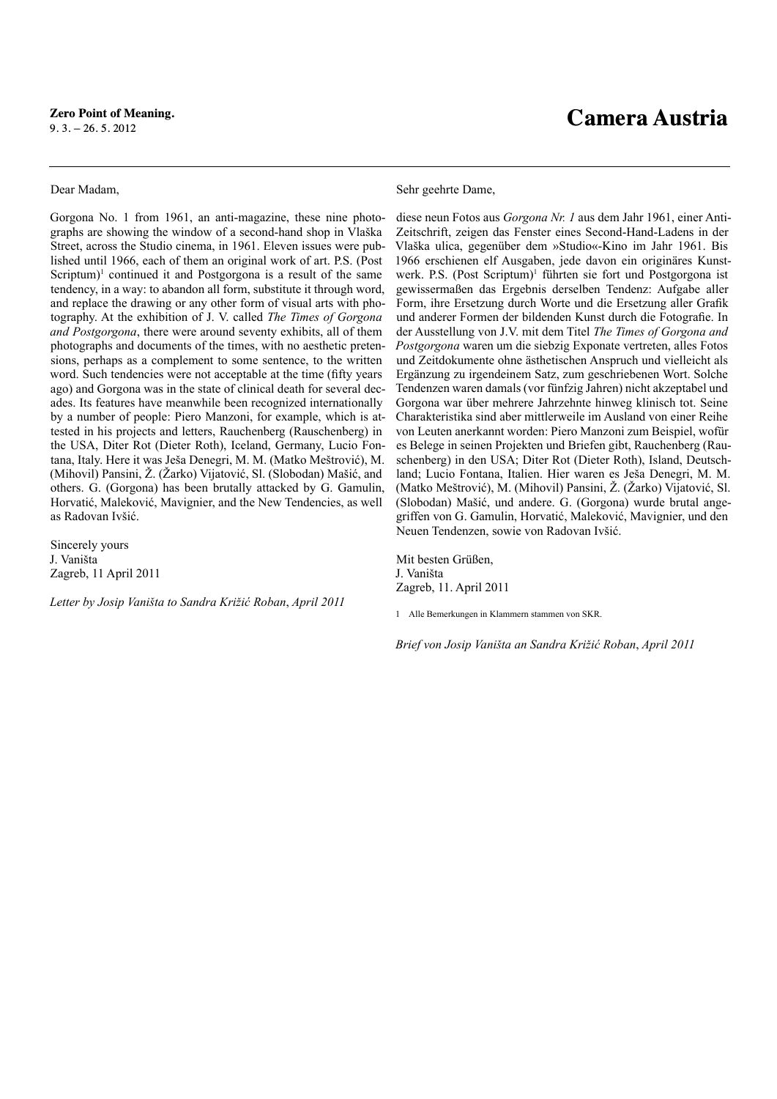#### Dear Madam,

Sehr geehrte Dame,

Gorgona No. 1 from 1961, an anti-magazine, these nine photographs are showing the window of a second-hand shop in Vlaška Street, across the Studio cinema, in 1961. Eleven issues were published until 1966, each of them an original work of art. P.S. (Post  $S$ criptum)<sup>1</sup> continued it and Postgorgona is a result of the same tendency, in a way: to abandon all form, substitute it through word, and replace the drawing or any other form of visual arts with photography. At the exhibition of J. V. called *The Times of Gorgona and Postgorgona*, there were around seventy exhibits, all of them photographs and documents of the times, with no aesthetic pretensions, perhaps as a complement to some sentence, to the written word. Such tendencies were not acceptable at the time (fifty years ago) and Gorgona was in the state of clinical death for several decades. Its features have meanwhile been recognized internationally by a number of people: Piero Manzoni, for example, which is attested in his projects and letters, Rauchenberg (Rauschenberg) in the USA, Diter Rot (Dieter Roth), Iceland, Germany, Lucio Fontana, Italy. Here it was Ješa Denegri, M. M. (Matko Meštrović), M. (Mihovil) Pansini, Ž. (Žarko) Vijatović, Sl. (Slobodan) Mašić, and others. G. (Gorgona) has been brutally attacked by G. Gamulin, Horvatić, Maleković, Mavignier, and the New Tendencies, as well as Radovan Ivšić.

Sincerely yours J. Vaništa Zagreb, 11 April 2011

*Letter by Josip Vaništa to Sandra Križić Roban*, *April 2011* 

diese neun Fotos aus *Gorgona Nr. 1* aus dem Jahr 1961, einer Anti-Zeitschrift, zeigen das Fenster eines Second-Hand-Ladens in der Vlaška ulica, gegenüber dem »Studio«-Kino im Jahr 1961. Bis 1966 erschienen elf Ausgaben, jede davon ein originäres Kunstwerk. P.S. (Post Scriptum)<sup>1</sup> führten sie fort und Postgorgona ist gewissermaßen das Ergebnis derselben Tendenz: Aufgabe aller Form, ihre Ersetzung durch Worte und die Ersetzung aller Grafik und anderer Formen der bildenden Kunst durch die Fotografie. In der Ausstellung von J.V. mit dem Titel *The Times of Gorgona and Postgorgona* waren um die siebzig Exponate vertreten, alles Fotos und Zeitdokumente ohne ästhetischen Anspruch und vielleicht als Ergänzung zu irgendeinem Satz, zum geschriebenen Wort. Solche Tendenzen waren damals (vor fünfzig Jahren) nicht akzeptabel und Gorgona war über mehrere Jahrzehnte hinweg klinisch tot. Seine Charakteristika sind aber mittlerweile im Ausland von einer Reihe von Leuten anerkannt worden: Piero Manzoni zum Beispiel, wofür es Belege in seinen Projekten und Briefen gibt, Rauchenberg (Rauschenberg) in den USA; Diter Rot (Dieter Roth), Island, Deutschland; Lucio Fontana, Italien. Hier waren es Ješa Denegri, M. M. (Matko Meštrović), M. (Mihovil) Pansini, Ž. (Žarko) Vijatović, Sl. (Slobodan) Mašić, und andere. G. (Gorgona) wurde brutal angegriffen von G. Gamulin, Horvatić, Maleković, Mavignier, und den Neuen Tendenzen, sowie von Radovan Ivšić.

Mit besten Grüßen, J. Vaništa Zagreb, 11. April 2011

1 Alle Bemerkungen in Klammern stammen von SKR.

*Brief von Josip Vaništa an Sandra Križić Roban*, *April 2011*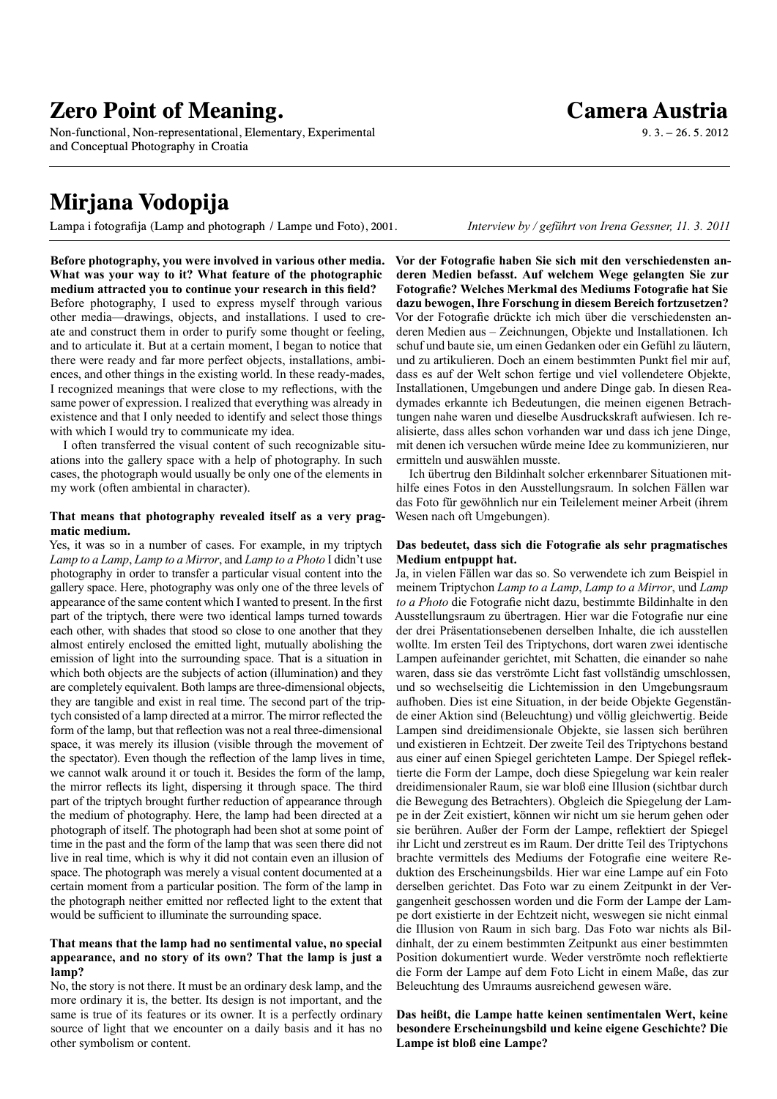Non-functional, Non-representational, Elementary, Experimental and Conceptual Photography in Croatia

### **Mirjana Vodopija**

Lampa i fotografija (Lamp and photograph / Lampe und Foto), 2001. *Interview by / geführt von Irena Gessner, 11. 3. 2011*

**Camera Austria**

 $9.3 - 26.5$ , 2012

**Before photography, you were involved in various other media. Vor der Fotografie haben Sie sich mit den verschiedensten anderen Medien befasst. Auf welchem Wege gelangten Sie zur Fotografie? Welches Merkmal des Mediums Fotografie hat Sie dazu bewogen, Ihre Forschung in diesem Bereich fortzusetzen?** Vor der Fotografie drückte ich mich über die verschiedensten anderen Medien aus – Zeichnungen, Objekte und Installationen. Ich schuf und baute sie, um einen Gedanken oder ein Gefühl zu läutern, und zu artikulieren. Doch an einem bestimmten Punkt fiel mir auf, dass es auf der Welt schon fertige und viel vollendetere Objekte, Installationen, Umgebungen und andere Dinge gab. In diesen Readymades erkannte ich Bedeutungen, die meinen eigenen Betrachtungen nahe waren und dieselbe Ausdruckskraft aufwiesen. Ich realisierte, dass alles schon vorhanden war und dass ich jene Dinge, mit denen ich versuchen würde meine Idee zu kommunizieren, nur ermitteln und auswählen musste.

> Ich übertrug den Bildinhalt solcher erkennbarer Situationen mithilfe eines Fotos in den Ausstellungsraum. In solchen Fällen war das Foto für gewöhnlich nur ein Teilelement meiner Arbeit (ihrem Wesen nach oft Umgebungen).

#### **Das bedeutet, dass sich die Fotografie als sehr pragmatisches Medium entpuppt hat.**

Ja, in vielen Fällen war das so. So verwendete ich zum Beispiel in meinem Triptychon *Lamp to a Lamp*, *Lamp to a Mirror*, und *Lamp to a Photo* die Fotografie nicht dazu, bestimmte Bildinhalte in den Ausstellungsraum zu übertragen. Hier war die Fotografie nur eine der drei Präsentationsebenen derselben Inhalte, die ich ausstellen wollte. Im ersten Teil des Triptychons, dort waren zwei identische Lampen aufeinander gerichtet, mit Schatten, die einander so nahe waren, dass sie das verströmte Licht fast vollständig umschlossen, und so wechselseitig die Lichtemission in den Umgebungsraum aufhoben. Dies ist eine Situation, in der beide Objekte Gegenstände einer Aktion sind (Beleuchtung) und völlig gleichwertig. Beide Lampen sind dreidimensionale Objekte, sie lassen sich berühren und existieren in Echtzeit. Der zweite Teil des Triptychons bestand aus einer auf einen Spiegel gerichteten Lampe. Der Spiegel reflektierte die Form der Lampe, doch diese Spiegelung war kein realer dreidimensionaler Raum, sie war bloß eine Illusion (sichtbar durch die Bewegung des Betrachters). Obgleich die Spiegelung der Lampe in der Zeit existiert, können wir nicht um sie herum gehen oder sie berühren. Außer der Form der Lampe, reflektiert der Spiegel ihr Licht und zerstreut es im Raum. Der dritte Teil des Triptychons brachte vermittels des Mediums der Fotografie eine weitere Reduktion des Erscheinungsbilds. Hier war eine Lampe auf ein Foto derselben gerichtet. Das Foto war zu einem Zeitpunkt in der Vergangenheit geschossen worden und die Form der Lampe der Lampe dort existierte in der Echtzeit nicht, weswegen sie nicht einmal die Illusion von Raum in sich barg. Das Foto war nichts als Bildinhalt, der zu einem bestimmten Zeitpunkt aus einer bestimmten Position dokumentiert wurde. Weder verströmte noch reflektierte die Form der Lampe auf dem Foto Licht in einem Maße, das zur Beleuchtung des Umraums ausreichend gewesen wäre.

**Das heißt, die Lampe hatte keinen sentimentalen Wert, keine besondere Erscheinungsbild und keine eigene Geschichte? Die Lampe ist bloß eine Lampe?**

**What was your way to it? What feature of the photographic medium attracted you to continue your research in this field?** Before photography, I used to express myself through various other media—drawings, objects, and installations. I used to create and construct them in order to purify some thought or feeling, and to articulate it. But at a certain moment, I began to notice that there were ready and far more perfect objects, installations, ambiences, and other things in the existing world. In these ready-mades, I recognized meanings that were close to my reflections, with the same power of expression. I realized that everything was already in existence and that I only needed to identify and select those things with which I would try to communicate my idea.

I often transferred the visual content of such recognizable situations into the gallery space with a help of photography. In such cases, the photograph would usually be only one of the elements in my work (often ambiental in character).

#### **That means that photography revealed itself as a very pragmatic medium.**

Yes, it was so in a number of cases. For example, in my triptych *Lamp to a Lamp*, *Lamp to a Mirror*, and *Lamp to a Photo* I didn't use photography in order to transfer a particular visual content into the gallery space. Here, photography was only one of the three levels of appearance of the same content which I wanted to present. In the first part of the triptych, there were two identical lamps turned towards each other, with shades that stood so close to one another that they almost entirely enclosed the emitted light, mutually abolishing the emission of light into the surrounding space. That is a situation in which both objects are the subjects of action (illumination) and they are completely equivalent. Both lamps are three-dimensional objects, they are tangible and exist in real time. The second part of the triptych consisted of a lamp directed at a mirror. The mirror reflected the form of the lamp, but that reflection was not a real three-dimensional space, it was merely its illusion (visible through the movement of the spectator). Even though the reflection of the lamp lives in time, we cannot walk around it or touch it. Besides the form of the lamp, the mirror reflects its light, dispersing it through space. The third part of the triptych brought further reduction of appearance through the medium of photography. Here, the lamp had been directed at a photograph of itself. The photograph had been shot at some point of time in the past and the form of the lamp that was seen there did not live in real time, which is why it did not contain even an illusion of space. The photograph was merely a visual content documented at a certain moment from a particular position. The form of the lamp in the photograph neither emitted nor reflected light to the extent that would be sufficient to illuminate the surrounding space.

#### **That means that the lamp had no sentimental value, no special appearance, and no story of its own? That the lamp is just a lamp?**

No, the story is not there. It must be an ordinary desk lamp, and the more ordinary it is, the better. Its design is not important, and the same is true of its features or its owner. It is a perfectly ordinary source of light that we encounter on a daily basis and it has no other symbolism or content.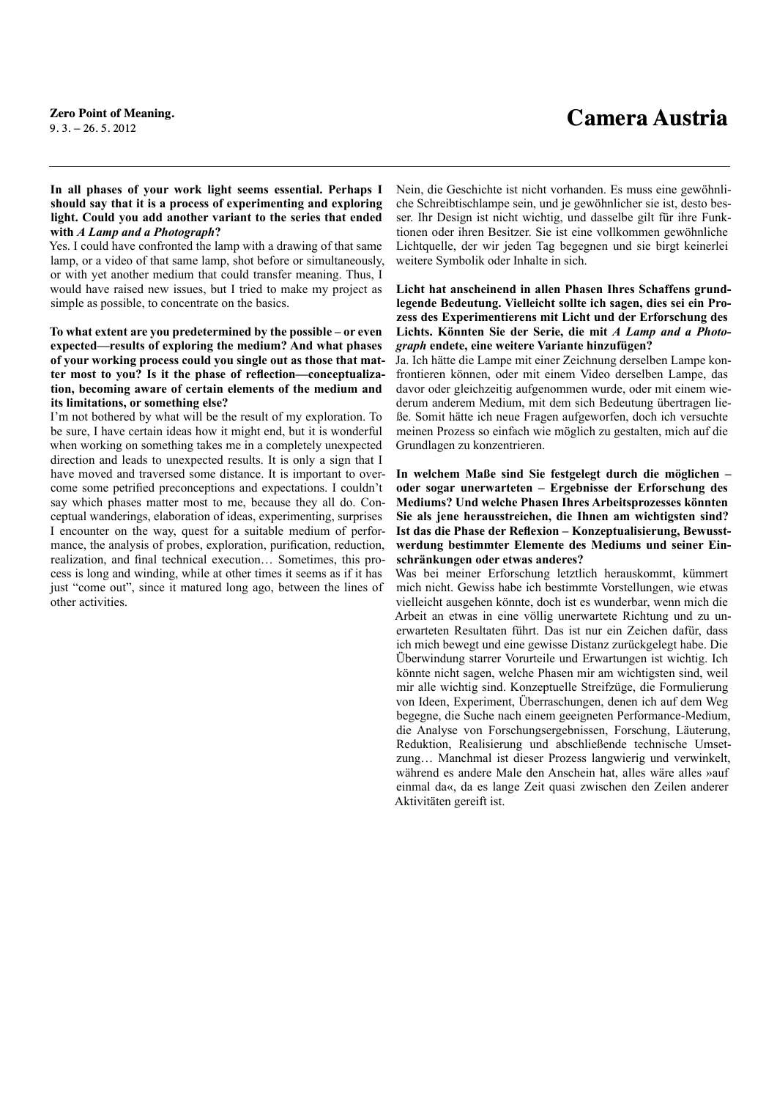#### **In all phases of your work light seems essential. Perhaps I should say that it is a process of experimenting and exploring light. Could you add another variant to the series that ended with** *A Lamp and a Photograph***?**

Yes. I could have confronted the lamp with a drawing of that same lamp, or a video of that same lamp, shot before or simultaneously, or with yet another medium that could transfer meaning. Thus, I would have raised new issues, but I tried to make my project as simple as possible, to concentrate on the basics.

#### **To what extent are you predetermined by the possible – or even expected—results of exploring the medium? And what phases of your working process could you single out as those that matter most to you? Is it the phase of reflection—conceptualization, becoming aware of certain elements of the medium and its limitations, or something else?**

I'm not bothered by what will be the result of my exploration. To be sure, I have certain ideas how it might end, but it is wonderful when working on something takes me in a completely unexpected direction and leads to unexpected results. It is only a sign that I have moved and traversed some distance. It is important to overcome some petrified preconceptions and expectations. I couldn't say which phases matter most to me, because they all do. Conceptual wanderings, elaboration of ideas, experimenting, surprises I encounter on the way, quest for a suitable medium of performance, the analysis of probes, exploration, purification, reduction, realization, and final technical execution… Sometimes, this process is long and winding, while at other times it seems as if it has just "come out", since it matured long ago, between the lines of other activities.

Nein, die Geschichte ist nicht vorhanden. Es muss eine gewöhnliche Schreibtischlampe sein, und je gewöhnlicher sie ist, desto besser. Ihr Design ist nicht wichtig, und dasselbe gilt für ihre Funktionen oder ihren Besitzer. Sie ist eine vollkommen gewöhnliche Lichtquelle, der wir jeden Tag begegnen und sie birgt keinerlei weitere Symbolik oder Inhalte in sich.

#### **Licht hat anscheinend in allen Phasen Ihres Schaffens grundlegende Bedeutung. Vielleicht sollte ich sagen, dies sei ein Prozess des Experimentierens mit Licht und der Erforschung des Lichts. Könnten Sie der Serie, die mit** *A Lamp and a Photograph* **endete, eine weitere Variante hinzufügen?**

Ja. Ich hätte die Lampe mit einer Zeichnung derselben Lampe konfrontieren können, oder mit einem Video derselben Lampe, das davor oder gleichzeitig aufgenommen wurde, oder mit einem wiederum anderem Medium, mit dem sich Bedeutung übertragen ließe. Somit hätte ich neue Fragen aufgeworfen, doch ich versuchte meinen Prozess so einfach wie möglich zu gestalten, mich auf die Grundlagen zu konzentrieren.

**In welchem Maße sind Sie festgelegt durch die möglichen – oder sogar unerwarteten – Ergebnisse der Erforschung des Mediums? Und welche Phasen Ihres Arbeitsprozesses könnten Sie als jene herausstreichen, die Ihnen am wichtigsten sind? Ist das die Phase der Reflexion – Konzeptualisierung, Bewusstwerdung bestimmter Elemente des Mediums und seiner Einschränkungen oder etwas anderes?**

Was bei meiner Erforschung letztlich herauskommt, kümmert mich nicht. Gewiss habe ich bestimmte Vorstellungen, wie etwas vielleicht ausgehen könnte, doch ist es wunderbar, wenn mich die Arbeit an etwas in eine völlig unerwartete Richtung und zu unerwarteten Resultaten führt. Das ist nur ein Zeichen dafür, dass ich mich bewegt und eine gewisse Distanz zurückgelegt habe. Die Überwindung starrer Vorurteile und Erwartungen ist wichtig. Ich könnte nicht sagen, welche Phasen mir am wichtigsten sind, weil mir alle wichtig sind. Konzeptuelle Streifzüge, die Formulierung von Ideen, Experiment, Überraschungen, denen ich auf dem Weg begegne, die Suche nach einem geeigneten Performance-Medium, die Analyse von Forschungsergebnissen, Forschung, Läuterung, Reduktion, Realisierung und abschließende technische Umsetzung… Manchmal ist dieser Prozess langwierig und verwinkelt, während es andere Male den Anschein hat, alles wäre alles »auf einmal da«, da es lange Zeit quasi zwischen den Zeilen anderer Aktivitäten gereift ist.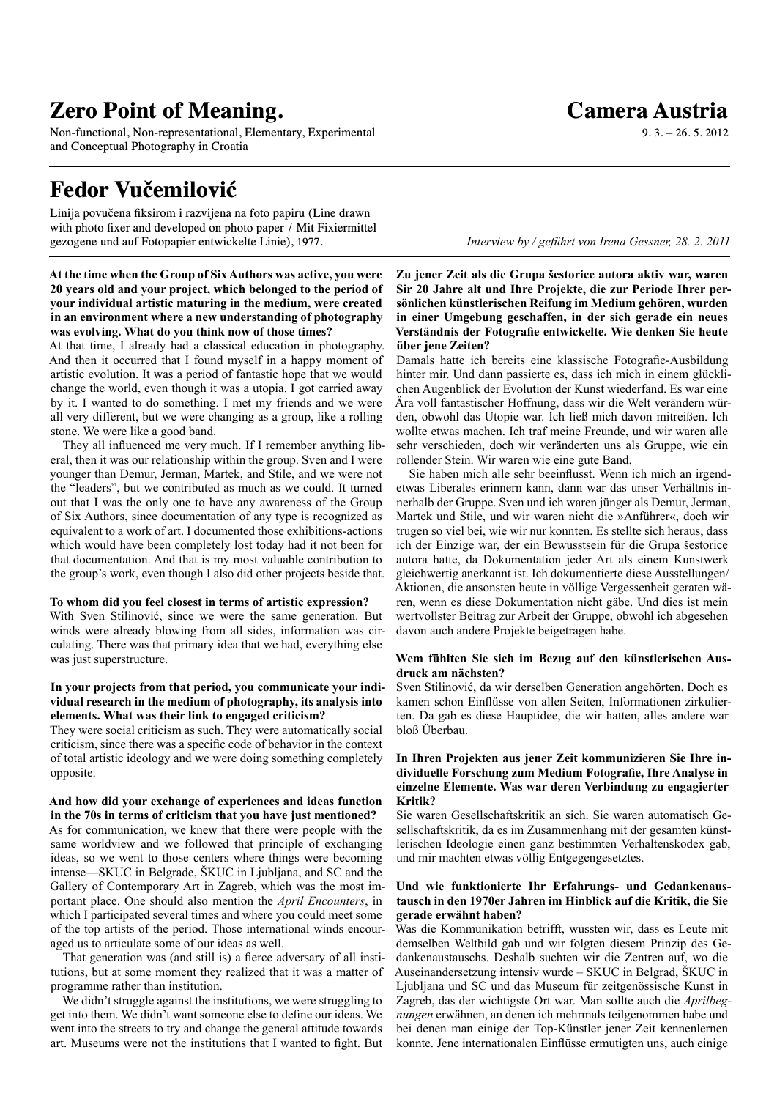Non-functional, Non-representational, Elementary, Experimental and Conceptual Photography in Croatia

### **Fedor Vučemilović**

Linija povučena fiksirom i razvijena na foto papiru (Line drawn with photo fixer and developed on photo paper / Mit Fixiermittel gezogene und auf Fotopapier entwickelte Linie), 1977. *Interview by / geführt von Irena Gessner, 28. 2. 2011*

#### **At the time when the Group of Six Authors was active, you were 20 years old and your project, which belonged to the period of your individual artistic maturing in the medium, were created in an environment where a new understanding of photography was evolving. What do you think now of those times?**

At that time, I already had a classical education in photography. And then it occurred that I found myself in a happy moment of artistic evolution. It was a period of fantastic hope that we would change the world, even though it was a utopia. I got carried away by it. I wanted to do something. I met my friends and we were all very different, but we were changing as a group, like a rolling stone. We were like a good band.

They all influenced me very much. If I remember anything liberal, then it was our relationship within the group. Sven and I were younger than Demur, Jerman, Martek, and Stile, and we were not the "leaders", but we contributed as much as we could. It turned out that I was the only one to have any awareness of the Group of Six Authors, since documentation of any type is recognized as equivalent to a work of art. I documented those exhibitions-actions which would have been completely lost today had it not been for that documentation. And that is my most valuable contribution to the group's work, even though I also did other projects beside that.

#### **To whom did you feel closest in terms of artistic expression?**

With Sven Stilinović, since we were the same generation. But winds were already blowing from all sides, information was circulating. There was that primary idea that we had, everything else was just superstructure.

#### **In your projects from that period, you communicate your individual research in the medium of photography, its analysis into elements. What was their link to engaged criticism?**

They were social criticism as such. They were automatically social criticism, since there was a specific code of behavior in the context of total artistic ideology and we were doing something completely opposite.

#### **And how did your exchange of experiences and ideas function in the 70s in terms of criticism that you have just mentioned?**

As for communication, we knew that there were people with the same worldview and we followed that principle of exchanging ideas, so we went to those centers where things were becoming intense—SKUC in Belgrade, ŠKUC in Ljubljana, and SC and the Gallery of Contemporary Art in Zagreb, which was the most important place. One should also mention the *April Encounters*, in which I participated several times and where you could meet some of the top artists of the period. Those international winds encouraged us to articulate some of our ideas as well.

That generation was (and still is) a fierce adversary of all institutions, but at some moment they realized that it was a matter of programme rather than institution.

We didn't struggle against the institutions, we were struggling to get into them. We didn't want someone else to define our ideas. We went into the streets to try and change the general attitude towards art. Museums were not the institutions that I wanted to fight. But

**Zu jener Zeit als die Grupa šestorice autora aktiv war, waren Sir 20 Jahre alt und Ihre Projekte, die zur Periode Ihrer persönlichen künstlerischen Reifung im Medium gehören, wurden in einer Umgebung geschaffen, in der sich gerade ein neues Verständnis der Fotografie entwickelte. Wie denken Sie heute über jene Zeiten?**

Damals hatte ich bereits eine klassische Fotografie-Ausbildung hinter mir. Und dann passierte es, dass ich mich in einem glücklichen Augenblick der Evolution der Kunst wiederfand. Es war eine Ära voll fantastischer Hoffnung, dass wir die Welt verändern würden, obwohl das Utopie war. Ich ließ mich davon mitreißen. Ich wollte etwas machen. Ich traf meine Freunde, und wir waren alle sehr verschieden, doch wir veränderten uns als Gruppe, wie ein rollender Stein. Wir waren wie eine gute Band.

Sie haben mich alle sehr beeinflusst. Wenn ich mich an irgendetwas Liberales erinnern kann, dann war das unser Verhältnis innerhalb der Gruppe. Sven und ich waren jünger als Demur, Jerman, Martek und Stile, und wir waren nicht die »Anführer«, doch wir trugen so viel bei, wie wir nur konnten. Es stellte sich heraus, dass ich der Einzige war, der ein Bewusstsein für die Grupa šestorice autora hatte, da Dokumentation jeder Art als einem Kunstwerk gleichwertig anerkannt ist. Ich dokumentierte diese Ausstellungen/ Aktionen, die ansonsten heute in völlige Vergessenheit geraten wären, wenn es diese Dokumentation nicht gäbe. Und dies ist mein wertvollster Beitrag zur Arbeit der Gruppe, obwohl ich abgesehen davon auch andere Projekte beigetragen habe.

#### **Wem fühlten Sie sich im Bezug auf den künstlerischen Ausdruck am nächsten?**

Sven Stilinović, da wir derselben Generation angehörten. Doch es kamen schon Einflüsse von allen Seiten, Informationen zirkulierten. Da gab es diese Hauptidee, die wir hatten, alles andere war bloß Überbau.

#### **In Ihren Projekten aus jener Zeit kommunizieren Sie Ihre individuelle Forschung zum Medium Fotografie, Ihre Analyse in einzelne Elemente. Was war deren Verbindung zu engagierter Kritik?**

Sie waren Gesellschaftskritik an sich. Sie waren automatisch Gesellschaftskritik, da es im Zusammenhang mit der gesamten künstlerischen Ideologie einen ganz bestimmten Verhaltenskodex gab, und mir machten etwas völlig Entgegengesetztes.

#### **Und wie funktionierte Ihr Erfahrungs- und Gedankenaustausch in den 1970er Jahren im Hinblick auf die Kritik, die Sie gerade erwähnt haben?**

Was die Kommunikation betrifft, wussten wir, dass es Leute mit demselben Weltbild gab und wir folgten diesem Prinzip des Gedankenaustauschs. Deshalb suchten wir die Zentren auf, wo die Auseinandersetzung intensiv wurde – SKUC in Belgrad, ŠKUC in Ljubljana und SC und das Museum für zeitgenössische Kunst in Zagreb, das der wichtigste Ort war. Man sollte auch die *Aprilbegnungen* erwähnen, an denen ich mehrmals teilgenommen habe und bei denen man einige der Top-Künstler jener Zeit kennenlernen konnte. Jene internationalen Einflüsse ermutigten uns, auch einige

### **Camera Austria**